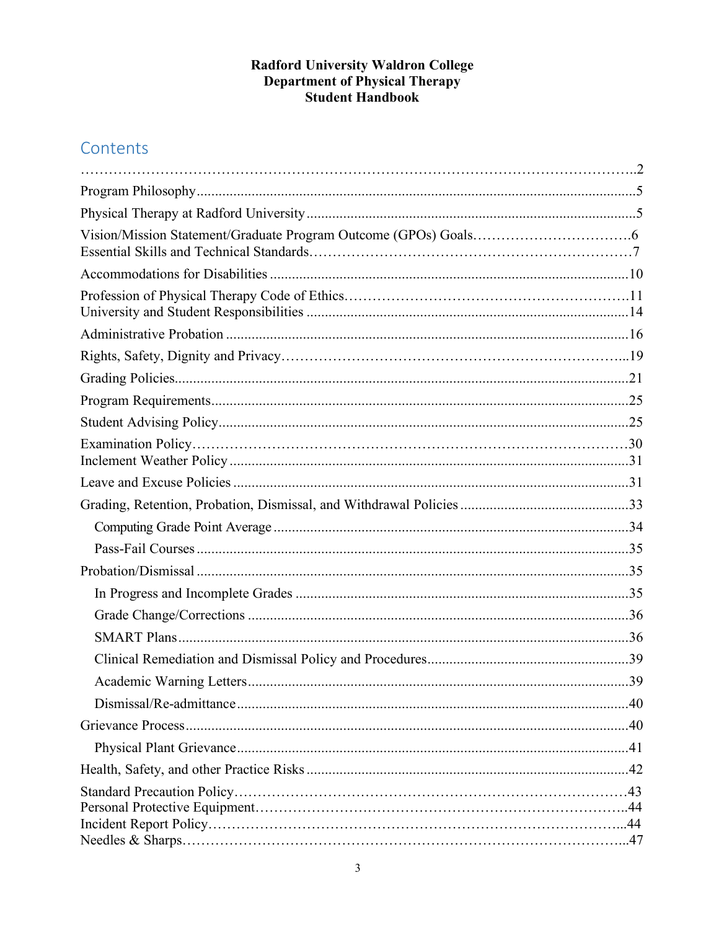## **Radford University Waldron College<br>Department of Physical Therapy<br>Student Handbook**

#### Contents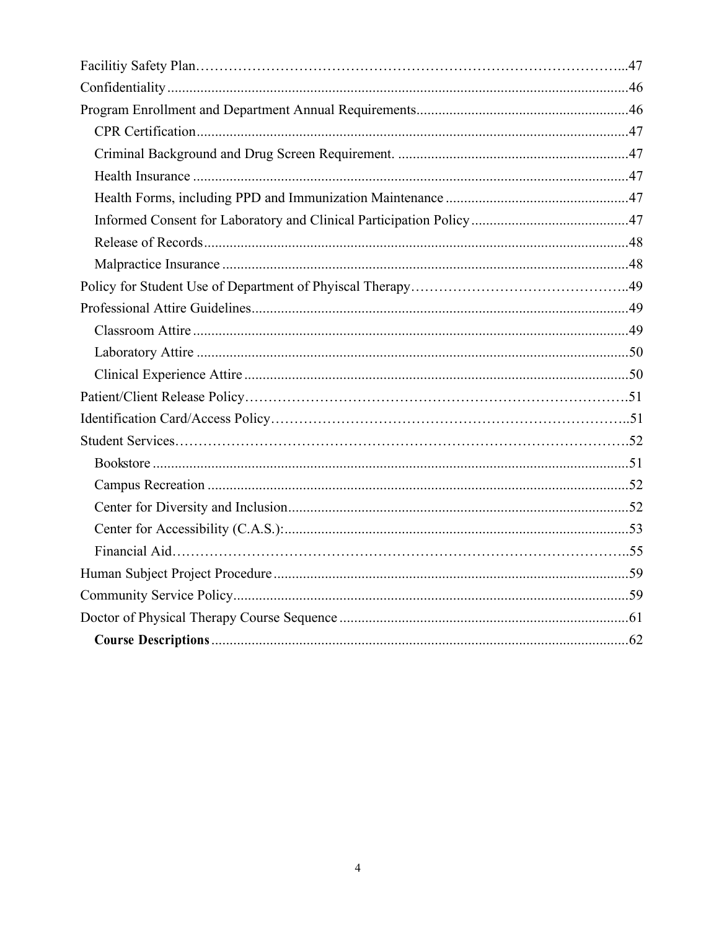| П<br>m<br>ITPI |  |
|----------------|--|

#### $\blacksquare$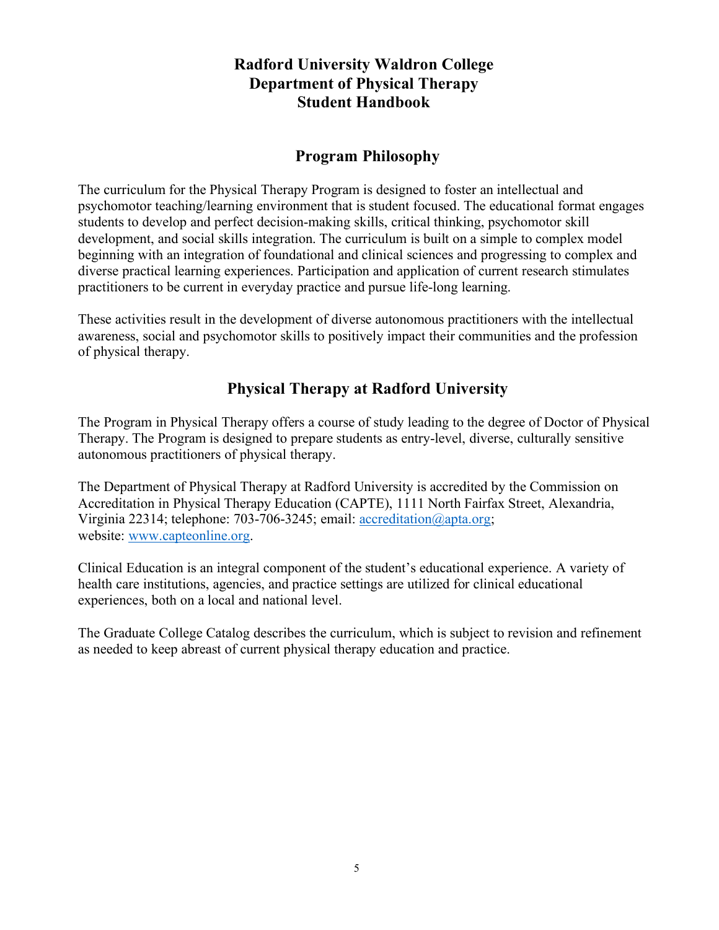#### **Radford University Waldron College Department of Physical Therapy Student Handbook**

#### **Program Philosophy**

The curriculum for the Physical Therapy Program is designed to foster an intellectual and psychomotor teaching/learning environment that is student focused. The educational format engages students to develop and perfect decision-making skills, critical thinking, psychomotor skill development, and social skills integration. The curriculum is built on a simple to complex model beginning with an integration of foundational and clinical sciences and progressing to complex and diverse practical learning experiences. Participation and application of current research stimulates practitioners to be current in everyday practice and pursue life-long learning.

These activities result in the development of diverse autonomous practitioners with the intellectual awareness, social and psychomotor skills to positively impact their communities and the profession of physical therapy.

#### **Physical Therapy at Radford University**

The Program in Physical Therapy offers a course of study leading to the degree of Doctor of Physical Therapy. The Program is designed to prepare students as entry-level, diverse, culturally sensitive autonomous practitioners of physical therapy.

The Department of Physical Therapy at Radford University is accredited by the Commission on Accreditation in Physical Therapy Education (CAPTE), 1111 North Fairfax Street, Alexandria, Virginia 22314; telephone: 703-706-3245; email: accreditation@apta.org; website: www.capteonline.org.

Clinical Education is an integral component of the student's educational experience. A variety of health care institutions, agencies, and practice settings are utilized for clinical educational experiences, both on a local and national level.

The Graduate College Catalog describes the curriculum, which is subject to revision and refinement as needed to keep abreast of current physical therapy education and practice.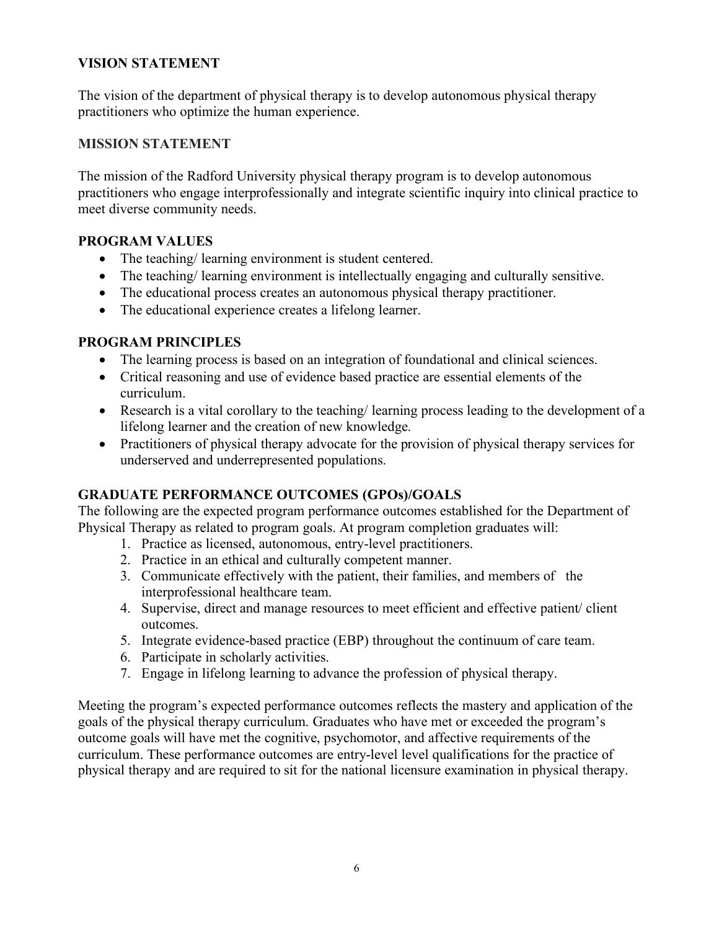#### **VISION STATEMENT**

The vision of the department of physical therapy is to develop autonomous physical therapy practitioners who optimize the human experience.

#### **MISSION STATEMENT**

The mission of the Radford University physical therapy program is to develop autonomous practitioners who engage interprofessionally and integrate scientific inquiry into clinical practice to meet diverse community needs.

#### **PROGRAM VALUES**

- The teaching/ learning environment is student centered.
- The teaching/ learning environment is intellectually engaging and culturally sensitive.
- The educational process creates an autonomous physical therapy practitioner.
- The educational experience creates a lifelong learner.

#### **PROGRAM PRINCIPLES**

- The learning process is based on an integration of foundational and clinical sciences.
- Critical reasoning and use of evidence based practice are essential elements of the curriculum.
- Research is a vital corollary to the teaching/ learning process leading to the development of a lifelong learner and the creation of new knowledge.
- Practitioners of physical therapy advocate for the provision of physical therapy services for underserved and underrepresented populations.

#### **GRADUATE PERFORMANCE OUTCOMES (GPOs)/GOALS**

The following are the expected program performance outcomes established for the Department of Physical Therapy as related to program goals. At program completion graduates will:

- 1. Practice as licensed, autonomous, entry-level practitioners.
- 2. Practice in an ethical and culturally competent manner.
- 3. Communicate effectively with the patient, their families, and members of the interprofessional healthcare team.
- 4. Supervise, direct and manage resources to meet efficient and effective patient/ client outcomes.
- 5. Integrate evidence-based practice (EBP) throughout the continuum of care team.
- 6. Participate in scholarly activities.
- 7. Engage in lifelong learning to advance the profession of physical therapy.

Meeting the program's expected performance outcomes reflects the mastery and application of the goals of the physical therapy curriculum. Graduates who have met or exceeded the program's outcome goals will have met the cognitive, psychomotor, and affective requirements of the curriculum. These performance outcomes are entry-level level qualifications for the practice of physical therapy and are required to sit for the national licensure examination in physical therapy.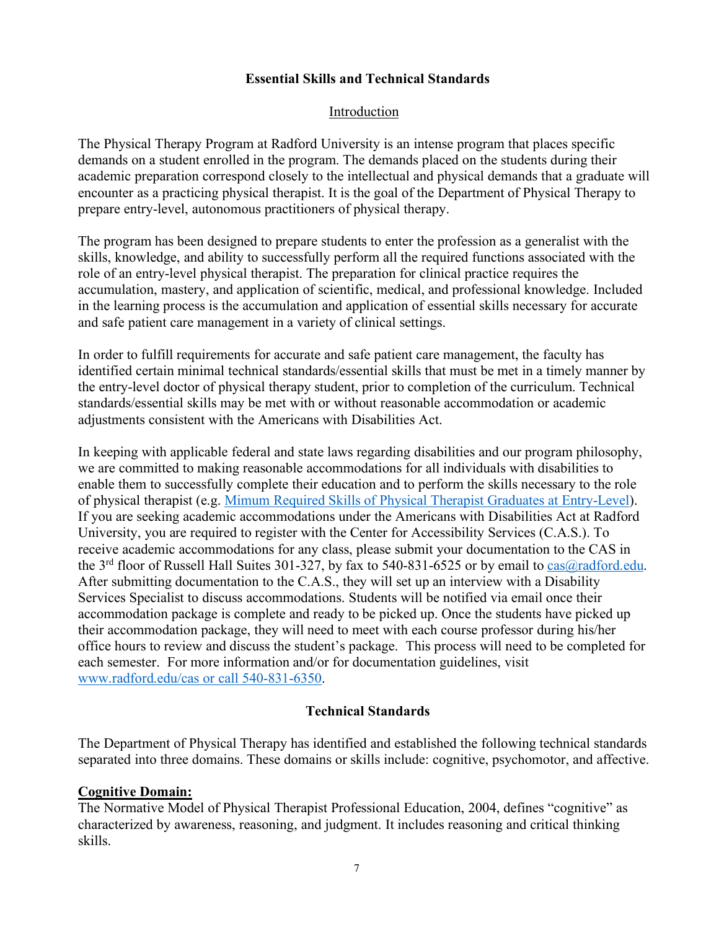#### **Essential Skills and Technical Standards**

#### Introduction

The Physical Therapy Program at Radford University is an intense program that places specific demands on a student enrolled in the program. The demands placed on the students during their academic preparation correspond closely to the intellectual and physical demands that a graduate will encounter as a practicing physical therapist. It is the goal of the Department of Physical Therapy to prepare entry-level, autonomous practitioners of physical therapy.

The program has been designed to prepare students to enter the profession as a generalist with the skills, knowledge, and ability to successfully perform all the required functions associated with the role of an entry-level physical therapist. The preparation for clinical practice requires the accumulation, mastery, and application of scientific, medical, and professional knowledge. Included in the learning process is the accumulation and application of essential skills necessary for accurate and safe patient care management in a variety of clinical settings.

In order to fulfill requirements for accurate and safe patient care management, the faculty has identified certain minimal technical standards/essential skills that must be met in a timely manner by the entry-level doctor of physical therapy student, prior to completion of the curriculum. Technical standards/essential skills may be met with or without reasonable accommodation or academic adjustments consistent with the Americans with Disabilities Act.

In keeping with applicable federal and state laws regarding disabilities and our program philosophy, we are committed to making reasonable accommodations for all individuals with disabilities to enable them to successfully complete their education and to perform the skills necessary to the role of physical therapist (e.g. Mimum Required Skills of Physical Therapist Graduates at Entry-Level). If you are seeking academic accommodations under the Americans with Disabilities Act at Radford University, you are required to register with the Center for Accessibility Services (C.A.S.). To receive academic accommodations for any class, please submit your documentation to the CAS in the 3<sup>rd</sup> floor of Russell Hall Suites 301-327, by fax to 540-831-6525 or by email to cas@radford.edu. After submitting documentation to the C.A.S., they will set up an interview with a Disability Services Specialist to discuss accommodations. Students will be notified via email once their accommodation package is complete and ready to be picked up. Once the students have picked up their accommodation package, they will need to meet with each course professor during his/her office hours to review and discuss the student's package. This process will need to be completed for each semester. For more information and/or for documentation guidelines, visit www.radford.edu/cas or call 540-831-6350.

#### **Technical Standards**

The Department of Physical Therapy has identified and established the following technical standards separated into three domains. These domains or skills include: cognitive, psychomotor, and affective.

#### **Cognitive Domain:**

The Normative Model of Physical Therapist Professional Education, 2004, defines "cognitive" as characterized by awareness, reasoning, and judgment. It includes reasoning and critical thinking skills.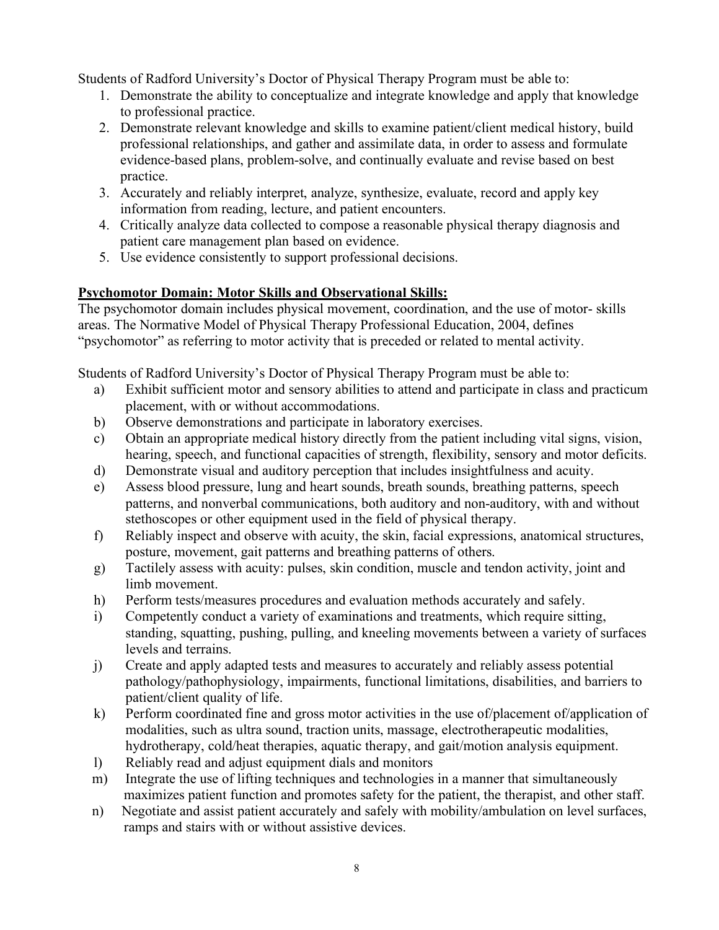Students of Radford University's Doctor of Physical Therapy Program must be able to:

- 1. Demonstrate the ability to conceptualize and integrate knowledge and apply that knowledge to professional practice.
- 2. Demonstrate relevant knowledge and skills to examine patient/client medical history, build professional relationships, and gather and assimilate data, in order to assess and formulate evidence-based plans, problem-solve, and continually evaluate and revise based on best practice.
- 3. Accurately and reliably interpret, analyze, synthesize, evaluate, record and apply key information from reading, lecture, and patient encounters.
- 4. Critically analyze data collected to compose a reasonable physical therapy diagnosis and patient care management plan based on evidence.
- 5. Use evidence consistently to support professional decisions.

#### **Psychomotor Domain: Motor Skills and Observational Skills:**

The psychomotor domain includes physical movement, coordination, and the use of motor- skills areas. The Normative Model of Physical Therapy Professional Education, 2004, defines "psychomotor" as referring to motor activity that is preceded or related to mental activity.

Students of Radford University's Doctor of Physical Therapy Program must be able to:

- a) Exhibit sufficient motor and sensory abilities to attend and participate in class and practicum placement, with or without accommodations.
- b) Observe demonstrations and participate in laboratory exercises.
- c) Obtain an appropriate medical history directly from the patient including vital signs, vision, hearing, speech, and functional capacities of strength, flexibility, sensory and motor deficits.
- d) Demonstrate visual and auditory perception that includes insightfulness and acuity.
- e) Assess blood pressure, lung and heart sounds, breath sounds, breathing patterns, speech patterns, and nonverbal communications, both auditory and non-auditory, with and without stethoscopes or other equipment used in the field of physical therapy.
- f) Reliably inspect and observe with acuity, the skin, facial expressions, anatomical structures, posture, movement, gait patterns and breathing patterns of others.
- g) Tactilely assess with acuity: pulses, skin condition, muscle and tendon activity, joint and limb movement.
- h) Perform tests/measures procedures and evaluation methods accurately and safely.
- i) Competently conduct a variety of examinations and treatments, which require sitting, standing, squatting, pushing, pulling, and kneeling movements between a variety of surfaces levels and terrains.
- j) Create and apply adapted tests and measures to accurately and reliably assess potential pathology/pathophysiology, impairments, functional limitations, disabilities, and barriers to patient/client quality of life.
- k) Perform coordinated fine and gross motor activities in the use of/placement of/application of modalities, such as ultra sound, traction units, massage, electrotherapeutic modalities, hydrotherapy, cold/heat therapies, aquatic therapy, and gait/motion analysis equipment.
- l) Reliably read and adjust equipment dials and monitors
- m) Integrate the use of lifting techniques and technologies in a manner that simultaneously maximizes patient function and promotes safety for the patient, the therapist, and other staff.
- n) Negotiate and assist patient accurately and safely with mobility/ambulation on level surfaces, ramps and stairs with or without assistive devices.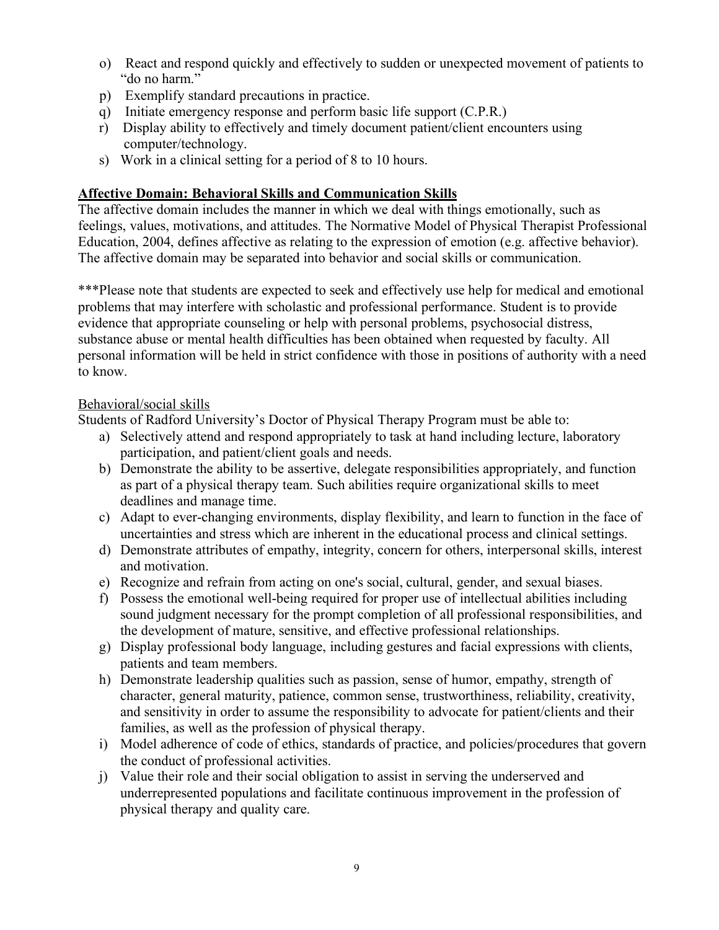- o) React and respond quickly and effectively to sudden or unexpected movement of patients to "do no harm."
- p) Exemplify standard precautions in practice.
- q) Initiate emergency response and perform basic life support (C.P.R.)
- r) Display ability to effectively and timely document patient/client encounters using computer/technology.
- s) Work in a clinical setting for a period of 8 to 10 hours.

#### **Affective Domain: Behavioral Skills and Communication Skills**

The affective domain includes the manner in which we deal with things emotionally, such as feelings, values, motivations, and attitudes. The Normative Model of Physical Therapist Professional Education, 2004, defines affective as relating to the expression of emotion (e.g. affective behavior). The affective domain may be separated into behavior and social skills or communication.

\*\*\*Please note that students are expected to seek and effectively use help for medical and emotional problems that may interfere with scholastic and professional performance. Student is to provide evidence that appropriate counseling or help with personal problems, psychosocial distress, substance abuse or mental health difficulties has been obtained when requested by faculty. All personal information will be held in strict confidence with those in positions of authority with a need to know.

#### Behavioral/social skills

Students of Radford University's Doctor of Physical Therapy Program must be able to:

- a) Selectively attend and respond appropriately to task at hand including lecture, laboratory participation, and patient/client goals and needs.
- b) Demonstrate the ability to be assertive, delegate responsibilities appropriately, and function as part of a physical therapy team. Such abilities require organizational skills to meet deadlines and manage time.
- c) Adapt to ever-changing environments, display flexibility, and learn to function in the face of uncertainties and stress which are inherent in the educational process and clinical settings.
- d) Demonstrate attributes of empathy, integrity, concern for others, interpersonal skills, interest and motivation.
- e) Recognize and refrain from acting on one's social, cultural, gender, and sexual biases.
- f) Possess the emotional well-being required for proper use of intellectual abilities including sound judgment necessary for the prompt completion of all professional responsibilities, and the development of mature, sensitive, and effective professional relationships.
- g) Display professional body language, including gestures and facial expressions with clients, patients and team members.
- h) Demonstrate leadership qualities such as passion, sense of humor, empathy, strength of character, general maturity, patience, common sense, trustworthiness, reliability, creativity, and sensitivity in order to assume the responsibility to advocate for patient/clients and their families, as well as the profession of physical therapy.
- i) Model adherence of code of ethics, standards of practice, and policies/procedures that govern the conduct of professional activities.
- j) Value their role and their social obligation to assist in serving the underserved and underrepresented populations and facilitate continuous improvement in the profession of physical therapy and quality care.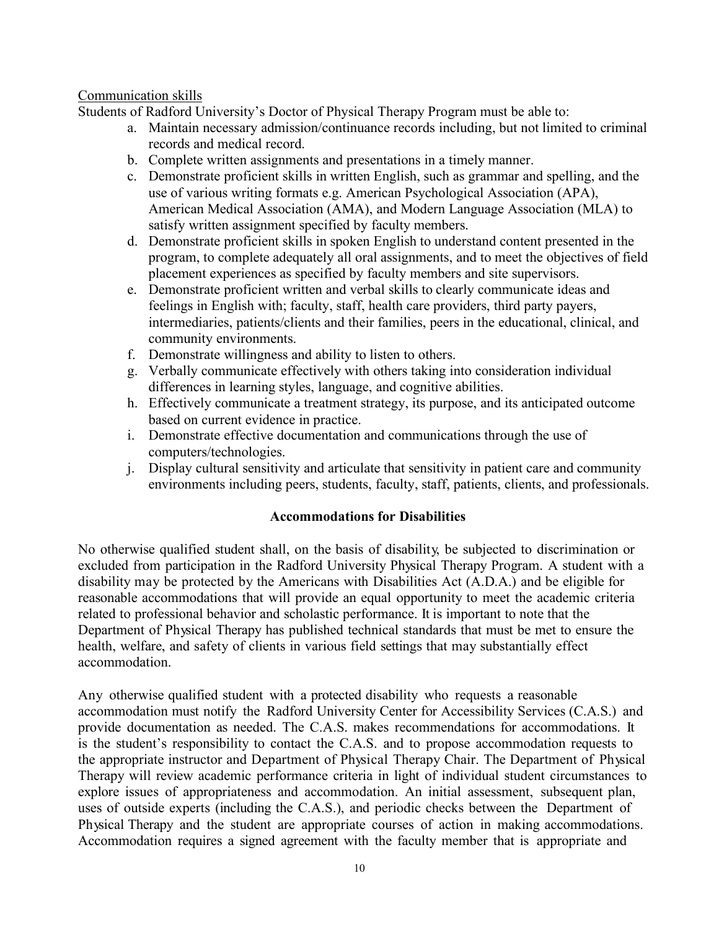#### Communication skills

Students of Radford University's Doctor of Physical Therapy Program must be able to:

- a. Maintain necessary admission/continuance records including, but not limited to criminal records and medical record.
- b. Complete written assignments and presentations in a timely manner.
- c. Demonstrate proficient skills in written English, such as grammar and spelling, and the use of various writing formats e.g. American Psychological Association (APA), American Medical Association (AMA), and Modern Language Association (MLA) to satisfy written assignment specified by faculty members.
- d. Demonstrate proficient skills in spoken English to understand content presented in the program, to complete adequately all oral assignments, and to meet the objectives of field placement experiences as specified by faculty members and site supervisors.
- e. Demonstrate proficient written and verbal skills to clearly communicate ideas and feelings in English with; faculty, staff, health care providers, third party payers, intermediaries, patients/clients and their families, peers in the educational, clinical, and community environments.
- f. Demonstrate willingness and ability to listen to others.
- g. Verbally communicate effectively with others taking into consideration individual differences in learning styles, language, and cognitive abilities.
- h. Effectively communicate a treatment strategy, its purpose, and its anticipated outcome based on current evidence in practice.
- i. Demonstrate effective documentation and communications through the use of computers/technologies.
- j. Display cultural sensitivity and articulate that sensitivity in patient care and community environments including peers, students, faculty, staff, patients, clients, and professionals.

#### **Accommodations for Disabilities**

No otherwise qualified student shall, on the basis of disability, be subjected to discrimination or excluded from participation in the Radford University Physical Therapy Program. A student with a disability may be protected by the Americans with Disabilities Act (A.D.A.) and be eligible for reasonable accommodations that will provide an equal opportunity to meet the academic criteria related to professional behavior and scholastic performance. It is important to note that the Department of Physical Therapy has published technical standards that must be met to ensure the health, welfare, and safety of clients in various field settings that may substantially effect accommodation.

Any otherwise qualified student with a protected disability who requests a reasonable accommodation must notify the Radford University Center for Accessibility Services (C.A.S.) and provide documentation as needed. The C.A.S. makes recommendations for accommodations. It is the student's responsibility to contact the C.A.S. and to propose accommodation requests to the appropriate instructor and Department of Physical Therapy Chair. The Department of Physical Therapy will review academic performance criteria in light of individual student circumstances to explore issues of appropriateness and accommodation. An initial assessment, subsequent plan, uses of outside experts (including the C.A.S.), and periodic checks between the Department of Physical Therapy and the student are appropriate courses of action in making accommodations. Accommodation requires a signed agreement with the faculty member that is appropriate and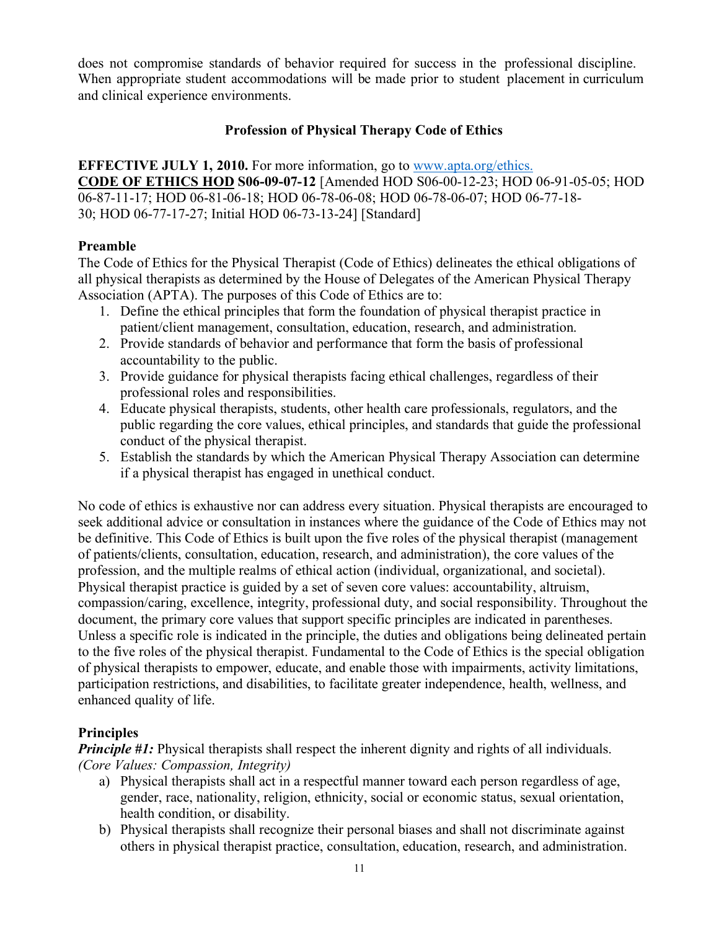does not compromise standards of behavior required for success in the professional discipline. When appropriate student accommodations will be made prior to student placement in curriculum and clinical experience environments.

#### **Profession of Physical Therapy Code of Ethics**

**EFFECTIVE JULY 1, 2010.** For more information, go to www.apta.org/ethics. **CODE OF ETHICS HOD S06-09-07-12** [Amended HOD S06-00-12-23; HOD 06-91-05-05; HOD 06-87-11-17; HOD 06-81-06-18; HOD 06-78-06-08; HOD 06-78-06-07; HOD 06-77-18- 30; HOD 06-77-17-27; Initial HOD 06-73-13-24] [Standard]

#### **Preamble**

The Code of Ethics for the Physical Therapist (Code of Ethics) delineates the ethical obligations of all physical therapists as determined by the House of Delegates of the American Physical Therapy Association (APTA). The purposes of this Code of Ethics are to:

- 1. Define the ethical principles that form the foundation of physical therapist practice in patient/client management, consultation, education, research, and administration.
- 2. Provide standards of behavior and performance that form the basis of professional accountability to the public.
- 3. Provide guidance for physical therapists facing ethical challenges, regardless of their professional roles and responsibilities.
- 4. Educate physical therapists, students, other health care professionals, regulators, and the public regarding the core values, ethical principles, and standards that guide the professional conduct of the physical therapist.
- 5. Establish the standards by which the American Physical Therapy Association can determine if a physical therapist has engaged in unethical conduct.

No code of ethics is exhaustive nor can address every situation. Physical therapists are encouraged to seek additional advice or consultation in instances where the guidance of the Code of Ethics may not be definitive. This Code of Ethics is built upon the five roles of the physical therapist (management of patients/clients, consultation, education, research, and administration), the core values of the profession, and the multiple realms of ethical action (individual, organizational, and societal). Physical therapist practice is guided by a set of seven core values: accountability, altruism, compassion/caring, excellence, integrity, professional duty, and social responsibility. Throughout the document, the primary core values that support specific principles are indicated in parentheses. Unless a specific role is indicated in the principle, the duties and obligations being delineated pertain to the five roles of the physical therapist. Fundamental to the Code of Ethics is the special obligation of physical therapists to empower, educate, and enable those with impairments, activity limitations, participation restrictions, and disabilities, to facilitate greater independence, health, wellness, and enhanced quality of life.

#### **Principles**

*Principle #1:* Physical therapists shall respect the inherent dignity and rights of all individuals. *(Core Values: Compassion, Integrity)*

- a) Physical therapists shall act in a respectful manner toward each person regardless of age, gender, race, nationality, religion, ethnicity, social or economic status, sexual orientation, health condition, or disability.
- b) Physical therapists shall recognize their personal biases and shall not discriminate against others in physical therapist practice, consultation, education, research, and administration.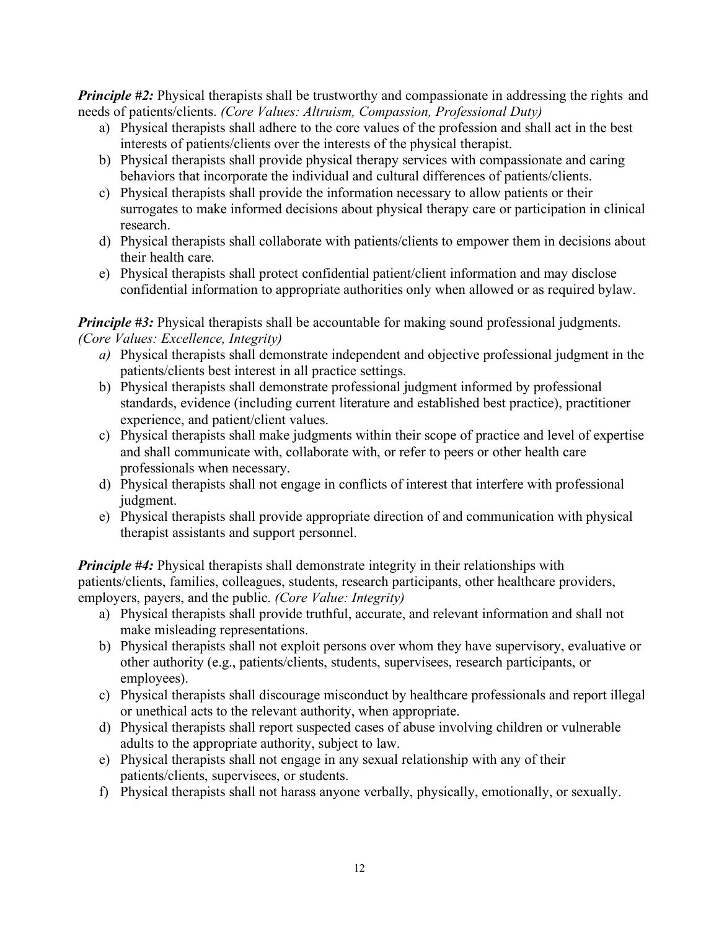*Principle #2:* Physical therapists shall be trustworthy and compassionate in addressing the rights and needs of patients/clients. *(Core Values: Altruism, Compassion, Professional Duty)*

- a) Physical therapists shall adhere to the core values of the profession and shall act in the best interests of patients/clients over the interests of the physical therapist.
- b) Physical therapists shall provide physical therapy services with compassionate and caring behaviors that incorporate the individual and cultural differences of patients/clients.
- c) Physical therapists shall provide the information necessary to allow patients or their surrogates to make informed decisions about physical therapy care or participation in clinical research.
- d) Physical therapists shall collaborate with patients/clients to empower them in decisions about their health care.
- e) Physical therapists shall protect confidential patient/client information and may disclose confidential information to appropriate authorities only when allowed or as required bylaw.

*Principle #3:* Physical therapists shall be accountable for making sound professional judgments. *(Core Values: Excellence, Integrity)*

- *a)* Physical therapists shall demonstrate independent and objective professional judgment in the patients/clients best interest in all practice settings.
- b) Physical therapists shall demonstrate professional judgment informed by professional standards, evidence (including current literature and established best practice), practitioner experience, and patient/client values.
- c) Physical therapists shall make judgments within their scope of practice and level of expertise and shall communicate with, collaborate with, or refer to peers or other health care professionals when necessary.
- d) Physical therapists shall not engage in conflicts of interest that interfere with professional judgment.
- e) Physical therapists shall provide appropriate direction of and communication with physical therapist assistants and support personnel.

*Principle #4:* Physical therapists shall demonstrate integrity in their relationships with patients/clients, families, colleagues, students, research participants, other healthcare providers, employers, payers, and the public. *(Core Value: Integrity)*

- a) Physical therapists shall provide truthful, accurate, and relevant information and shall not make misleading representations.
- b) Physical therapists shall not exploit persons over whom they have supervisory, evaluative or other authority (e.g., patients/clients, students, supervisees, research participants, or employees).
- c) Physical therapists shall discourage misconduct by healthcare professionals and report illegal or unethical acts to the relevant authority, when appropriate.
- d) Physical therapists shall report suspected cases of abuse involving children or vulnerable adults to the appropriate authority, subject to law.
- e) Physical therapists shall not engage in any sexual relationship with any of their patients/clients, supervisees, or students.
- f) Physical therapists shall not harass anyone verbally, physically, emotionally, or sexually.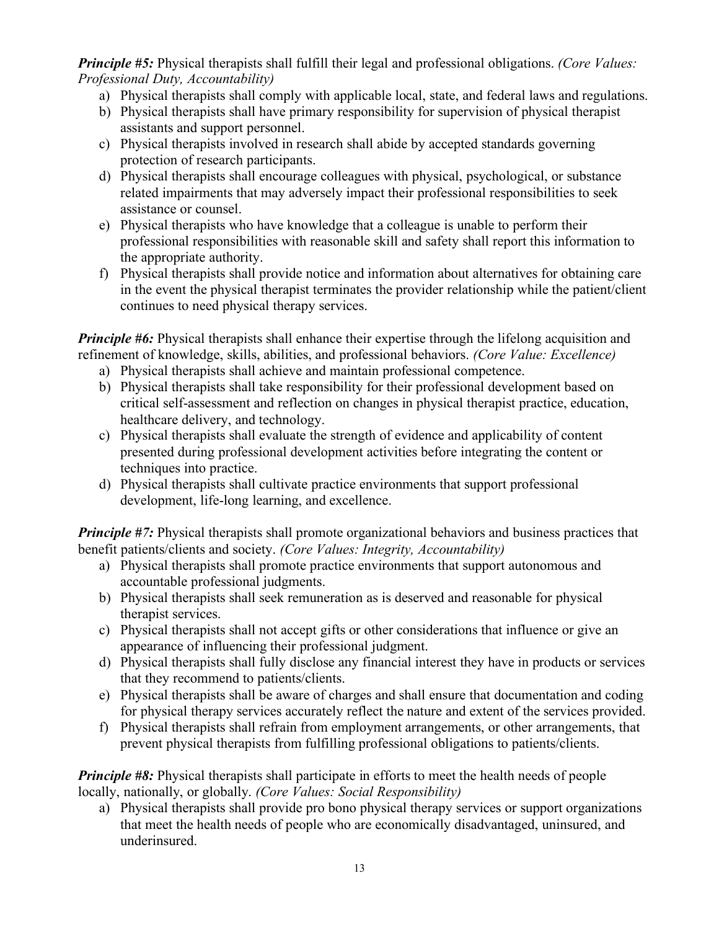*Principle #5:* Physical therapists shall fulfill their legal and professional obligations. *(Core Values: Professional Duty, Accountability)*

- a) Physical therapists shall comply with applicable local, state, and federal laws and regulations.
- b) Physical therapists shall have primary responsibility for supervision of physical therapist assistants and support personnel.
- c) Physical therapists involved in research shall abide by accepted standards governing protection of research participants.
- d) Physical therapists shall encourage colleagues with physical, psychological, or substance related impairments that may adversely impact their professional responsibilities to seek assistance or counsel.
- e) Physical therapists who have knowledge that a colleague is unable to perform their professional responsibilities with reasonable skill and safety shall report this information to the appropriate authority.
- f) Physical therapists shall provide notice and information about alternatives for obtaining care in the event the physical therapist terminates the provider relationship while the patient/client continues to need physical therapy services.

*Principle #6:* Physical therapists shall enhance their expertise through the lifelong acquisition and refinement of knowledge, skills, abilities, and professional behaviors. *(Core Value: Excellence)*

- a) Physical therapists shall achieve and maintain professional competence.
- b) Physical therapists shall take responsibility for their professional development based on critical self-assessment and reflection on changes in physical therapist practice, education, healthcare delivery, and technology.
- c) Physical therapists shall evaluate the strength of evidence and applicability of content presented during professional development activities before integrating the content or techniques into practice.
- d) Physical therapists shall cultivate practice environments that support professional development, life-long learning, and excellence.

*Principle #7:* Physical therapists shall promote organizational behaviors and business practices that benefit patients/clients and society. *(Core Values: Integrity, Accountability)*

- a) Physical therapists shall promote practice environments that support autonomous and accountable professional judgments.
- b) Physical therapists shall seek remuneration as is deserved and reasonable for physical therapist services.
- c) Physical therapists shall not accept gifts or other considerations that influence or give an appearance of influencing their professional judgment.
- d) Physical therapists shall fully disclose any financial interest they have in products or services that they recommend to patients/clients.
- e) Physical therapists shall be aware of charges and shall ensure that documentation and coding for physical therapy services accurately reflect the nature and extent of the services provided.
- f) Physical therapists shall refrain from employment arrangements, or other arrangements, that prevent physical therapists from fulfilling professional obligations to patients/clients.

*Principle #8:* Physical therapists shall participate in efforts to meet the health needs of people locally, nationally, or globally. *(Core Values: Social Responsibility)*

a) Physical therapists shall provide pro bono physical therapy services or support organizations that meet the health needs of people who are economically disadvantaged, uninsured, and underinsured.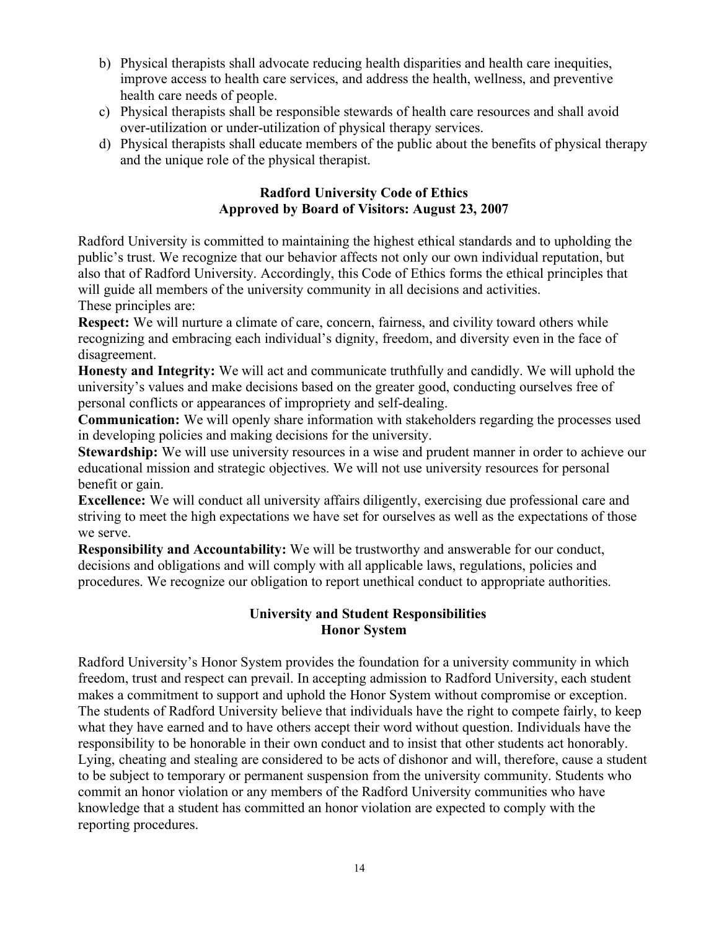- b) Physical therapists shall advocate reducing health disparities and health care inequities, improve access to health care services, and address the health, wellness, and preventive health care needs of people.
- c) Physical therapists shall be responsible stewards of health care resources and shall avoid over-utilization or under-utilization of physical therapy services.
- d) Physical therapists shall educate members of the public about the benefits of physical therapy and the unique role of the physical therapist.

#### **Radford University Code of Ethics Approved by Board of Visitors: August 23, 2007**

Radford University is committed to maintaining the highest ethical standards and to upholding the public's trust. We recognize that our behavior affects not only our own individual reputation, but also that of Radford University. Accordingly, this Code of Ethics forms the ethical principles that will guide all members of the university community in all decisions and activities. These principles are:

**Respect:** We will nurture a climate of care, concern, fairness, and civility toward others while recognizing and embracing each individual's dignity, freedom, and diversity even in the face of disagreement.

**Honesty and Integrity:** We will act and communicate truthfully and candidly. We will uphold the university's values and make decisions based on the greater good, conducting ourselves free of personal conflicts or appearances of impropriety and self-dealing.

**Communication:** We will openly share information with stakeholders regarding the processes used in developing policies and making decisions for the university.

**Stewardship:** We will use university resources in a wise and prudent manner in order to achieve our educational mission and strategic objectives. We will not use university resources for personal benefit or gain.

**Excellence:** We will conduct all university affairs diligently, exercising due professional care and striving to meet the high expectations we have set for ourselves as well as the expectations of those we serve.

**Responsibility and Accountability:** We will be trustworthy and answerable for our conduct, decisions and obligations and will comply with all applicable laws, regulations, policies and procedures. We recognize our obligation to report unethical conduct to appropriate authorities.

#### **University and Student Responsibilities Honor System**

Radford University's Honor System provides the foundation for a university community in which freedom, trust and respect can prevail. In accepting admission to Radford University, each student makes a commitment to support and uphold the Honor System without compromise or exception. The students of Radford University believe that individuals have the right to compete fairly, to keep what they have earned and to have others accept their word without question. Individuals have the responsibility to be honorable in their own conduct and to insist that other students act honorably. Lying, cheating and stealing are considered to be acts of dishonor and will, therefore, cause a student to be subject to temporary or permanent suspension from the university community. Students who commit an honor violation or any members of the Radford University communities who have knowledge that a student has committed an honor violation are expected to comply with the reporting procedures.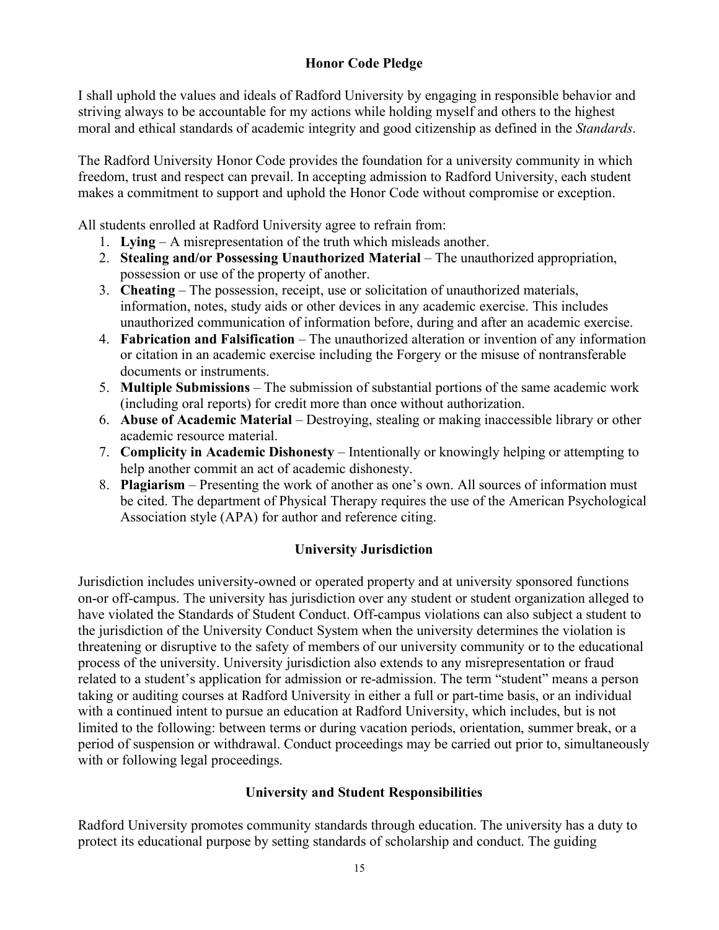#### **Honor Code Pledge**

I shall uphold the values and ideals of Radford University by engaging in responsible behavior and striving always to be accountable for my actions while holding myself and others to the highest moral and ethical standards of academic integrity and good citizenship as defined in the *Standards*.

The Radford University Honor Code provides the foundation for a university community in which freedom, trust and respect can prevail. In accepting admission to Radford University, each student makes a commitment to support and uphold the Honor Code without compromise or exception.

All students enrolled at Radford University agree to refrain from:

- 1. **Lying** A misrepresentation of the truth which misleads another.
- 2. **Stealing and/or Possessing Unauthorized Material** The unauthorized appropriation, possession or use of the property of another.
- 3. **Cheating**  The possession, receipt, use or solicitation of unauthorized materials, information, notes, study aids or other devices in any academic exercise. This includes unauthorized communication of information before, during and after an academic exercise.
- 4. **Fabrication and Falsification** The unauthorized alteration or invention of any information or citation in an academic exercise including the Forgery or the misuse of nontransferable documents or instruments.
- 5. **Multiple Submissions** The submission of substantial portions of the same academic work (including oral reports) for credit more than once without authorization.
- 6. **Abuse of Academic Material** Destroying, stealing or making inaccessible library or other academic resource material.
- 7. **Complicity in Academic Dishonesty** Intentionally or knowingly helping or attempting to help another commit an act of academic dishonesty.
- 8. **Plagiarism**  Presenting the work of another as one's own. All sources of information must be cited. The department of Physical Therapy requires the use of the American Psychological Association style (APA) for author and reference citing.

#### **University Jurisdiction**

Jurisdiction includes university-owned or operated property and at university sponsored functions on-or off-campus. The university has jurisdiction over any student or student organization alleged to have violated the Standards of Student Conduct. Off-campus violations can also subject a student to the jurisdiction of the University Conduct System when the university determines the violation is threatening or disruptive to the safety of members of our university community or to the educational process of the university. University jurisdiction also extends to any misrepresentation or fraud related to a student's application for admission or re-admission. The term "student" means a person taking or auditing courses at Radford University in either a full or part-time basis, or an individual with a continued intent to pursue an education at Radford University, which includes, but is not limited to the following: between terms or during vacation periods, orientation, summer break, or a period of suspension or withdrawal. Conduct proceedings may be carried out prior to, simultaneously with or following legal proceedings.

#### **University and Student Responsibilities**

Radford University promotes community standards through education. The university has a duty to protect its educational purpose by setting standards of scholarship and conduct. The guiding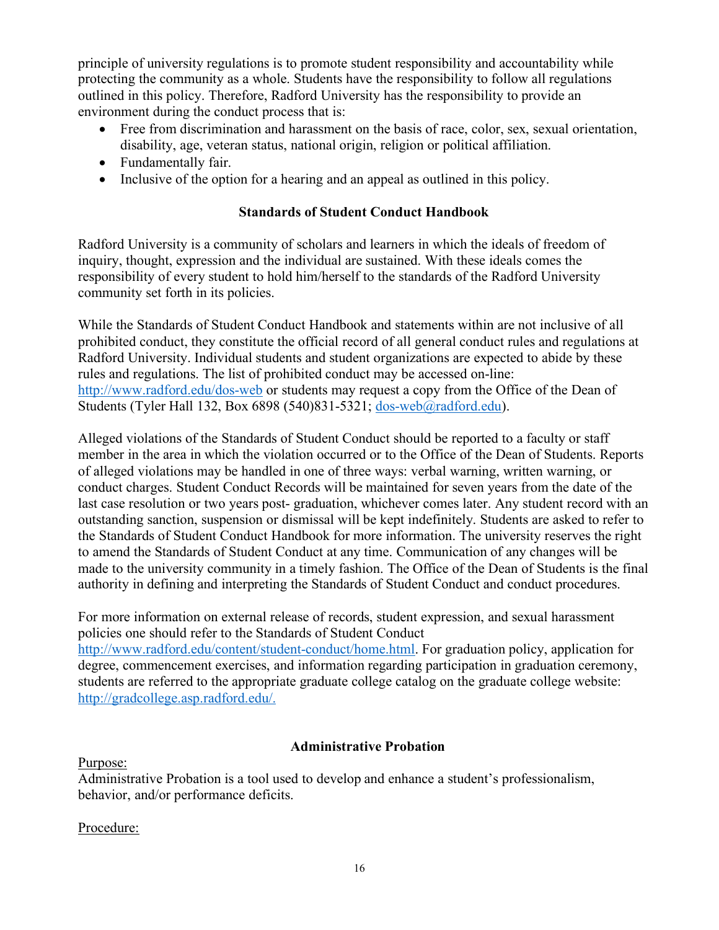principle of university regulations is to promote student responsibility and accountability while protecting the community as a whole. Students have the responsibility to follow all regulations outlined in this policy. Therefore, Radford University has the responsibility to provide an environment during the conduct process that is:

- Free from discrimination and harassment on the basis of race, color, sex, sexual orientation, disability, age, veteran status, national origin, religion or political affiliation.
- Fundamentally fair.
- Inclusive of the option for a hearing and an appeal as outlined in this policy.

#### **Standards of Student Conduct Handbook**

Radford University is a community of scholars and learners in which the ideals of freedom of inquiry, thought, expression and the individual are sustained. With these ideals comes the responsibility of every student to hold him/herself to the standards of the Radford University community set forth in its policies.

While the Standards of Student Conduct Handbook and statements within are not inclusive of all prohibited conduct, they constitute the official record of all general conduct rules and regulations at Radford University. Individual students and student organizations are expected to abide by these rules and regulations. The list of prohibited conduct may be accessed on-line: http://www.radford.edu/dos-web or students may request a copy from the Office of the Dean of Students (Tyler Hall 132, Box 6898 (540)831-5321; dos-web@radford.edu).

Alleged violations of the Standards of Student Conduct should be reported to a faculty or staff member in the area in which the violation occurred or to the Office of the Dean of Students. Reports of alleged violations may be handled in one of three ways: verbal warning, written warning, or conduct charges. Student Conduct Records will be maintained for seven years from the date of the last case resolution or two years post- graduation, whichever comes later. Any student record with an outstanding sanction, suspension or dismissal will be kept indefinitely. Students are asked to refer to the Standards of Student Conduct Handbook for more information. The university reserves the right to amend the Standards of Student Conduct at any time. Communication of any changes will be made to the university community in a timely fashion. The Office of the Dean of Students is the final authority in defining and interpreting the Standards of Student Conduct and conduct procedures.

For more information on external release of records, student expression, and sexual harassment policies one should refer to the Standards of Student Conduct http://www.radford.edu/content/student-conduct/home.html. For graduation policy, application for degree, commencement exercises, and information regarding participation in graduation ceremony, students are referred to the appropriate graduate college catalog on the graduate college website: http://gradcollege.asp.radford.edu/.

#### Purpose:

#### **Administrative Probation**

Administrative Probation is a tool used to develop and enhance a student's professionalism, behavior, and/or performance deficits.

#### Procedure: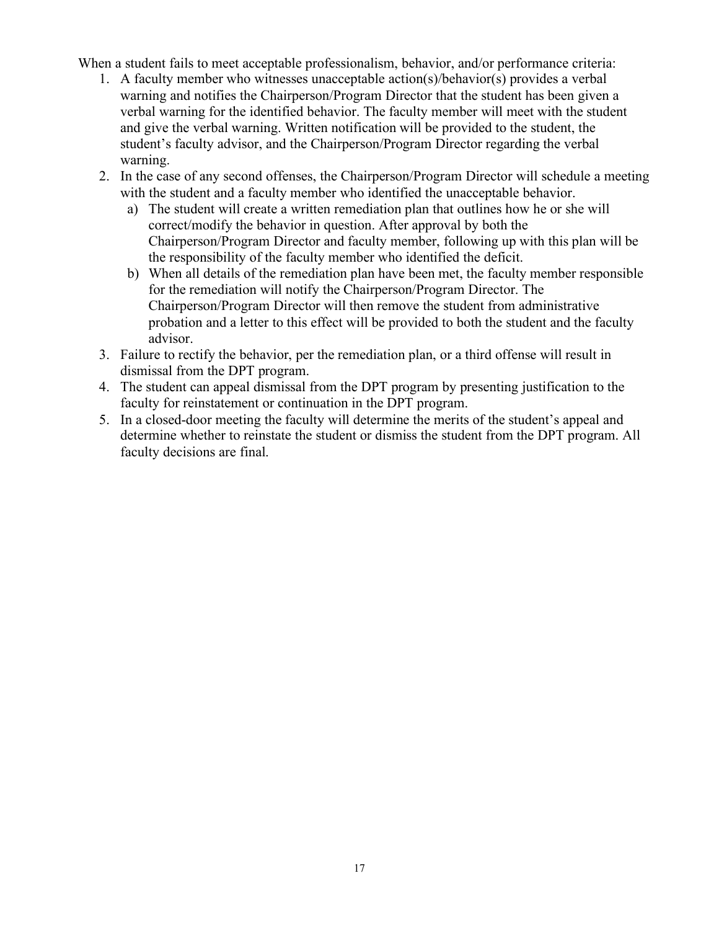When a student fails to meet acceptable professionalism, behavior, and/or performance criteria:

- 1. A faculty member who witnesses unacceptable action(s)/behavior(s) provides a verbal warning and notifies the Chairperson/Program Director that the student has been given a verbal warning for the identified behavior. The faculty member will meet with the student and give the verbal warning. Written notification will be provided to the student, the student's faculty advisor, and the Chairperson/Program Director regarding the verbal warning.
- 2. In the case of any second offenses, the Chairperson/Program Director will schedule a meeting with the student and a faculty member who identified the unacceptable behavior.
	- a) The student will create a written remediation plan that outlines how he or she will correct/modify the behavior in question. After approval by both the Chairperson/Program Director and faculty member, following up with this plan will be the responsibility of the faculty member who identified the deficit.
	- b) When all details of the remediation plan have been met, the faculty member responsible for the remediation will notify the Chairperson/Program Director. The Chairperson/Program Director will then remove the student from administrative probation and a letter to this effect will be provided to both the student and the faculty advisor.
- 3. Failure to rectify the behavior, per the remediation plan, or a third offense will result in dismissal from the DPT program.
- 4. The student can appeal dismissal from the DPT program by presenting justification to the faculty for reinstatement or continuation in the DPT program.
- 5. In a closed-door meeting the faculty will determine the merits of the student's appeal and determine whether to reinstate the student or dismiss the student from the DPT program. All faculty decisions are final.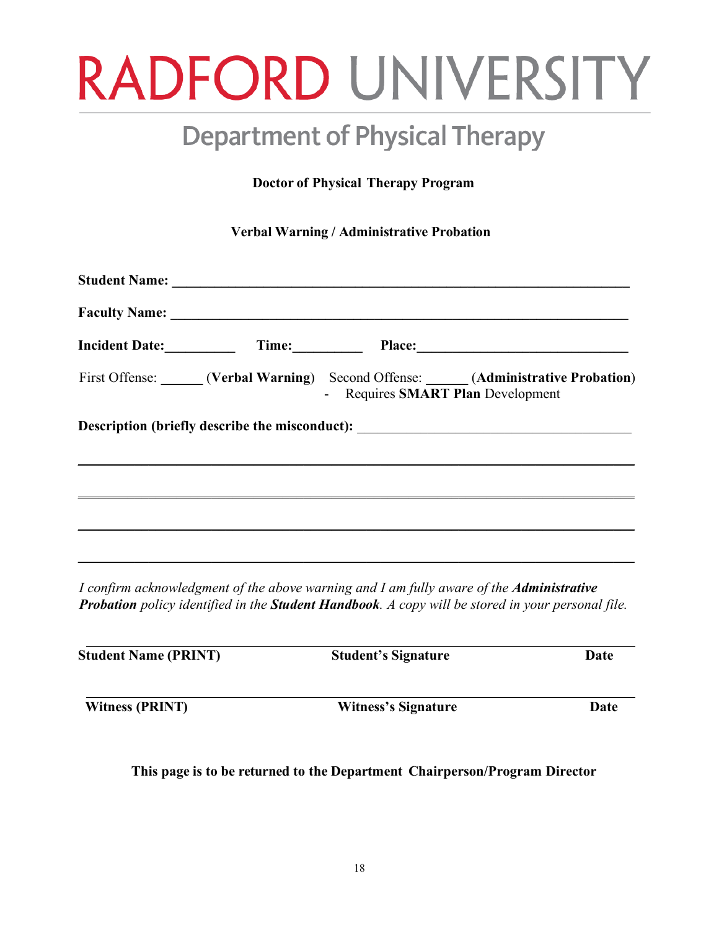## RADFORD UNIVERSITY **Department of Physical Therapy**

**Doctor of Physical Therapy Program**

**Verbal Warning / Administrative Probation**

|  |                                   | Incident Date: Time: Place:                                                       |
|--|-----------------------------------|-----------------------------------------------------------------------------------|
|  | - Requires SMART Plan Development | First Offense: (Verbal Warning) Second Offense: (Administrative Probation)        |
|  |                                   | Description (briefly describe the misconduct): __________________________________ |
|  |                                   |                                                                                   |
|  |                                   |                                                                                   |
|  |                                   |                                                                                   |

*I confirm acknowledgment of the above warning and I am fully aware of the Administrative Probation policy identified in the Student Handbook. A copy will be stored in your personal file.*

| <b>Student Name (PRINT)</b> | <b>Student's Signature</b> | Date |
|-----------------------------|----------------------------|------|
| <b>Witness (PRINT)</b>      | Witness's Signature        | Date |

**This page is to be returned to the Department Chairperson/Program Director**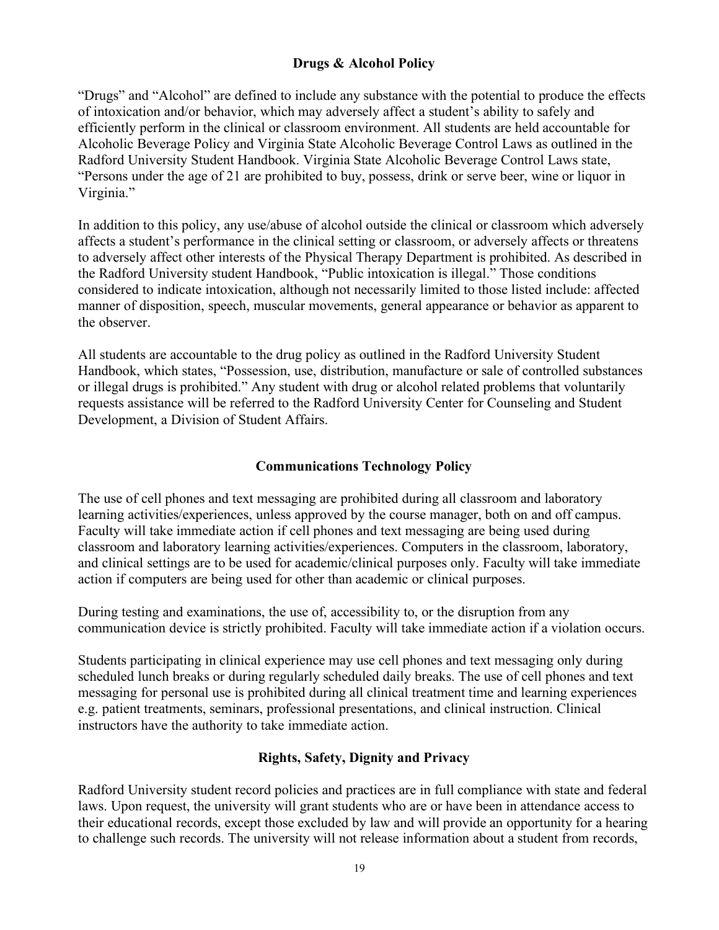#### **Drugs & Alcohol Policy**

"Drugs" and "Alcohol" are defined to include any substance with the potential to produce the effects of intoxication and/or behavior, which may adversely affect a student's ability to safely and efficiently perform in the clinical or classroom environment. All students are held accountable for Alcoholic Beverage Policy and Virginia State Alcoholic Beverage Control Laws as outlined in the Radford University Student Handbook. Virginia State Alcoholic Beverage Control Laws state, "Persons under the age of 21 are prohibited to buy, possess, drink or serve beer, wine or liquor in Virginia."

In addition to this policy, any use/abuse of alcohol outside the clinical or classroom which adversely affects a student's performance in the clinical setting or classroom, or adversely affects or threatens to adversely affect other interests of the Physical Therapy Department is prohibited. As described in the Radford University student Handbook, "Public intoxication is illegal." Those conditions considered to indicate intoxication, although not necessarily limited to those listed include: affected manner of disposition, speech, muscular movements, general appearance or behavior as apparent to the observer.

All students are accountable to the drug policy as outlined in the Radford University Student Handbook, which states, "Possession, use, distribution, manufacture or sale of controlled substances or illegal drugs is prohibited." Any student with drug or alcohol related problems that voluntarily requests assistance will be referred to the Radford University Center for Counseling and Student Development, a Division of Student Affairs.

#### **Communications Technology Policy**

The use of cell phones and text messaging are prohibited during all classroom and laboratory learning activities/experiences, unless approved by the course manager, both on and off campus. Faculty will take immediate action if cell phones and text messaging are being used during classroom and laboratory learning activities/experiences. Computers in the classroom, laboratory, and clinical settings are to be used for academic/clinical purposes only. Faculty will take immediate action if computers are being used for other than academic or clinical purposes.

During testing and examinations, the use of, accessibility to, or the disruption from any communication device is strictly prohibited. Faculty will take immediate action if a violation occurs.

Students participating in clinical experience may use cell phones and text messaging only during scheduled lunch breaks or during regularly scheduled daily breaks. The use of cell phones and text messaging for personal use is prohibited during all clinical treatment time and learning experiences e.g. patient treatments, seminars, professional presentations, and clinical instruction. Clinical instructors have the authority to take immediate action.

#### **Rights, Safety, Dignity and Privacy**

Radford University student record policies and practices are in full compliance with state and federal laws. Upon request, the university will grant students who are or have been in attendance access to their educational records, except those excluded by law and will provide an opportunity for a hearing to challenge such records. The university will not release information about a student from records,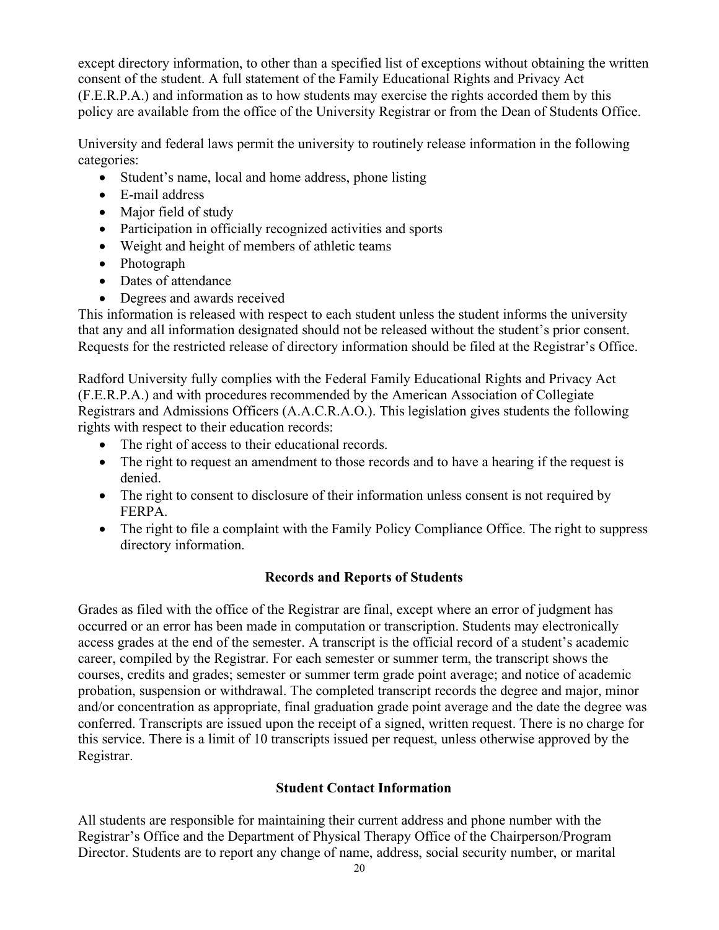except directory information, to other than a specified list of exceptions without obtaining the written consent of the student. A full statement of the Family Educational Rights and Privacy Act (F.E.R.P.A.) and information as to how students may exercise the rights accorded them by this policy are available from the office of the University Registrar or from the Dean of Students Office.

University and federal laws permit the university to routinely release information in the following categories:

- Student's name, local and home address, phone listing
- E-mail address
- Major field of study
- Participation in officially recognized activities and sports
- Weight and height of members of athletic teams
- Photograph
- Dates of attendance
- Degrees and awards received

This information is released with respect to each student unless the student informs the university that any and all information designated should not be released without the student's prior consent. Requests for the restricted release of directory information should be filed at the Registrar's Office.

Radford University fully complies with the Federal Family Educational Rights and Privacy Act (F.E.R.P.A.) and with procedures recommended by the American Association of Collegiate Registrars and Admissions Officers (A.A.C.R.A.O.). This legislation gives students the following rights with respect to their education records:

- The right of access to their educational records.
- The right to request an amendment to those records and to have a hearing if the request is denied.
- The right to consent to disclosure of their information unless consent is not required by FERPA.
- The right to file a complaint with the Family Policy Compliance Office. The right to suppress directory information.

#### **Records and Reports of Students**

Grades as filed with the office of the Registrar are final, except where an error of judgment has occurred or an error has been made in computation or transcription. Students may electronically access grades at the end of the semester. A transcript is the official record of a student's academic career, compiled by the Registrar. For each semester or summer term, the transcript shows the courses, credits and grades; semester or summer term grade point average; and notice of academic probation, suspension or withdrawal. The completed transcript records the degree and major, minor and/or concentration as appropriate, final graduation grade point average and the date the degree was conferred. Transcripts are issued upon the receipt of a signed, written request. There is no charge for this service. There is a limit of 10 transcripts issued per request, unless otherwise approved by the Registrar.

#### **Student Contact Information**

All students are responsible for maintaining their current address and phone number with the Registrar's Office and the Department of Physical Therapy Office of the Chairperson/Program Director. Students are to report any change of name, address, social security number, or marital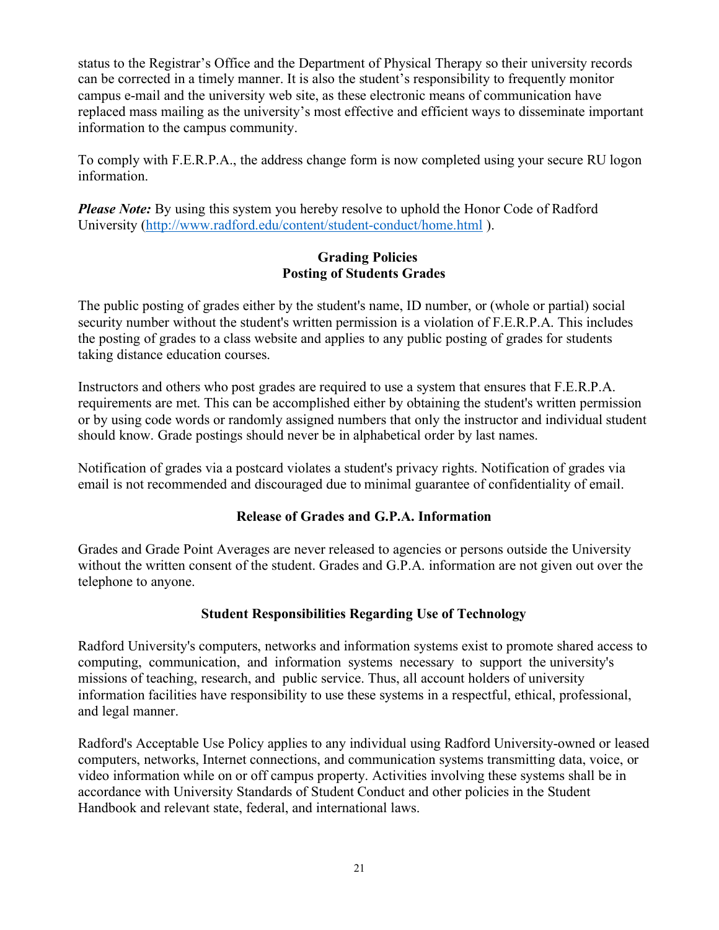status to the Registrar's Office and the Department of Physical Therapy so their university records can be corrected in a timely manner. It is also the student's responsibility to frequently monitor campus e-mail and the university web site, as these electronic means of communication have replaced mass mailing as the university's most effective and efficient ways to disseminate important information to the campus community.

To comply with F.E.R.P.A., the address change form is now completed using your secure RU logon information.

*Please Note:* By using this system you hereby resolve to uphold the Honor Code of Radford University (http://www.radford.edu/content/student-conduct/home.html ).

#### **Grading Policies Posting of Students Grades**

The public posting of grades either by the student's name, ID number, or (whole or partial) social security number without the student's written permission is a violation of F.E.R.P.A. This includes the posting of grades to a class website and applies to any public posting of grades for students taking distance education courses.

Instructors and others who post grades are required to use a system that ensures that F.E.R.P.A. requirements are met. This can be accomplished either by obtaining the student's written permission or by using code words or randomly assigned numbers that only the instructor and individual student should know. Grade postings should never be in alphabetical order by last names.

Notification of grades via a postcard violates a student's privacy rights. Notification of grades via email is not recommended and discouraged due to minimal guarantee of confidentiality of email.

#### **Release of Grades and G.P.A. Information**

Grades and Grade Point Averages are never released to agencies or persons outside the University without the written consent of the student. Grades and G.P.A. information are not given out over the telephone to anyone.

#### **Student Responsibilities Regarding Use of Technology**

Radford University's computers, networks and information systems exist to promote shared access to computing, communication, and information systems necessary to support the university's missions of teaching, research, and public service. Thus, all account holders of university information facilities have responsibility to use these systems in a respectful, ethical, professional, and legal manner.

Radford's Acceptable Use Policy applies to any individual using Radford University-owned or leased computers, networks, Internet connections, and communication systems transmitting data, voice, or video information while on or off campus property. Activities involving these systems shall be in accordance with University Standards of Student Conduct and other policies in the Student Handbook and relevant state, federal, and international laws.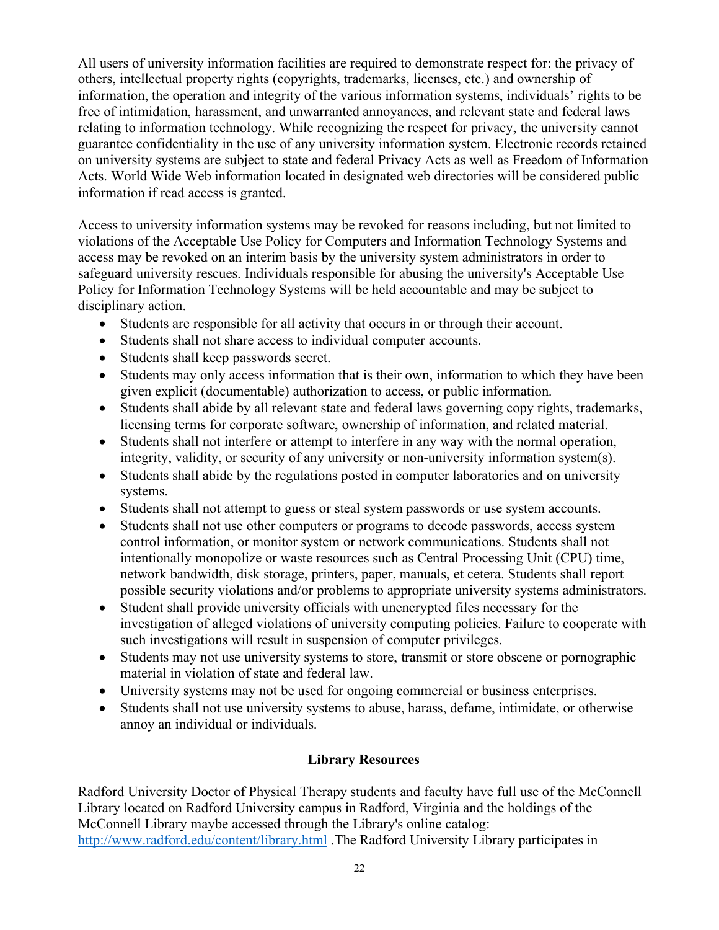All users of university information facilities are required to demonstrate respect for: the privacy of others, intellectual property rights (copyrights, trademarks, licenses, etc.) and ownership of information, the operation and integrity of the various information systems, individuals' rights to be free of intimidation, harassment, and unwarranted annoyances, and relevant state and federal laws relating to information technology. While recognizing the respect for privacy, the university cannot guarantee confidentiality in the use of any university information system. Electronic records retained on university systems are subject to state and federal Privacy Acts as well as Freedom of Information Acts. World Wide Web information located in designated web directories will be considered public information if read access is granted.

Access to university information systems may be revoked for reasons including, but not limited to violations of the Acceptable Use Policy for Computers and Information Technology Systems and access may be revoked on an interim basis by the university system administrators in order to safeguard university rescues. Individuals responsible for abusing the university's Acceptable Use Policy for Information Technology Systems will be held accountable and may be subject to disciplinary action.

- Students are responsible for all activity that occurs in or through their account.
- Students shall not share access to individual computer accounts.
- Students shall keep passwords secret.
- Students may only access information that is their own, information to which they have been given explicit (documentable) authorization to access, or public information.
- Students shall abide by all relevant state and federal laws governing copy rights, trademarks, licensing terms for corporate software, ownership of information, and related material.
- Students shall not interfere or attempt to interfere in any way with the normal operation, integrity, validity, or security of any university or non-university information system(s).
- Students shall abide by the regulations posted in computer laboratories and on university systems.
- Students shall not attempt to guess or steal system passwords or use system accounts.
- Students shall not use other computers or programs to decode passwords, access system control information, or monitor system or network communications. Students shall not intentionally monopolize or waste resources such as Central Processing Unit (CPU) time, network bandwidth, disk storage, printers, paper, manuals, et cetera. Students shall report possible security violations and/or problems to appropriate university systems administrators.
- Student shall provide university officials with unencrypted files necessary for the investigation of alleged violations of university computing policies. Failure to cooperate with such investigations will result in suspension of computer privileges.
- Students may not use university systems to store, transmit or store obscene or pornographic material in violation of state and federal law.
- University systems may not be used for ongoing commercial or business enterprises.
- Students shall not use university systems to abuse, harass, defame, intimidate, or otherwise annoy an individual or individuals.

#### **Library Resources**

Radford University Doctor of Physical Therapy students and faculty have full use of the McConnell Library located on Radford University campus in Radford, Virginia and the holdings of the McConnell Library maybe accessed through the Library's online catalog: http://www.radford.edu/content/library.html .The Radford University Library participates in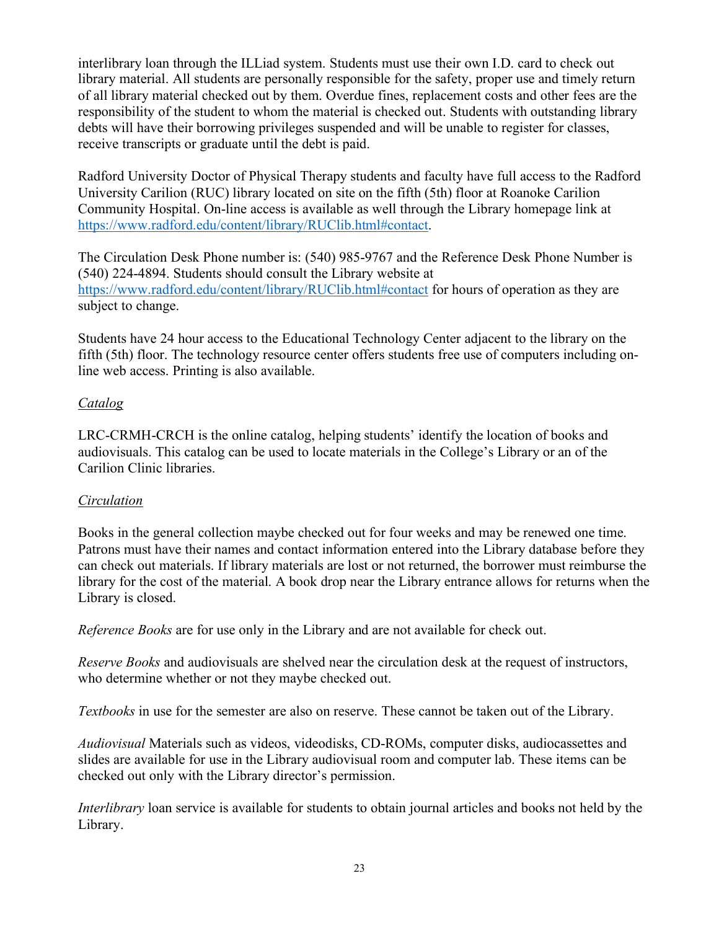interlibrary loan through the ILLiad system. Students must use their own I.D. card to check out library material. All students are personally responsible for the safety, proper use and timely return of all library material checked out by them. Overdue fines, replacement costs and other fees are the responsibility of the student to whom the material is checked out. Students with outstanding library debts will have their borrowing privileges suspended and will be unable to register for classes, receive transcripts or graduate until the debt is paid.

Radford University Doctor of Physical Therapy students and faculty have full access to the Radford University Carilion (RUC) library located on site on the fifth (5th) floor at Roanoke Carilion Community Hospital. On-line access is available as well through the Library homepage link at https://www.radford.edu/content/library/RUClib.html#contact.

The Circulation Desk Phone number is: (540) 985-9767 and the Reference Desk Phone Number is (540) 224-4894. Students should consult the Library website at https://www.radford.edu/content/library/RUClib.html#contact for hours of operation as they are subject to change.

Students have 24 hour access to the Educational Technology Center adjacent to the library on the fifth (5th) floor. The technology resource center offers students free use of computers including online web access. Printing is also available.

#### *Catalog*

LRC-CRMH-CRCH is the online catalog, helping students' identify the location of books and audiovisuals. This catalog can be used to locate materials in the College's Library or an of the Carilion Clinic libraries.

#### *Circulation*

Books in the general collection maybe checked out for four weeks and may be renewed one time. Patrons must have their names and contact information entered into the Library database before they can check out materials. If library materials are lost or not returned, the borrower must reimburse the library for the cost of the material. A book drop near the Library entrance allows for returns when the Library is closed.

*Reference Books* are for use only in the Library and are not available for check out.

*Reserve Books* and audiovisuals are shelved near the circulation desk at the request of instructors, who determine whether or not they maybe checked out.

*Textbooks* in use for the semester are also on reserve. These cannot be taken out of the Library.

*Audiovisual* Materials such as videos, videodisks, CD-ROMs, computer disks, audiocassettes and slides are available for use in the Library audiovisual room and computer lab. These items can be checked out only with the Library director's permission.

*Interlibrary* loan service is available for students to obtain journal articles and books not held by the Library.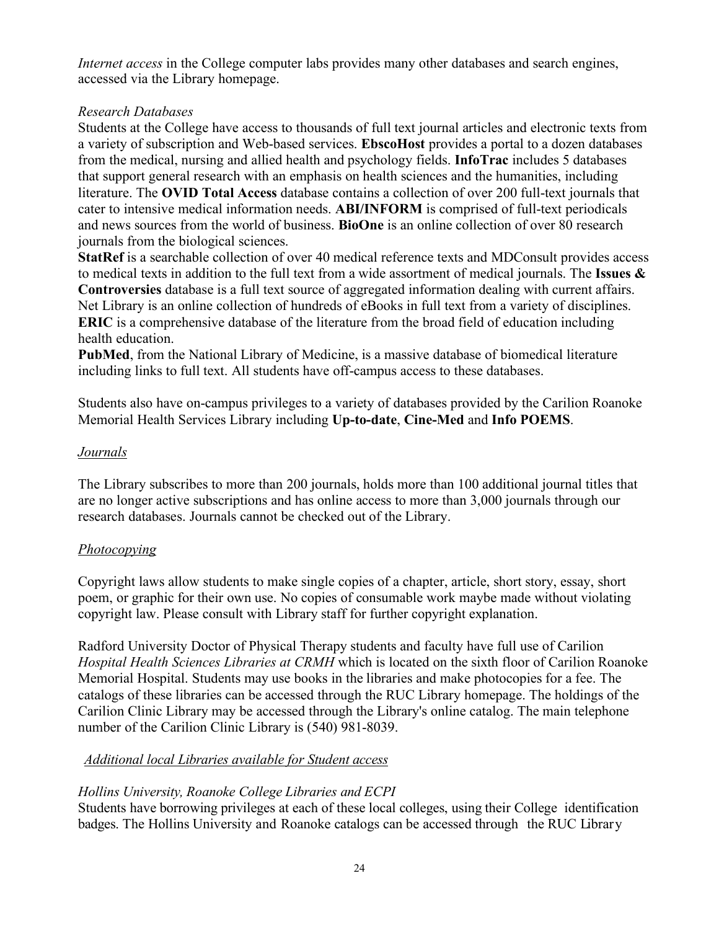*Internet access* in the College computer labs provides many other databases and search engines, accessed via the Library homepage.

#### *Research Databases*

Students at the College have access to thousands of full text journal articles and electronic texts from a variety of subscription and Web-based services. **EbscoHost** provides a portal to a dozen databases from the medical, nursing and allied health and psychology fields. **InfoTrac** includes 5 databases that support general research with an emphasis on health sciences and the humanities, including literature. The **OVID Total Access** database contains a collection of over 200 full-text journals that cater to intensive medical information needs. **ABI/INFORM** is comprised of full-text periodicals and news sources from the world of business. **BioOne** is an online collection of over 80 research journals from the biological sciences.

**StatRef** is a searchable collection of over 40 medical reference texts and MDConsult provides access to medical texts in addition to the full text from a wide assortment of medical journals. The **Issues & Controversies** database is a full text source of aggregated information dealing with current affairs. Net Library is an online collection of hundreds of eBooks in full text from a variety of disciplines. **ERIC** is a comprehensive database of the literature from the broad field of education including health education.

**PubMed**, from the National Library of Medicine, is a massive database of biomedical literature including links to full text. All students have off-campus access to these databases.

Students also have on-campus privileges to a variety of databases provided by the Carilion Roanoke Memorial Health Services Library including **Up-to-date**, **Cine-Med** and **Info POEMS**.

#### *Journals*

The Library subscribes to more than 200 journals, holds more than 100 additional journal titles that are no longer active subscriptions and has online access to more than 3,000 journals through our research databases. Journals cannot be checked out of the Library.

#### *Photocopying*

Copyright laws allow students to make single copies of a chapter, article, short story, essay, short poem, or graphic for their own use. No copies of consumable work maybe made without violating copyright law. Please consult with Library staff for further copyright explanation.

Radford University Doctor of Physical Therapy students and faculty have full use of Carilion *Hospital Health Sciences Libraries at CRMH* which is located on the sixth floor of Carilion Roanoke Memorial Hospital. Students may use books in the libraries and make photocopies for a fee. The catalogs of these libraries can be accessed through the RUC Library homepage. The holdings of the Carilion Clinic Library may be accessed through the Library's online catalog. The main telephone number of the Carilion Clinic Library is (540) 981-8039.

#### *Additional local Libraries available for Student access*

#### *Hollins University, Roanoke College Libraries and ECPI*

Students have borrowing privileges at each of these local colleges, using their College identification badges. The Hollins University and Roanoke catalogs can be accessed through the RUC Library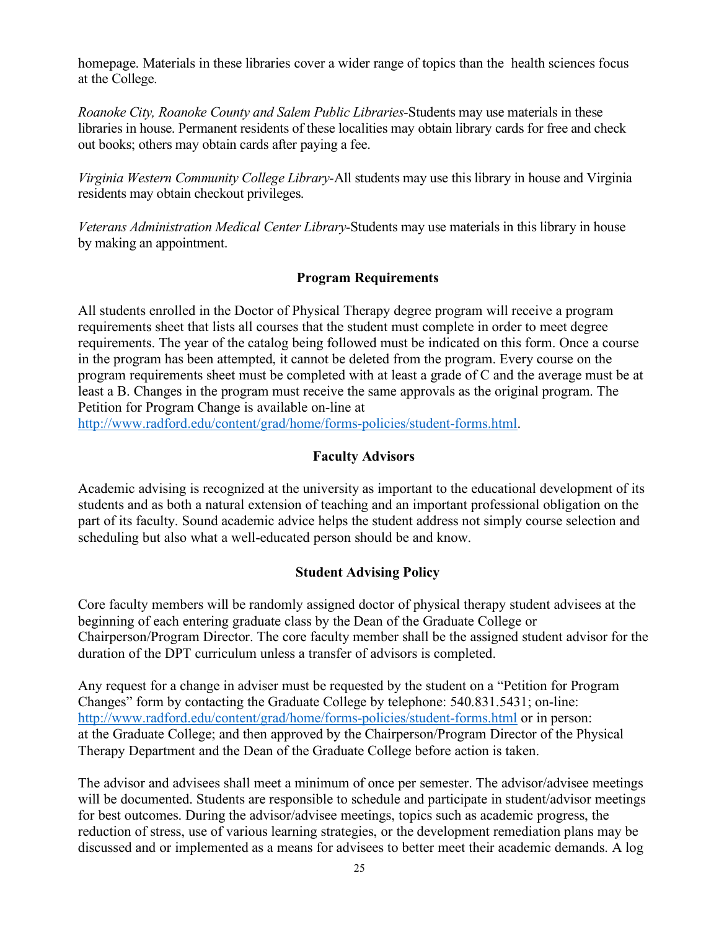homepage. Materials in these libraries cover a wider range of topics than the health sciences focus at the College.

*Roanoke City, Roanoke County and Salem Public Libraries-*Students may use materials in these libraries in house. Permanent residents of these localities may obtain library cards for free and check out books; others may obtain cards after paying a fee.

*Virginia Western Community College Library-*All students may use this library in house and Virginia residents may obtain checkout privileges.

*Veterans Administration Medical Center Library-*Students may use materials in this library in house by making an appointment.

#### **Program Requirements**

All students enrolled in the Doctor of Physical Therapy degree program will receive a program requirements sheet that lists all courses that the student must complete in order to meet degree requirements. The year of the catalog being followed must be indicated on this form. Once a course in the program has been attempted, it cannot be deleted from the program. Every course on the program requirements sheet must be completed with at least a grade of C and the average must be at least a B. Changes in the program must receive the same approvals as the original program. The Petition for Program Change is available on-line at

http://www.radford.edu/content/grad/home/forms-policies/student-forms.html.

#### **Faculty Advisors**

Academic advising is recognized at the university as important to the educational development of its students and as both a natural extension of teaching and an important professional obligation on the part of its faculty. Sound academic advice helps the student address not simply course selection and scheduling but also what a well-educated person should be and know.

#### **Student Advising Policy**

Core faculty members will be randomly assigned doctor of physical therapy student advisees at the beginning of each entering graduate class by the Dean of the Graduate College or Chairperson/Program Director. The core faculty member shall be the assigned student advisor for the duration of the DPT curriculum unless a transfer of advisors is completed.

Any request for a change in adviser must be requested by the student on a "Petition for Program Changes" form by contacting the Graduate College by telephone: 540.831.5431; on-line: http://www.radford.edu/content/grad/home/forms-policies/student-forms.html or in person: at the Graduate College; and then approved by the Chairperson/Program Director of the Physical Therapy Department and the Dean of the Graduate College before action is taken.

The advisor and advisees shall meet a minimum of once per semester. The advisor/advisee meetings will be documented. Students are responsible to schedule and participate in student/advisor meetings for best outcomes. During the advisor/advisee meetings, topics such as academic progress, the reduction of stress, use of various learning strategies, or the development remediation plans may be discussed and or implemented as a means for advisees to better meet their academic demands. A log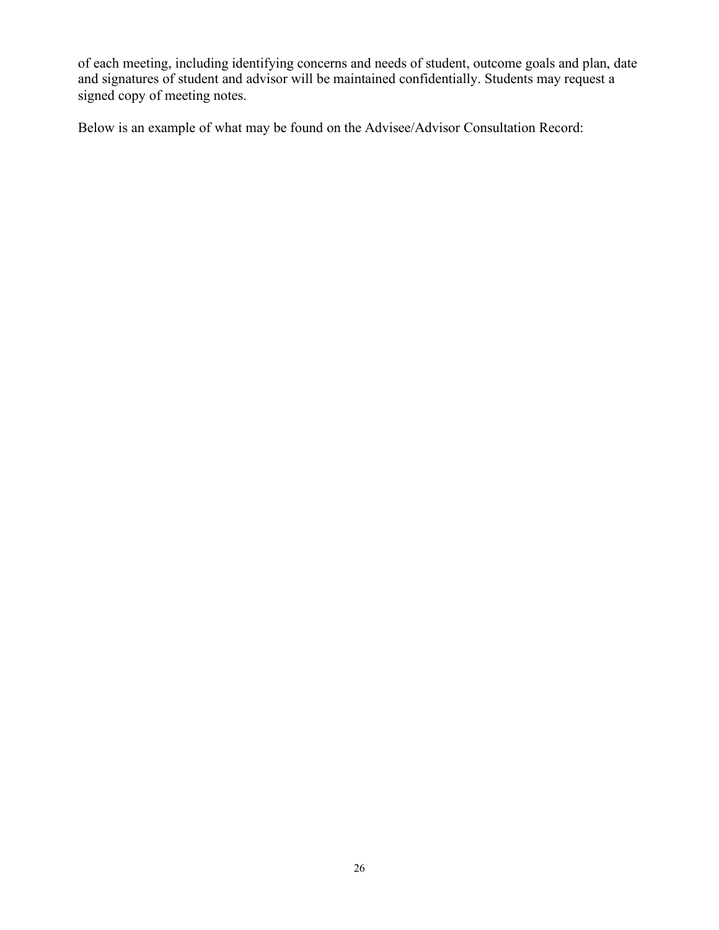of each meeting, including identifying concerns and needs of student, outcome goals and plan, date and signatures of student and advisor will be maintained confidentially. Students may request a signed copy of meeting notes.

Below is an example of what may be found on the Advisee/Advisor Consultation Record: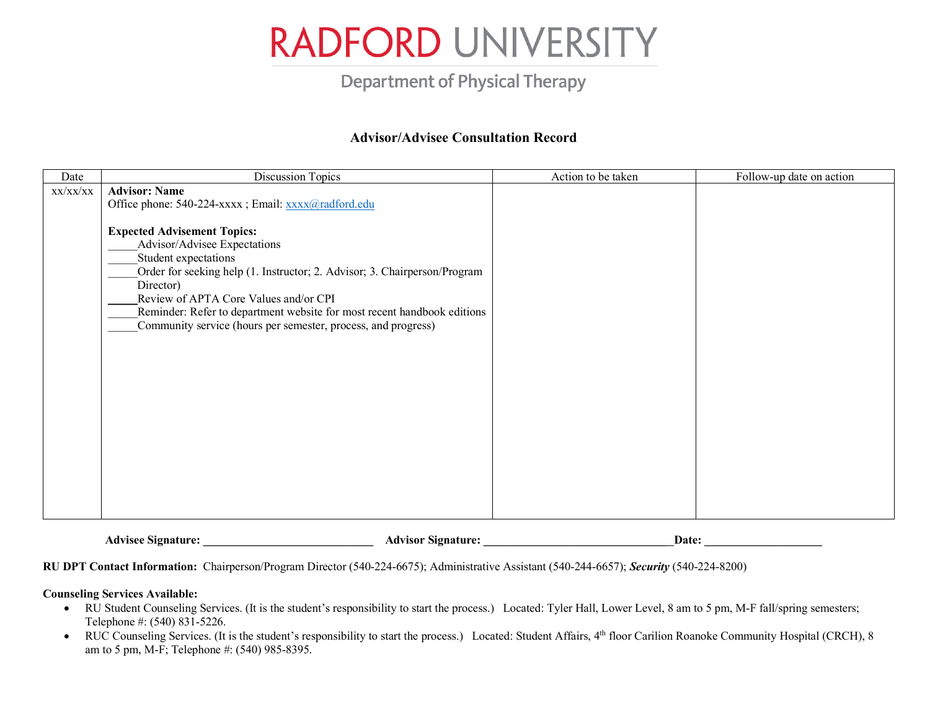

#### **Department of Physical Therapy**

#### **Advisor/Advisee Consultation Record**

| Date     | <b>Discussion Topics</b>                                                  | Action to be taken | Follow-up date on action |
|----------|---------------------------------------------------------------------------|--------------------|--------------------------|
| xx/xx/xx | <b>Advisor: Name</b>                                                      |                    |                          |
|          | Office phone: 540-224-xxxx; Email: xxxx@radford.edu                       |                    |                          |
|          |                                                                           |                    |                          |
|          | <b>Expected Advisement Topics:</b>                                        |                    |                          |
|          | Advisor/Advisee Expectations                                              |                    |                          |
|          | Student expectations                                                      |                    |                          |
|          | Order for seeking help (1. Instructor; 2. Advisor; 3. Chairperson/Program |                    |                          |
|          | Director)                                                                 |                    |                          |
|          | Review of APTA Core Values and/or CPI                                     |                    |                          |
|          | Reminder: Refer to department website for most recent handbook editions   |                    |                          |
|          | Community service (hours per semester, process, and progress)             |                    |                          |
|          |                                                                           |                    |                          |
|          |                                                                           |                    |                          |
|          |                                                                           |                    |                          |
|          |                                                                           |                    |                          |
|          |                                                                           |                    |                          |
|          |                                                                           |                    |                          |
|          |                                                                           |                    |                          |
|          |                                                                           |                    |                          |
|          |                                                                           |                    |                          |
|          |                                                                           |                    |                          |
|          |                                                                           |                    |                          |
|          |                                                                           |                    |                          |
|          |                                                                           |                    |                          |
|          |                                                                           |                    |                          |

**Advisee Signature: \_\_\_\_\_\_\_\_\_\_\_\_\_\_\_\_\_\_\_\_\_\_\_\_\_\_\_\_\_ Advisor Signature: \_\_\_\_\_\_\_\_\_\_\_\_\_\_\_\_\_\_\_\_\_\_\_\_\_\_\_\_\_\_\_ Date: \_\_\_\_\_\_\_\_\_\_\_\_\_\_\_\_\_\_\_\_**

**RU DPT Contact Information:** Chairperson/Program Director (540-224-6675); Administrative Assistant (540-244-6657); *Security* (540-224-8200)

#### **Counseling Services Available:**

- RU Student Counseling Services. (It is the student's responsibility to start the process.) Located: Tyler Hall, Lower Level, 8 am to 5 pm, M-F fall/spring semesters; Telephone #: (540) 831-5226.
- RUC Counseling Services. (It is the student's responsibility to start the process.) Located: Student Affairs, 4<sup>th</sup> floor Carilion Roanoke Community Hospital (CRCH), 8 am to 5 pm, M-F; Telephone #: (540) 985-8395.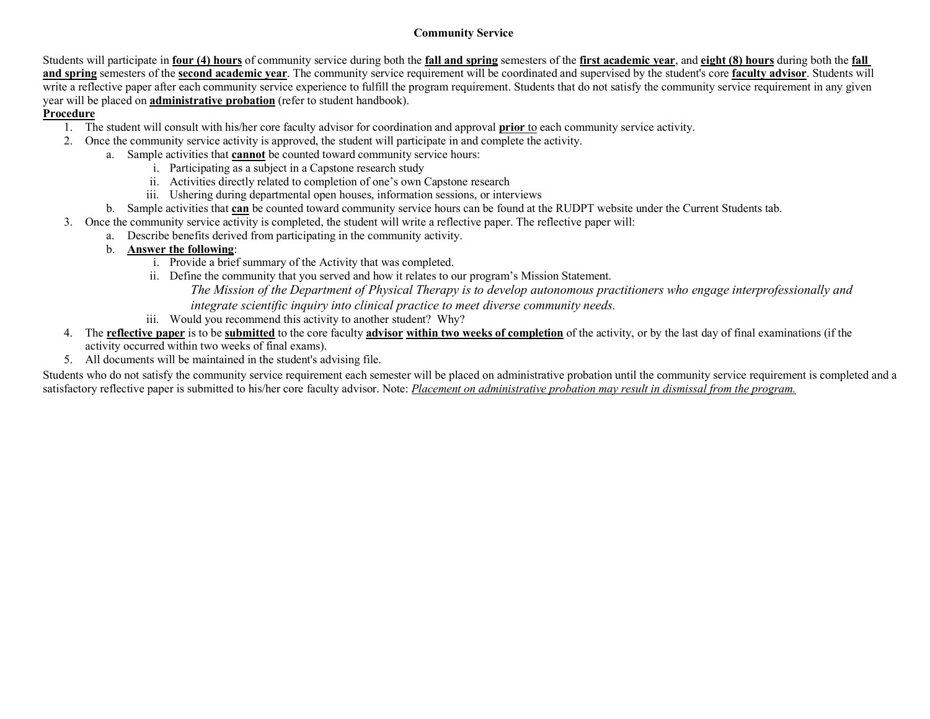#### **Community Service**

Students will participate in **four (4) hours** of community service during both the **fall and spring** semesters of the **first academic year**, and **eight (8) hours** during both the **fall and spring** semesters of the **second academic year**. The community service requirement will be coordinated and supervised by the student's core **faculty advisor**. Students will write a reflective paper after each community service experience to fulfill the program requirement. Students that do not satisfy the community service requirement in any given year will be placed on **administrative probation** (refer to student handbook).

#### **Procedure**

- 1. The student will consult with his/her core faculty advisor for coordination and approval **prior** to each community service activity.
- 2. Once the community service activity is approved, the student will participate in and complete the activity.
	- a. Sample activities that **cannot** be counted toward community service hours:
		- i. Participating as a subject in a Capstone research study
		- ii. Activities directly related to completion of one's own Capstone research
		- iii. Ushering during departmental open houses, information sessions, or interviews
	- b. Sample activities that **can** be counted toward community service hours can be found at the RUDPT website under the Current Students tab.
- 3. Once the community service activity is completed, the student will write a reflective paper. The reflective paper will:
	- a. Describe benefits derived from participating in the community activity.
	- b. **Answer the following**:
		- i. Provide a brief summary of the Activity that was completed.
		- ii. Define the community that you served and how it relates to our program's Mission Statement. *The Mission of the Department of Physical Therapy is to develop autonomous practitioners who engage interprofessionally and integrate scientific inquiry into clinical practice to meet diverse community needs.*
		- iii. Would you recommend this activity to another student? Why?
- 4. The **reflective paper** is to be **submitted** to the core faculty **advisor within two weeks of completion** of the activity, or by the last day of final examinations (if the activity occurred within two weeks of final exams).
- 5. All documents will be maintained in the student's advising file.

Students who do not satisfy the community service requirement each semester will be placed on administrative probation until the community service requirement is completed and a satisfactory reflective paper is submitted to his/her core faculty advisor. Note: *Placement on administrative probation may result in dismissal from the program.*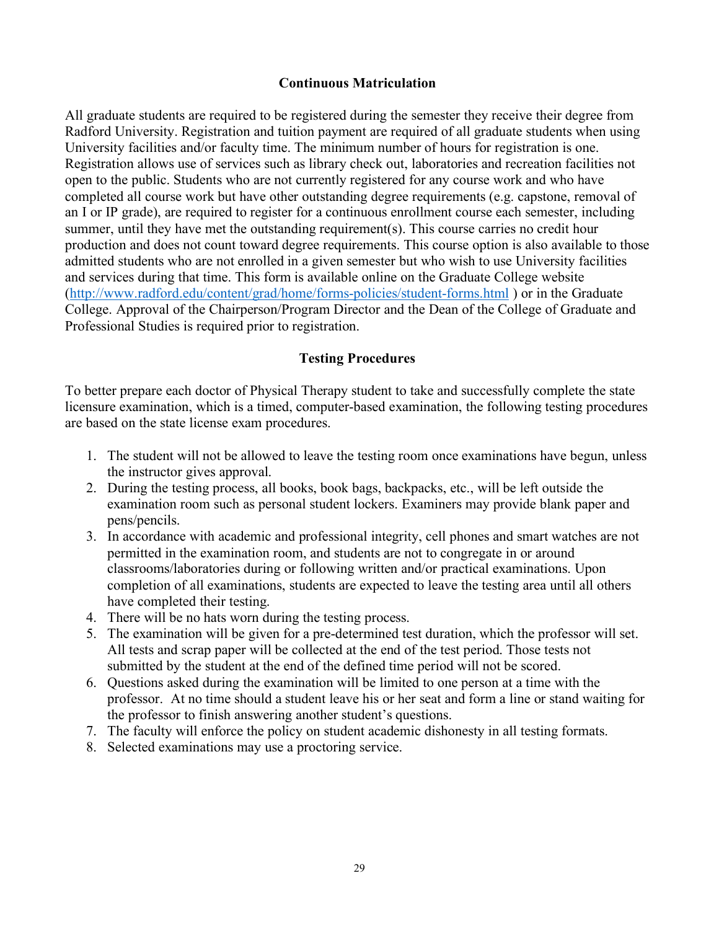#### **Continuous Matriculation**

All graduate students are required to be registered during the semester they receive their degree from Radford University. Registration and tuition payment are required of all graduate students when using University facilities and/or faculty time. The minimum number of hours for registration is one. Registration allows use of services such as library check out, laboratories and recreation facilities not open to the public. Students who are not currently registered for any course work and who have completed all course work but have other outstanding degree requirements (e.g. capstone, removal of an I or IP grade), are required to register for a continuous enrollment course each semester, including summer, until they have met the outstanding requirement(s). This course carries no credit hour production and does not count toward degree requirements. This course option is also available to those admitted students who are not enrolled in a given semester but who wish to use University facilities and services during that time. This form is available online on the Graduate College website (http://www.radford.edu/content/grad/home/forms-policies/student-forms.html ) or in the Graduate College. Approval of the Chairperson/Program Director and the Dean of the College of Graduate and Professional Studies is required prior to registration.

#### **Testing Procedures**

To better prepare each doctor of Physical Therapy student to take and successfully complete the state licensure examination, which is a timed, computer-based examination, the following testing procedures are based on the state license exam procedures.

- 1. The student will not be allowed to leave the testing room once examinations have begun, unless the instructor gives approval.
- 2. During the testing process, all books, book bags, backpacks, etc., will be left outside the examination room such as personal student lockers. Examiners may provide blank paper and pens/pencils.
- 3. In accordance with academic and professional integrity, cell phones and smart watches are not permitted in the examination room, and students are not to congregate in or around classrooms/laboratories during or following written and/or practical examinations. Upon completion of all examinations, students are expected to leave the testing area until all others have completed their testing.
- 4. There will be no hats worn during the testing process.
- 5. The examination will be given for a pre-determined test duration, which the professor will set. All tests and scrap paper will be collected at the end of the test period. Those tests not submitted by the student at the end of the defined time period will not be scored.
- 6. Questions asked during the examination will be limited to one person at a time with the professor. At no time should a student leave his or her seat and form a line or stand waiting for the professor to finish answering another student's questions.
- 7. The faculty will enforce the policy on student academic dishonesty in all testing formats.
- 8. Selected examinations may use a proctoring service.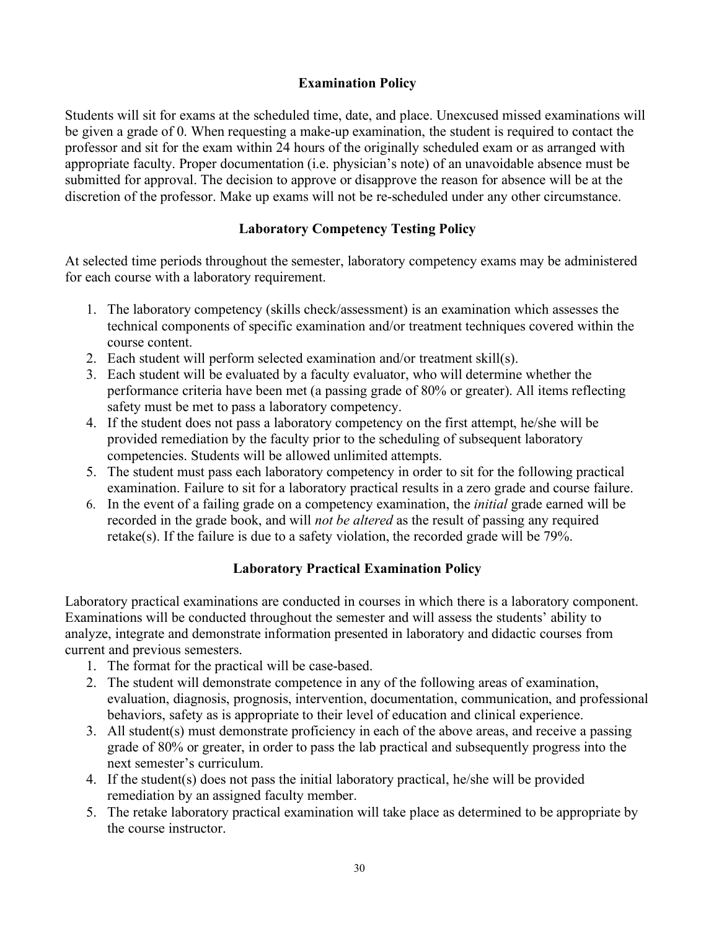#### **Examination Policy**

Students will sit for exams at the scheduled time, date, and place. Unexcused missed examinations will be given a grade of 0. When requesting a make-up examination, the student is required to contact the professor and sit for the exam within 24 hours of the originally scheduled exam or as arranged with appropriate faculty. Proper documentation (i.e. physician's note) of an unavoidable absence must be submitted for approval. The decision to approve or disapprove the reason for absence will be at the discretion of the professor. Make up exams will not be re-scheduled under any other circumstance.

#### **Laboratory Competency Testing Policy**

At selected time periods throughout the semester, laboratory competency exams may be administered for each course with a laboratory requirement.

- 1. The laboratory competency (skills check/assessment) is an examination which assesses the technical components of specific examination and/or treatment techniques covered within the course content.
- 2. Each student will perform selected examination and/or treatment skill(s).
- 3. Each student will be evaluated by a faculty evaluator, who will determine whether the performance criteria have been met (a passing grade of 80% or greater). All items reflecting safety must be met to pass a laboratory competency.
- 4. If the student does not pass a laboratory competency on the first attempt, he/she will be provided remediation by the faculty prior to the scheduling of subsequent laboratory competencies. Students will be allowed unlimited attempts.
- 5. The student must pass each laboratory competency in order to sit for the following practical examination. Failure to sit for a laboratory practical results in a zero grade and course failure.
- 6. In the event of a failing grade on a competency examination, the *initial* grade earned will be recorded in the grade book, and will *not be altered* as the result of passing any required retake(s). If the failure is due to a safety violation, the recorded grade will be 79%.

#### **Laboratory Practical Examination Policy**

Laboratory practical examinations are conducted in courses in which there is a laboratory component. Examinations will be conducted throughout the semester and will assess the students' ability to analyze, integrate and demonstrate information presented in laboratory and didactic courses from current and previous semesters.

- 1. The format for the practical will be case-based.
- 2. The student will demonstrate competence in any of the following areas of examination, evaluation, diagnosis, prognosis, intervention, documentation, communication, and professional behaviors, safety as is appropriate to their level of education and clinical experience.
- 3. All student(s) must demonstrate proficiency in each of the above areas, and receive a passing grade of 80% or greater, in order to pass the lab practical and subsequently progress into the next semester's curriculum.
- 4. If the student(s) does not pass the initial laboratory practical, he/she will be provided remediation by an assigned faculty member.
- 5. The retake laboratory practical examination will take place as determined to be appropriate by the course instructor.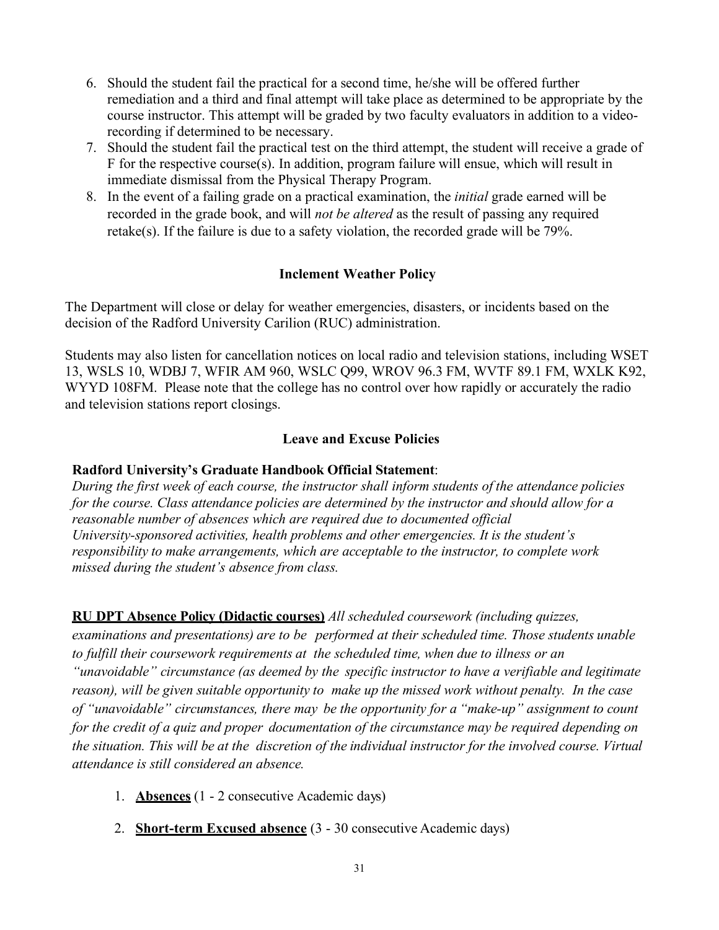- 6. Should the student fail the practical for a second time, he/she will be offered further remediation and a third and final attempt will take place as determined to be appropriate by the course instructor. This attempt will be graded by two faculty evaluators in addition to a videorecording if determined to be necessary.
- 7. Should the student fail the practical test on the third attempt, the student will receive a grade of F for the respective course(s). In addition, program failure will ensue, which will result in immediate dismissal from the Physical Therapy Program.
- 8. In the event of a failing grade on a practical examination, the *initial* grade earned will be recorded in the grade book, and will *not be altered* as the result of passing any required retake(s). If the failure is due to a safety violation, the recorded grade will be 79%.

#### **Inclement Weather Policy**

The Department will close or delay for weather emergencies, disasters, or incidents based on the decision of the Radford University Carilion (RUC) administration.

Students may also listen for cancellation notices on local radio and television stations, including WSET 13, WSLS 10, WDBJ 7, WFIR AM 960, WSLC Q99, WROV 96.3 FM, WVTF 89.1 FM, WXLK K92, WYYD 108FM. Please note that the college has no control over how rapidly or accurately the radio and television stations report closings.

#### **Leave and Excuse Policies**

#### **Radford University's Graduate Handbook Official Statement**:

*During the first week of each course, the instructor shall inform students of the attendance policies for the course. Class attendance policies are determined by the instructor and should allow for a reasonable number of absences which are required due to documented official University-sponsored activities, health problems and other emergencies. It is the student's responsibility to make arrangements, which are acceptable to the instructor, to complete work missed during the student's absence from class.*

#### **RU DPT Absence Policy (Didactic courses)** *All scheduled coursework (including quizzes,*

*examinations and presentations) are to be performed at their scheduled time. Those students unable to fulfill their coursework requirements at the scheduled time, when due to illness or an "unavoidable" circumstance (as deemed by the specific instructor to have a verifiable and legitimate reason), will be given suitable opportunity to make up the missed work without penalty. In the case of "unavoidable" circumstances, there may be the opportunity for a "make-up" assignment to count for the credit of a quiz and proper documentation of the circumstance may be required depending on the situation. This will be at the discretion of the individual instructor for the involved course. Virtual attendance is still considered an absence.*

- 1. **Absences** (1 2 consecutive Academic days)
- 2. **Short-term Excused absence** (3 30 consecutive Academic days)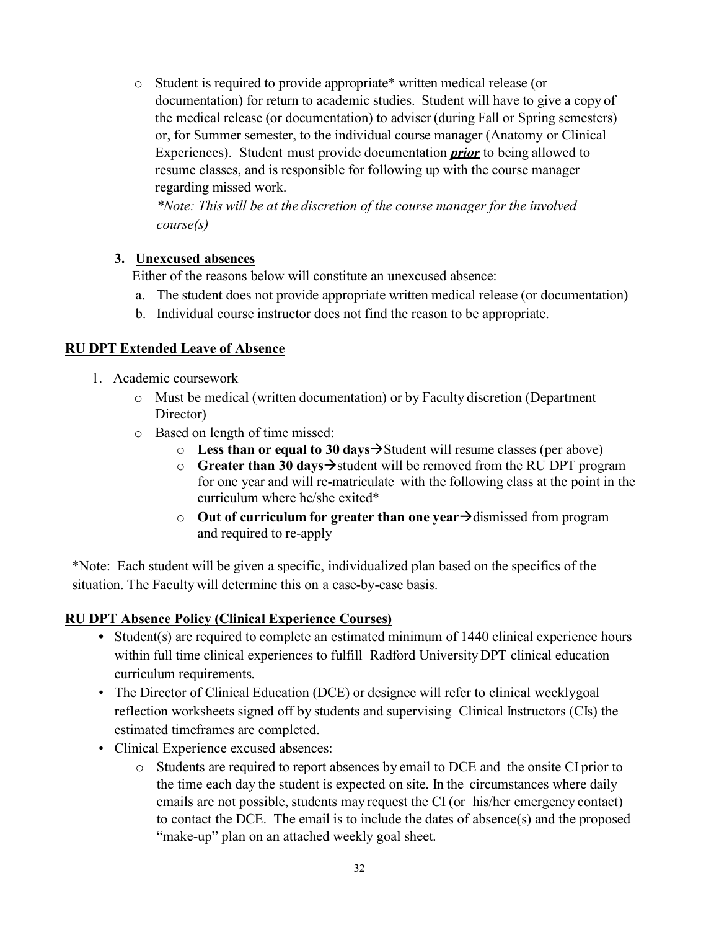o Student is required to provide appropriate\* written medical release (or documentation) for return to academic studies. Student will have to give a copy of the medical release (or documentation) to adviser (during Fall or Spring semesters) or, for Summer semester, to the individual course manager (Anatomy or Clinical Experiences). Student must provide documentation *prior* to being allowed to resume classes, and is responsible for following up with the course manager regarding missed work.

*\*Note: This will be at the discretion of the course manager for the involved course(s)*

#### **3. Unexcused absences**

Either of the reasons below will constitute an unexcused absence:

- a. The student does not provide appropriate written medical release (or documentation)
- b. Individual course instructor does not find the reason to be appropriate.

#### **RU DPT Extended Leave of Absence**

- 1. Academic coursework
	- o Must be medical (written documentation) or by Faculty discretion (Department Director)
	- o Based on length of time missed:
		- o **Less than or equal to 30 days**àStudent will resume classes (per above)
		- $\circ$  **Greater than 30 days**  $\rightarrow$  student will be removed from the RU DPT program for one year and will re-matriculate with the following class at the point in the curriculum where he/she exited\*
		- o **Out of curriculum for greater than one year**àdismissed from program and required to re-apply

\*Note: Each student will be given a specific, individualized plan based on the specifics of the situation. The Facultywill determine this on a case-by-case basis.

#### **RU DPT Absence Policy (Clinical Experience Courses)**

- Student(s) are required to complete an estimated minimum of 1440 clinical experience hours within full time clinical experiences to fulfill Radford UniversityDPT clinical education curriculum requirements.
- The Director of Clinical Education (DCE) or designee will refer to clinical weeklygoal reflection worksheets signed off by students and supervising Clinical Instructors (CIs) the estimated timeframes are completed.
- Clinical Experience excused absences:
	- o Students are required to report absences by email to DCE and the onsite CI prior to the time each day the student is expected on site. In the circumstances where daily emails are not possible, students may request the CI (or his/her emergency contact) to contact the DCE. The email is to include the dates of absence(s) and the proposed "make-up" plan on an attached weekly goal sheet.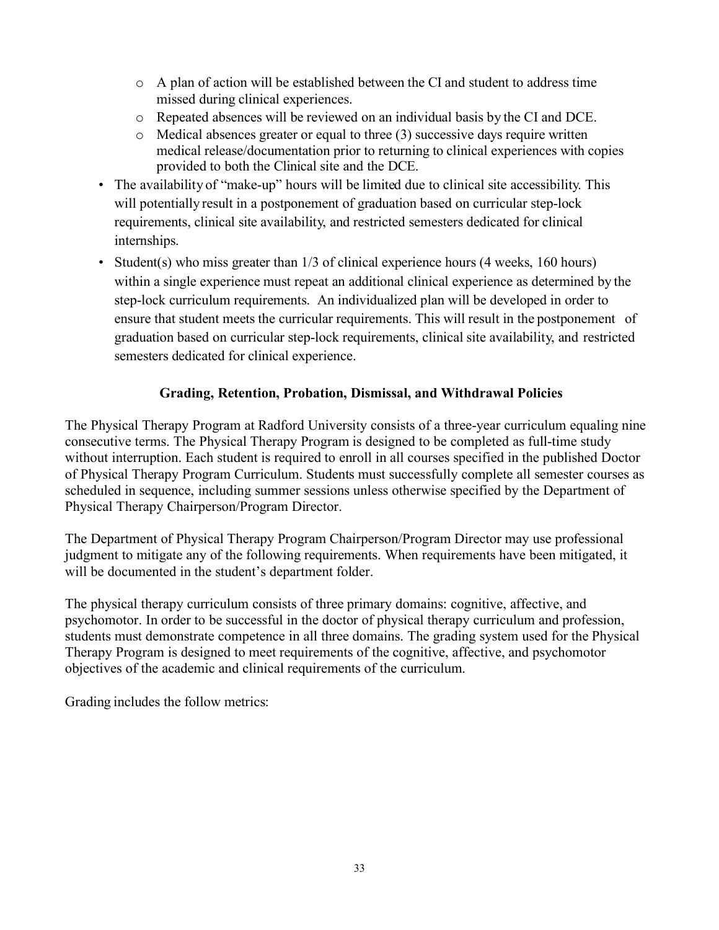- o A plan of action will be established between the CI and student to address time missed during clinical experiences.
- o Repeated absences will be reviewed on an individual basis by the CI and DCE.
- $\circ$  Medical absences greater or equal to three (3) successive days require written medical release/documentation prior to returning to clinical experiences with copies provided to both the Clinical site and the DCE.
- The availability of "make-up" hours will be limited due to clinical site accessibility. This will potentially result in a postponement of graduation based on curricular step-lock requirements, clinical site availability, and restricted semesters dedicated for clinical internships.
- Student(s) who miss greater than 1/3 of clinical experience hours (4 weeks, 160 hours) within a single experience must repeat an additional clinical experience as determined by the step-lock curriculum requirements. An individualized plan will be developed in order to ensure that student meets the curricular requirements. This will result in the postponement of graduation based on curricular step-lock requirements, clinical site availability, and restricted semesters dedicated for clinical experience.

#### **Grading, Retention, Probation, Dismissal, and Withdrawal Policies**

The Physical Therapy Program at Radford University consists of a three-year curriculum equaling nine consecutive terms. The Physical Therapy Program is designed to be completed as full-time study without interruption. Each student is required to enroll in all courses specified in the published Doctor of Physical Therapy Program Curriculum. Students must successfully complete all semester courses as scheduled in sequence, including summer sessions unless otherwise specified by the Department of Physical Therapy Chairperson/Program Director.

The Department of Physical Therapy Program Chairperson/Program Director may use professional judgment to mitigate any of the following requirements. When requirements have been mitigated, it will be documented in the student's department folder.

The physical therapy curriculum consists of three primary domains: cognitive, affective, and psychomotor. In order to be successful in the doctor of physical therapy curriculum and profession, students must demonstrate competence in all three domains. The grading system used for the Physical Therapy Program is designed to meet requirements of the cognitive, affective, and psychomotor objectives of the academic and clinical requirements of the curriculum.

Grading includes the follow metrics: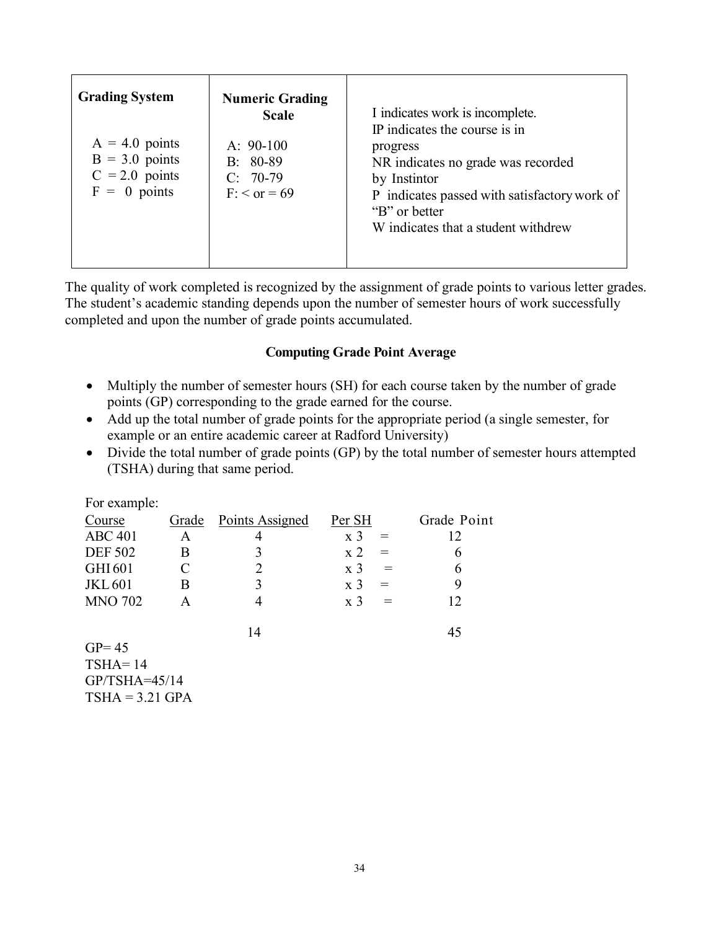| <b>Grading System</b><br>$A = 4.0$ points<br>$B = 3.0$ points<br>$C = 2.0$ points<br>$F = 0$ points | <b>Numeric Grading</b><br><b>Scale</b><br>A: $90-100$<br>$B: 80-89$<br>$C: 70-79$<br>$F: < or = 69$ | I indicates work is incomplete.<br>IP indicates the course is in<br>progress<br>NR indicates no grade was recorded<br>by Instintor<br>P indicates passed with satisfactory work of<br>"B" or better |
|-----------------------------------------------------------------------------------------------------|-----------------------------------------------------------------------------------------------------|-----------------------------------------------------------------------------------------------------------------------------------------------------------------------------------------------------|
|                                                                                                     |                                                                                                     | W indicates that a student withdrew                                                                                                                                                                 |

The quality of work completed is recognized by the assignment of grade points to various letter grades. The student's academic standing depends upon the number of semester hours of work successfully completed and upon the number of grade points accumulated.

#### **Computing Grade Point Average**

- Multiply the number of semester hours (SH) for each course taken by the number of grade points (GP) corresponding to the grade earned for the course.
- Add up the total number of grade points for the appropriate period (a single semester, for example or an entire academic career at Radford University)
- Divide the total number of grade points (GP) by the total number of semester hours attempted (TSHA) during that same period.

For example:

| Course            | Grade | Points Assigned | Per SH                | Grade Point |
|-------------------|-------|-----------------|-----------------------|-------------|
| <b>ABC</b> 401    | Α     | 4               | x <sub>3</sub><br>$=$ | 12          |
| <b>DEF 502</b>    | Β     | 3               | x <sub>2</sub><br>$=$ | 6           |
| GHI 601           | C     | 2               | x <sub>3</sub><br>$=$ | 6           |
| <b>JKL 601</b>    | B     | 3               | x <sub>3</sub><br>$=$ | 9           |
| <b>MNO 702</b>    | Α     | 4               | x <sub>3</sub><br>$=$ | 12          |
|                   |       | 14              |                       | 45          |
| $GP = 45$         |       |                 |                       |             |
| $TSHA = 14$       |       |                 |                       |             |
| $GP/TSHA=45/14$   |       |                 |                       |             |
| $TSHA = 3.21$ GPA |       |                 |                       |             |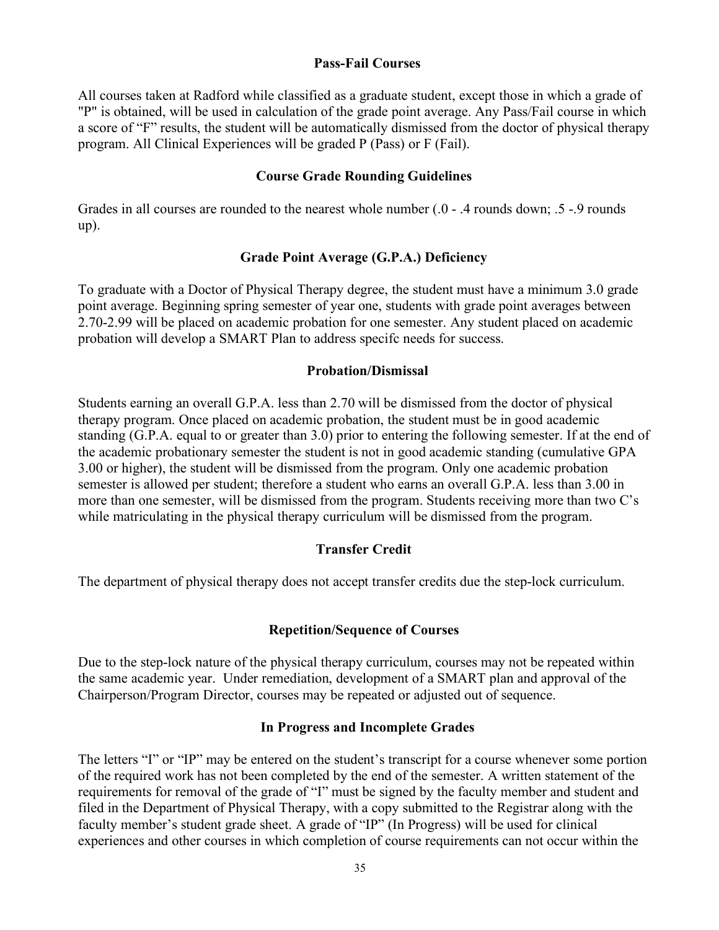#### **Pass-Fail Courses**

All courses taken at Radford while classified as a graduate student, except those in which a grade of "P" is obtained, will be used in calculation of the grade point average. Any Pass/Fail course in which a score of "F" results, the student will be automatically dismissed from the doctor of physical therapy program. All Clinical Experiences will be graded P (Pass) or F (Fail).

#### **Course Grade Rounding Guidelines**

Grades in all courses are rounded to the nearest whole number (.0 - .4 rounds down; .5 -.9 rounds up).

#### **Grade Point Average (G.P.A.) Deficiency**

To graduate with a Doctor of Physical Therapy degree, the student must have a minimum 3.0 grade point average. Beginning spring semester of year one, students with grade point averages between 2.70-2.99 will be placed on academic probation for one semester. Any student placed on academic probation will develop a SMART Plan to address specifc needs for success.

#### **Probation/Dismissal**

Students earning an overall G.P.A. less than 2.70 will be dismissed from the doctor of physical therapy program. Once placed on academic probation, the student must be in good academic standing (G.P.A. equal to or greater than 3.0) prior to entering the following semester. If at the end of the academic probationary semester the student is not in good academic standing (cumulative GPA 3.00 or higher), the student will be dismissed from the program. Only one academic probation semester is allowed per student; therefore a student who earns an overall G.P.A. less than 3.00 in more than one semester, will be dismissed from the program. Students receiving more than two C's while matriculating in the physical therapy curriculum will be dismissed from the program.

#### **Transfer Credit**

The department of physical therapy does not accept transfer credits due the step-lock curriculum.

#### **Repetition/Sequence of Courses**

Due to the step-lock nature of the physical therapy curriculum, courses may not be repeated within the same academic year. Under remediation, development of a SMART plan and approval of the Chairperson/Program Director, courses may be repeated or adjusted out of sequence.

#### **In Progress and Incomplete Grades**

The letters "I" or "IP" may be entered on the student's transcript for a course whenever some portion of the required work has not been completed by the end of the semester. A written statement of the requirements for removal of the grade of "I" must be signed by the faculty member and student and filed in the Department of Physical Therapy, with a copy submitted to the Registrar along with the faculty member's student grade sheet. A grade of "IP" (In Progress) will be used for clinical experiences and other courses in which completion of course requirements can not occur within the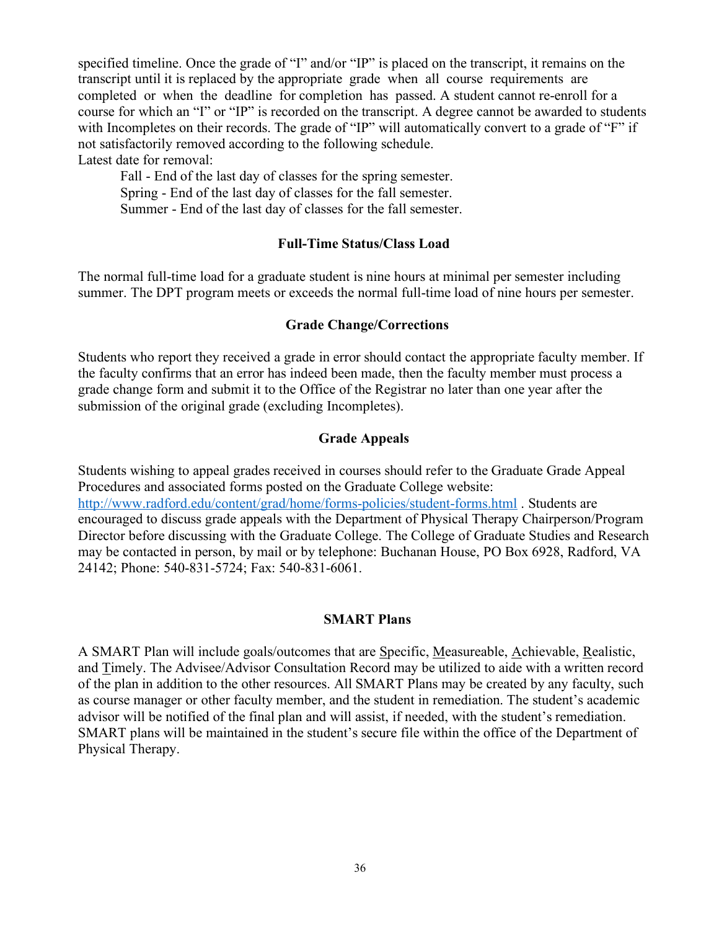specified timeline. Once the grade of "I" and/or "IP" is placed on the transcript, it remains on the transcript until it is replaced by the appropriate grade when all course requirements are completed or when the deadline for completion has passed. A student cannot re-enroll for a course for which an "I" or "IP" is recorded on the transcript. A degree cannot be awarded to students with Incompletes on their records. The grade of "IP" will automatically convert to a grade of "F" if not satisfactorily removed according to the following schedule. Latest date for removal:

Fall - End of the last day of classes for the spring semester. Spring - End of the last day of classes for the fall semester. Summer - End of the last day of classes for the fall semester.

#### **Full-Time Status/Class Load**

The normal full-time load for a graduate student is nine hours at minimal per semester including summer. The DPT program meets or exceeds the normal full-time load of nine hours per semester.

#### **Grade Change/Corrections**

Students who report they received a grade in error should contact the appropriate faculty member. If the faculty confirms that an error has indeed been made, then the faculty member must process a grade change form and submit it to the Office of the Registrar no later than one year after the submission of the original grade (excluding Incompletes).

#### **Grade Appeals**

Students wishing to appeal grades received in courses should refer to the Graduate Grade Appeal Procedures and associated forms posted on the Graduate College website: http://www.radford.edu/content/grad/home/forms-policies/student-forms.html . Students are encouraged to discuss grade appeals with the Department of Physical Therapy Chairperson/Program Director before discussing with the Graduate College. The College of Graduate Studies and Research may be contacted in person, by mail or by telephone: Buchanan House, PO Box 6928, Radford, VA 24142; Phone: 540-831-5724; Fax: 540-831-6061.

#### **SMART Plans**

A SMART Plan will include goals/outcomes that are Specific, Measureable, Achievable, Realistic, and Timely. The Advisee/Advisor Consultation Record may be utilized to aide with a written record of the plan in addition to the other resources. All SMART Plans may be created by any faculty, such as course manager or other faculty member, and the student in remediation. The student's academic advisor will be notified of the final plan and will assist, if needed, with the student's remediation. SMART plans will be maintained in the student's secure file within the office of the Department of Physical Therapy.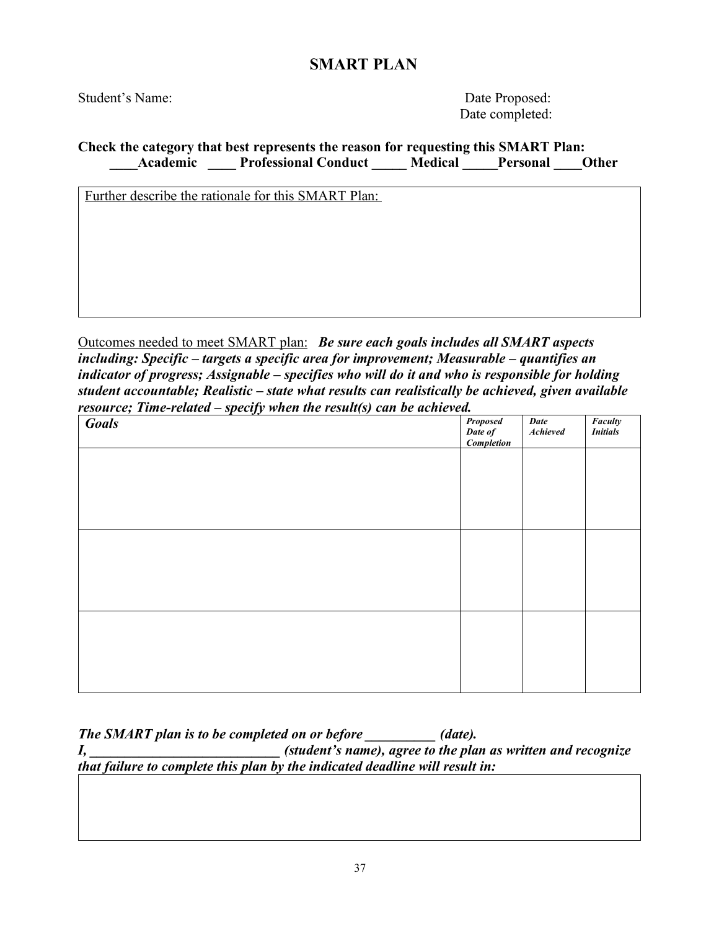#### **SMART PLAN**

Student's Name: <br>
Date Proposed:

Date completed:

#### **Check the category that best represents the reason for requesting this SMART Plan: \_\_\_\_Academic \_\_\_\_ Professional Conduct \_\_\_\_\_ Medical \_\_\_\_\_Personal \_\_\_\_Other**

| Further describe the rationale for this SMART Plan: |  |
|-----------------------------------------------------|--|
|                                                     |  |
|                                                     |  |
|                                                     |  |
|                                                     |  |
|                                                     |  |

Outcomes needed to meet SMART plan: *Be sure each goals includes all SMART aspects including: Specific – targets a specific area for improvement; Measurable – quantifies an indicator of progress; Assignable – specifies who will do it and who is responsible for holding student accountable; Realistic – state what results can realistically be achieved, given available resource; Time-related – specify when the result(s) can be achieved.*

| $-1$ $-1$ $-1$ $-1$<br>$\mathbf{r}$<br><b>Goals</b> | Proposed<br>Date of<br>Completion | Date<br>$A$ chieved | <b>Faculty</b><br><b>Initials</b> |
|-----------------------------------------------------|-----------------------------------|---------------------|-----------------------------------|
|                                                     |                                   |                     |                                   |
|                                                     |                                   |                     |                                   |
|                                                     |                                   |                     |                                   |
|                                                     |                                   |                     |                                   |
|                                                     |                                   |                     |                                   |
|                                                     |                                   |                     |                                   |
|                                                     |                                   |                     |                                   |
|                                                     |                                   |                     |                                   |
|                                                     |                                   |                     |                                   |

*The SMART plan is to be completed on or before \_\_\_\_\_\_\_\_\_\_ (date). I*, \_\_\_\_\_\_\_\_\_\_\_\_\_\_\_\_\_\_\_\_\_\_\_\_\_\_\_\_(student's name), agree to the plan as written and recognize *that failure to complete this plan by the indicated deadline will result in:*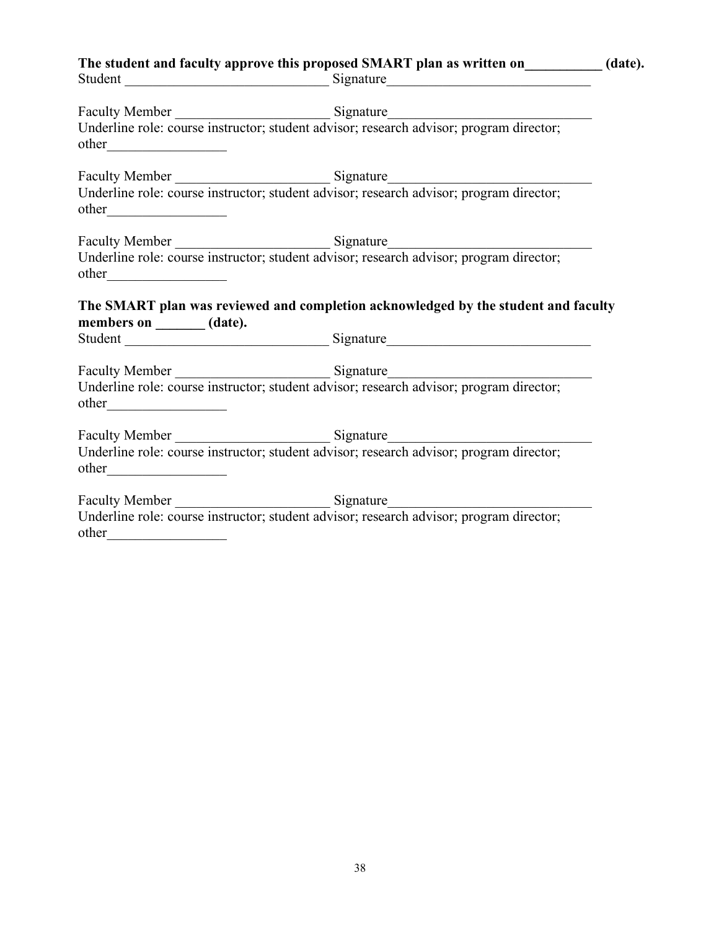|                           | The student and faculty approve this proposed SMART plan as written on__________ (date).                            |  |
|---------------------------|---------------------------------------------------------------------------------------------------------------------|--|
|                           |                                                                                                                     |  |
|                           | Faculty Member Signature<br>Underline role: course instructor; student advisor; research advisor; program director; |  |
|                           | Faculty Member Signature<br>Underline role: course instructor; student advisor; research advisor; program director; |  |
| other                     |                                                                                                                     |  |
|                           |                                                                                                                     |  |
|                           | Faculty Member Signature<br>Underline role: course instructor; student advisor; research advisor; program director; |  |
| members on ______ (date). | The SMART plan was reviewed and completion acknowledged by the student and faculty                                  |  |
|                           |                                                                                                                     |  |
|                           |                                                                                                                     |  |
| other                     | Underline role: course instructor; student advisor; research advisor; program director;                             |  |
|                           |                                                                                                                     |  |
|                           | Faculty Member Signature<br>Underline role: course instructor; student advisor; research advisor; program director; |  |
|                           |                                                                                                                     |  |
| other                     |                                                                                                                     |  |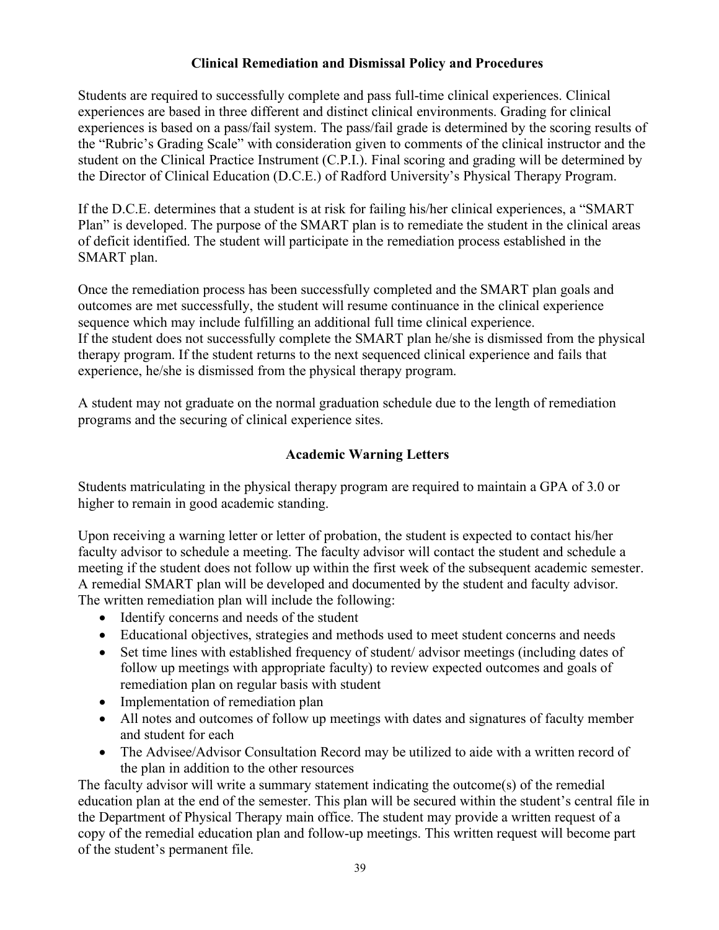#### **Clinical Remediation and Dismissal Policy and Procedures**

Students are required to successfully complete and pass full-time clinical experiences. Clinical experiences are based in three different and distinct clinical environments. Grading for clinical experiences is based on a pass/fail system. The pass/fail grade is determined by the scoring results of the "Rubric's Grading Scale" with consideration given to comments of the clinical instructor and the student on the Clinical Practice Instrument (C.P.I.). Final scoring and grading will be determined by the Director of Clinical Education (D.C.E.) of Radford University's Physical Therapy Program.

If the D.C.E. determines that a student is at risk for failing his/her clinical experiences, a "SMART Plan" is developed. The purpose of the SMART plan is to remediate the student in the clinical areas of deficit identified. The student will participate in the remediation process established in the SMART plan.

Once the remediation process has been successfully completed and the SMART plan goals and outcomes are met successfully, the student will resume continuance in the clinical experience sequence which may include fulfilling an additional full time clinical experience. If the student does not successfully complete the SMART plan he/she is dismissed from the physical therapy program. If the student returns to the next sequenced clinical experience and fails that experience, he/she is dismissed from the physical therapy program.

A student may not graduate on the normal graduation schedule due to the length of remediation programs and the securing of clinical experience sites.

#### **Academic Warning Letters**

Students matriculating in the physical therapy program are required to maintain a GPA of 3.0 or higher to remain in good academic standing.

Upon receiving a warning letter or letter of probation, the student is expected to contact his/her faculty advisor to schedule a meeting. The faculty advisor will contact the student and schedule a meeting if the student does not follow up within the first week of the subsequent academic semester. A remedial SMART plan will be developed and documented by the student and faculty advisor. The written remediation plan will include the following:

- Identify concerns and needs of the student
- Educational objectives, strategies and methods used to meet student concerns and needs
- Set time lines with established frequency of student/ advisor meetings (including dates of follow up meetings with appropriate faculty) to review expected outcomes and goals of remediation plan on regular basis with student
- Implementation of remediation plan
- All notes and outcomes of follow up meetings with dates and signatures of faculty member and student for each
- The Advisee/Advisor Consultation Record may be utilized to aide with a written record of the plan in addition to the other resources

The faculty advisor will write a summary statement indicating the outcome(s) of the remedial education plan at the end of the semester. This plan will be secured within the student's central file in the Department of Physical Therapy main office. The student may provide a written request of a copy of the remedial education plan and follow-up meetings. This written request will become part of the student's permanent file.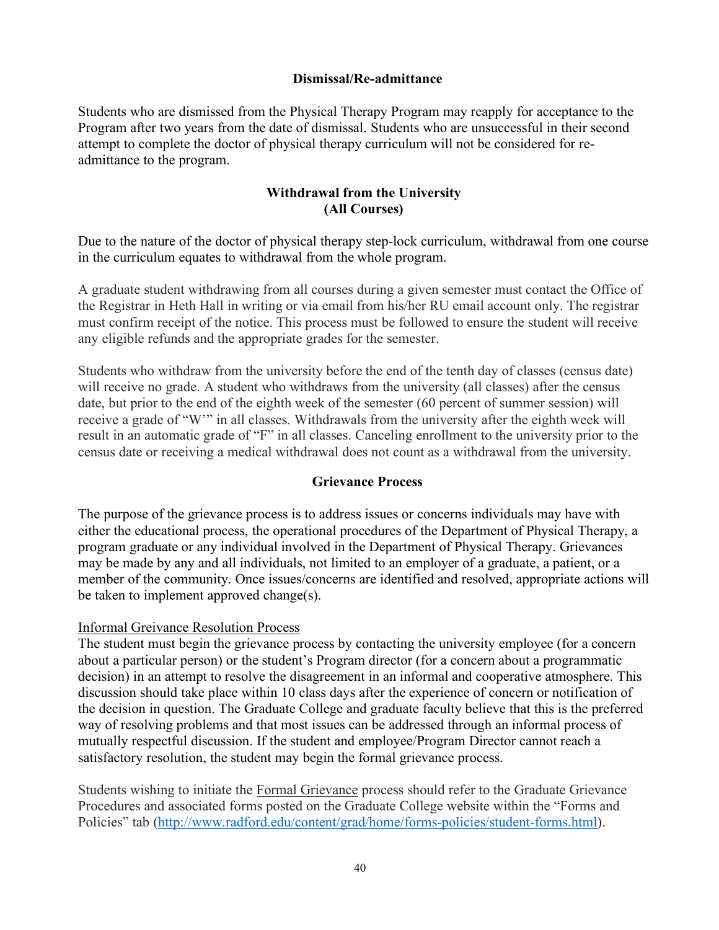#### **Dismissal/Re-admittance**

Students who are dismissed from the Physical Therapy Program may reapply for acceptance to the Program after two years from the date of dismissal. Students who are unsuccessful in their second attempt to complete the doctor of physical therapy curriculum will not be considered for readmittance to the program.

#### **Withdrawal from the University (All Courses)**

Due to the nature of the doctor of physical therapy step-lock curriculum, withdrawal from one course in the curriculum equates to withdrawal from the whole program.

A graduate student withdrawing from all courses during a given semester must contact the Office of the Registrar in Heth Hall in writing or via email from his/her RU email account only. The registrar must confirm receipt of the notice. This process must be followed to ensure the student will receive any eligible refunds and the appropriate grades for the semester.

Students who withdraw from the university before the end of the tenth day of classes (census date) will receive no grade. A student who withdraws from the university (all classes) after the census date, but prior to the end of the eighth week of the semester (60 percent of summer session) will receive a grade of "W'" in all classes. Withdrawals from the university after the eighth week will result in an automatic grade of "F" in all classes. Canceling enrollment to the university prior to the census date or receiving a medical withdrawal does not count as a withdrawal from the university.

#### **Grievance Process**

The purpose of the grievance process is to address issues or concerns individuals may have with either the educational process, the operational procedures of the Department of Physical Therapy, a program graduate or any individual involved in the Department of Physical Therapy. Grievances may be made by any and all individuals, not limited to an employer of a graduate, a patient, or a member of the community. Once issues/concerns are identified and resolved, appropriate actions will be taken to implement approved change(s).

#### Informal Greivance Resolution Process

The student must begin the grievance process by contacting the university employee (for a concern about a particular person) or the student's Program director (for a concern about a programmatic decision) in an attempt to resolve the disagreement in an informal and cooperative atmosphere. This discussion should take place within 10 class days after the experience of concern or notification of the decision in question. The Graduate College and graduate faculty believe that this is the preferred way of resolving problems and that most issues can be addressed through an informal process of mutually respectful discussion. If the student and employee/Program Director cannot reach a satisfactory resolution, the student may begin the formal grievance process.

Students wishing to initiate the Formal Grievance process should refer to the Graduate Grievance Procedures and associated forms posted on the Graduate College website within the "Forms and Policies" tab (http://www.radford.edu/content/grad/home/forms-policies/student-forms.html).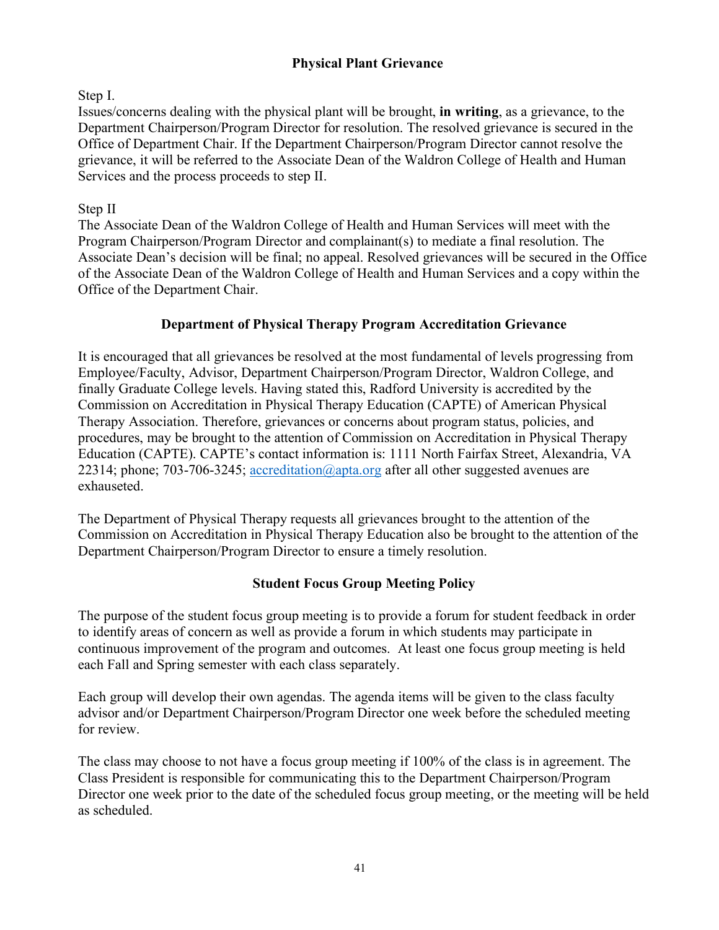#### **Physical Plant Grievance**

Step I.

Issues/concerns dealing with the physical plant will be brought, **in writing**, as a grievance, to the Department Chairperson/Program Director for resolution. The resolved grievance is secured in the Office of Department Chair. If the Department Chairperson/Program Director cannot resolve the grievance, it will be referred to the Associate Dean of the Waldron College of Health and Human Services and the process proceeds to step II.

#### Step II

The Associate Dean of the Waldron College of Health and Human Services will meet with the Program Chairperson/Program Director and complainant(s) to mediate a final resolution. The Associate Dean's decision will be final; no appeal. Resolved grievances will be secured in the Office of the Associate Dean of the Waldron College of Health and Human Services and a copy within the Office of the Department Chair.

#### **Department of Physical Therapy Program Accreditation Grievance**

It is encouraged that all grievances be resolved at the most fundamental of levels progressing from Employee/Faculty, Advisor, Department Chairperson/Program Director, Waldron College, and finally Graduate College levels. Having stated this, Radford University is accredited by the Commission on Accreditation in Physical Therapy Education (CAPTE) of American Physical Therapy Association. Therefore, grievances or concerns about program status, policies, and procedures, may be brought to the attention of Commission on Accreditation in Physical Therapy Education (CAPTE). CAPTE's contact information is: 1111 North Fairfax Street, Alexandria, VA 22314; phone; 703-706-3245; accreditation@apta.org after all other suggested avenues are exhauseted.

The Department of Physical Therapy requests all grievances brought to the attention of the Commission on Accreditation in Physical Therapy Education also be brought to the attention of the Department Chairperson/Program Director to ensure a timely resolution.

#### **Student Focus Group Meeting Policy**

The purpose of the student focus group meeting is to provide a forum for student feedback in order to identify areas of concern as well as provide a forum in which students may participate in continuous improvement of the program and outcomes. At least one focus group meeting is held each Fall and Spring semester with each class separately.

Each group will develop their own agendas. The agenda items will be given to the class faculty advisor and/or Department Chairperson/Program Director one week before the scheduled meeting for review.

The class may choose to not have a focus group meeting if 100% of the class is in agreement. The Class President is responsible for communicating this to the Department Chairperson/Program Director one week prior to the date of the scheduled focus group meeting, or the meeting will be held as scheduled.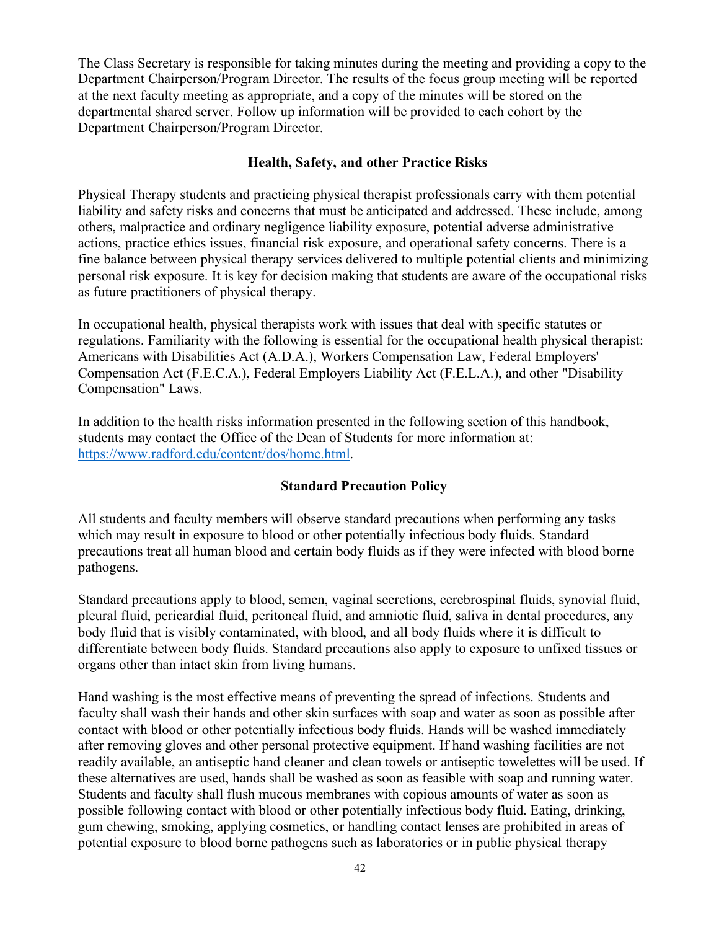The Class Secretary is responsible for taking minutes during the meeting and providing a copy to the Department Chairperson/Program Director. The results of the focus group meeting will be reported at the next faculty meeting as appropriate, and a copy of the minutes will be stored on the departmental shared server. Follow up information will be provided to each cohort by the Department Chairperson/Program Director.

#### **Health, Safety, and other Practice Risks**

Physical Therapy students and practicing physical therapist professionals carry with them potential liability and safety risks and concerns that must be anticipated and addressed. These include, among others, malpractice and ordinary negligence liability exposure, potential adverse administrative actions, practice ethics issues, financial risk exposure, and operational safety concerns. There is a fine balance between physical therapy services delivered to multiple potential clients and minimizing personal risk exposure. It is key for decision making that students are aware of the occupational risks as future practitioners of physical therapy.

In occupational health, physical therapists work with issues that deal with specific statutes or regulations. Familiarity with the following is essential for the occupational health physical therapist: Americans with Disabilities Act (A.D.A.), Workers Compensation Law, Federal Employers' Compensation Act (F.E.C.A.), Federal Employers Liability Act (F.E.L.A.), and other "Disability Compensation" Laws.

In addition to the health risks information presented in the following section of this handbook, students may contact the Office of the Dean of Students for more information at: https://www.radford.edu/content/dos/home.html.

#### **Standard Precaution Policy**

All students and faculty members will observe standard precautions when performing any tasks which may result in exposure to blood or other potentially infectious body fluids. Standard precautions treat all human blood and certain body fluids as if they were infected with blood borne pathogens.

Standard precautions apply to blood, semen, vaginal secretions, cerebrospinal fluids, synovial fluid, pleural fluid, pericardial fluid, peritoneal fluid, and amniotic fluid, saliva in dental procedures, any body fluid that is visibly contaminated, with blood, and all body fluids where it is difficult to differentiate between body fluids. Standard precautions also apply to exposure to unfixed tissues or organs other than intact skin from living humans.

Hand washing is the most effective means of preventing the spread of infections. Students and faculty shall wash their hands and other skin surfaces with soap and water as soon as possible after contact with blood or other potentially infectious body fluids. Hands will be washed immediately after removing gloves and other personal protective equipment. If hand washing facilities are not readily available, an antiseptic hand cleaner and clean towels or antiseptic towelettes will be used. If these alternatives are used, hands shall be washed as soon as feasible with soap and running water. Students and faculty shall flush mucous membranes with copious amounts of water as soon as possible following contact with blood or other potentially infectious body fluid. Eating, drinking, gum chewing, smoking, applying cosmetics, or handling contact lenses are prohibited in areas of potential exposure to blood borne pathogens such as laboratories or in public physical therapy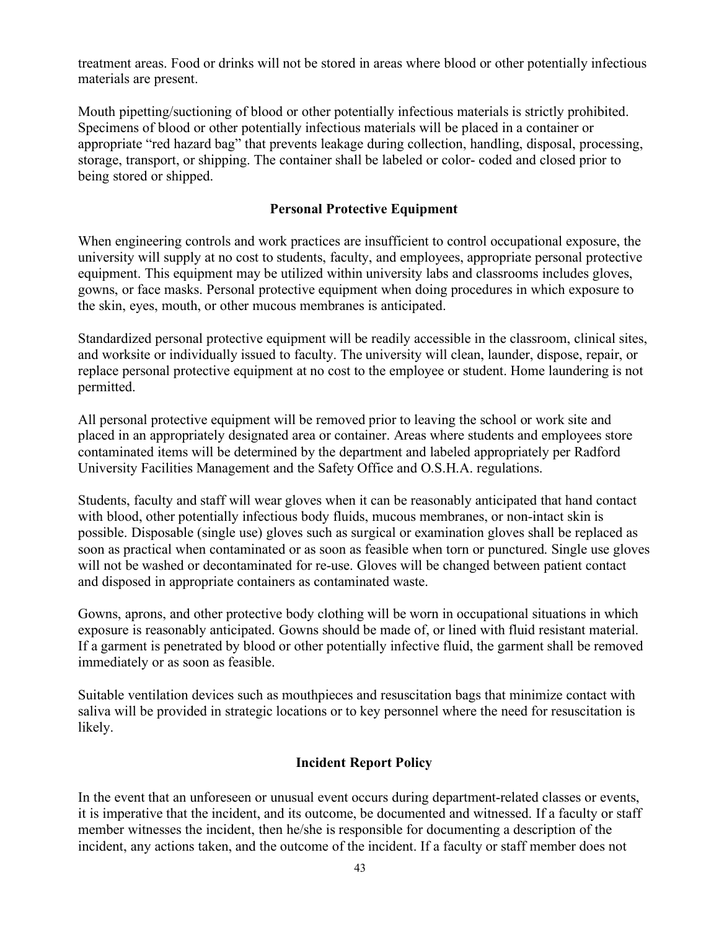treatment areas. Food or drinks will not be stored in areas where blood or other potentially infectious materials are present.

Mouth pipetting/suctioning of blood or other potentially infectious materials is strictly prohibited. Specimens of blood or other potentially infectious materials will be placed in a container or appropriate "red hazard bag" that prevents leakage during collection, handling, disposal, processing, storage, transport, or shipping. The container shall be labeled or color- coded and closed prior to being stored or shipped.

#### **Personal Protective Equipment**

When engineering controls and work practices are insufficient to control occupational exposure, the university will supply at no cost to students, faculty, and employees, appropriate personal protective equipment. This equipment may be utilized within university labs and classrooms includes gloves, gowns, or face masks. Personal protective equipment when doing procedures in which exposure to the skin, eyes, mouth, or other mucous membranes is anticipated.

Standardized personal protective equipment will be readily accessible in the classroom, clinical sites, and worksite or individually issued to faculty. The university will clean, launder, dispose, repair, or replace personal protective equipment at no cost to the employee or student. Home laundering is not permitted.

All personal protective equipment will be removed prior to leaving the school or work site and placed in an appropriately designated area or container. Areas where students and employees store contaminated items will be determined by the department and labeled appropriately per Radford University Facilities Management and the Safety Office and O.S.H.A. regulations.

Students, faculty and staff will wear gloves when it can be reasonably anticipated that hand contact with blood, other potentially infectious body fluids, mucous membranes, or non-intact skin is possible. Disposable (single use) gloves such as surgical or examination gloves shall be replaced as soon as practical when contaminated or as soon as feasible when torn or punctured. Single use gloves will not be washed or decontaminated for re-use. Gloves will be changed between patient contact and disposed in appropriate containers as contaminated waste.

Gowns, aprons, and other protective body clothing will be worn in occupational situations in which exposure is reasonably anticipated. Gowns should be made of, or lined with fluid resistant material. If a garment is penetrated by blood or other potentially infective fluid, the garment shall be removed immediately or as soon as feasible.

Suitable ventilation devices such as mouthpieces and resuscitation bags that minimize contact with saliva will be provided in strategic locations or to key personnel where the need for resuscitation is likely.

#### **Incident Report Policy**

In the event that an unforeseen or unusual event occurs during department-related classes or events, it is imperative that the incident, and its outcome, be documented and witnessed. If a faculty or staff member witnesses the incident, then he/she is responsible for documenting a description of the incident, any actions taken, and the outcome of the incident. If a faculty or staff member does not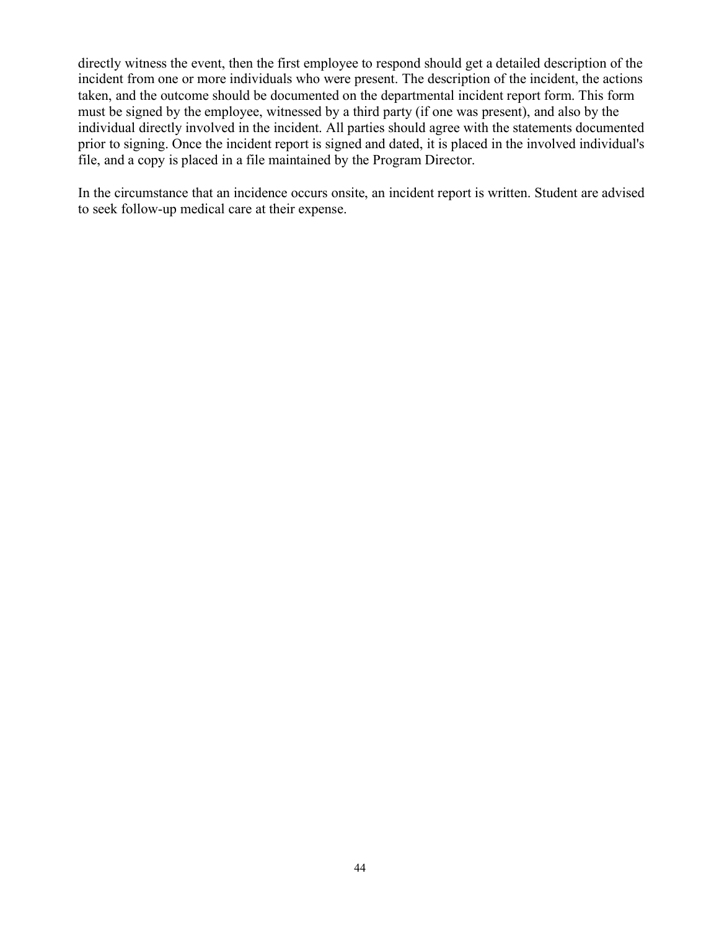directly witness the event, then the first employee to respond should get a detailed description of the incident from one or more individuals who were present. The description of the incident, the actions taken, and the outcome should be documented on the departmental incident report form. This form must be signed by the employee, witnessed by a third party (if one was present), and also by the individual directly involved in the incident. All parties should agree with the statements documented prior to signing. Once the incident report is signed and dated, it is placed in the involved individual's file, and a copy is placed in a file maintained by the Program Director.

In the circumstance that an incidence occurs onsite, an incident report is written. Student are advised to seek follow-up medical care at their expense.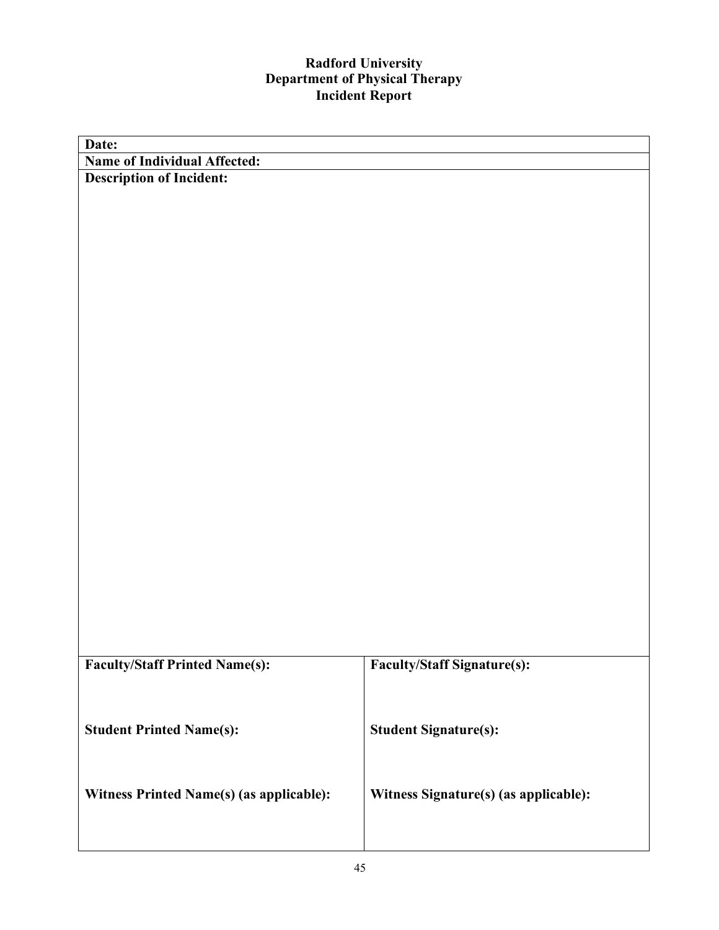#### **Radford University Department of Physical Therapy Incident Report**

| Date:                                    |                                       |
|------------------------------------------|---------------------------------------|
| <b>Name of Individual Affected:</b>      |                                       |
| <b>Description of Incident:</b>          |                                       |
|                                          |                                       |
|                                          |                                       |
|                                          |                                       |
|                                          |                                       |
|                                          |                                       |
|                                          |                                       |
|                                          |                                       |
|                                          |                                       |
|                                          |                                       |
|                                          |                                       |
|                                          |                                       |
|                                          |                                       |
|                                          |                                       |
|                                          |                                       |
|                                          |                                       |
|                                          |                                       |
|                                          |                                       |
|                                          |                                       |
|                                          |                                       |
|                                          |                                       |
|                                          |                                       |
|                                          |                                       |
|                                          |                                       |
|                                          |                                       |
| <b>Faculty/Staff Printed Name(s):</b>    | Faculty/Staff Signature(s):           |
|                                          |                                       |
|                                          |                                       |
| <b>Student Printed Name(s):</b>          | <b>Student Signature(s):</b>          |
|                                          |                                       |
|                                          |                                       |
|                                          |                                       |
| Witness Printed Name(s) (as applicable): | Witness Signature(s) (as applicable): |
|                                          |                                       |
|                                          |                                       |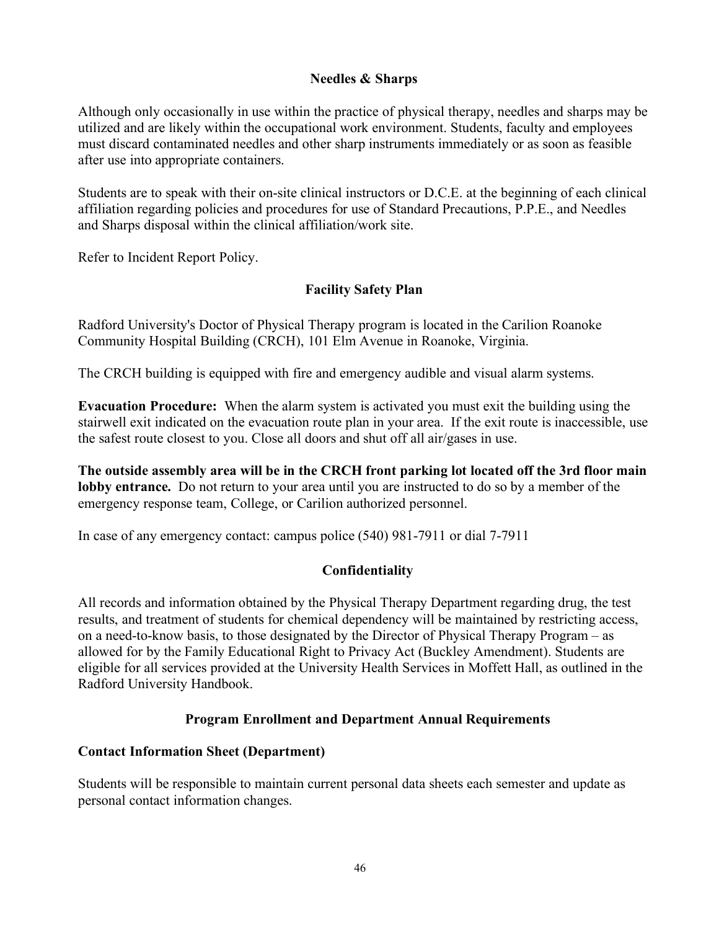#### **Needles & Sharps**

Although only occasionally in use within the practice of physical therapy, needles and sharps may be utilized and are likely within the occupational work environment. Students, faculty and employees must discard contaminated needles and other sharp instruments immediately or as soon as feasible after use into appropriate containers.

Students are to speak with their on-site clinical instructors or D.C.E. at the beginning of each clinical affiliation regarding policies and procedures for use of Standard Precautions, P.P.E., and Needles and Sharps disposal within the clinical affiliation/work site.

Refer to Incident Report Policy.

#### **Facility Safety Plan**

Radford University's Doctor of Physical Therapy program is located in the Carilion Roanoke Community Hospital Building (CRCH), 101 Elm Avenue in Roanoke, Virginia.

The CRCH building is equipped with fire and emergency audible and visual alarm systems.

**Evacuation Procedure:** When the alarm system is activated you must exit the building using the stairwell exit indicated on the evacuation route plan in your area. If the exit route is inaccessible, use the safest route closest to you. Close all doors and shut off all air/gases in use.

**The outside assembly area will be in the CRCH front parking lot located off the 3rd floor main lobby entrance.** Do not return to your area until you are instructed to do so by a member of the emergency response team, College, or Carilion authorized personnel.

In case of any emergency contact: campus police (540) 981-7911 or dial 7-7911

#### **Confidentiality**

All records and information obtained by the Physical Therapy Department regarding drug, the test results, and treatment of students for chemical dependency will be maintained by restricting access, on a need-to-know basis, to those designated by the Director of Physical Therapy Program – as allowed for by the Family Educational Right to Privacy Act (Buckley Amendment). Students are eligible for all services provided at the University Health Services in Moffett Hall, as outlined in the Radford University Handbook.

#### **Program Enrollment and Department Annual Requirements**

#### **Contact Information Sheet (Department)**

Students will be responsible to maintain current personal data sheets each semester and update as personal contact information changes.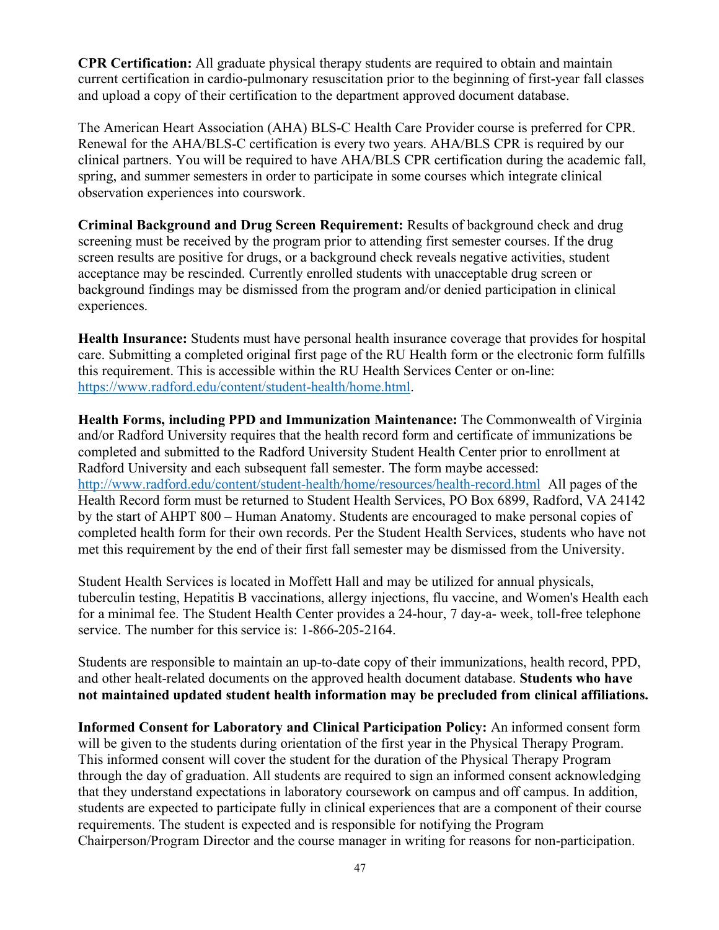**CPR Certification:** All graduate physical therapy students are required to obtain and maintain current certification in cardio-pulmonary resuscitation prior to the beginning of first-year fall classes and upload a copy of their certification to the department approved document database.

The American Heart Association (AHA) BLS-C Health Care Provider course is preferred for CPR. Renewal for the AHA/BLS-C certification is every two years. AHA/BLS CPR is required by our clinical partners. You will be required to have AHA/BLS CPR certification during the academic fall, spring, and summer semesters in order to participate in some courses which integrate clinical observation experiences into courswork.

**Criminal Background and Drug Screen Requirement:** Results of background check and drug screening must be received by the program prior to attending first semester courses. If the drug screen results are positive for drugs, or a background check reveals negative activities, student acceptance may be rescinded. Currently enrolled students with unacceptable drug screen or background findings may be dismissed from the program and/or denied participation in clinical experiences.

**Health Insurance:** Students must have personal health insurance coverage that provides for hospital care. Submitting a completed original first page of the RU Health form or the electronic form fulfills this requirement. This is accessible within the RU Health Services Center or on-line: https://www.radford.edu/content/student-health/home.html.

**Health Forms, including PPD and Immunization Maintenance:** The Commonwealth of Virginia and/or Radford University requires that the health record form and certificate of immunizations be completed and submitted to the Radford University Student Health Center prior to enrollment at Radford University and each subsequent fall semester. The form maybe accessed: http://www.radford.edu/content/student-health/home/resources/health-record.html All pages of the Health Record form must be returned to Student Health Services, PO Box 6899, Radford, VA 24142 by the start of AHPT 800 – Human Anatomy. Students are encouraged to make personal copies of completed health form for their own records. Per the Student Health Services, students who have not met this requirement by the end of their first fall semester may be dismissed from the University.

Student Health Services is located in Moffett Hall and may be utilized for annual physicals, tuberculin testing, Hepatitis B vaccinations, allergy injections, flu vaccine, and Women's Health each for a minimal fee. The Student Health Center provides a 24-hour, 7 day-a- week, toll-free telephone service. The number for this service is: 1-866-205-2164.

Students are responsible to maintain an up-to-date copy of their immunizations, health record, PPD, and other healt-related documents on the approved health document database. **Students who have not maintained updated student health information may be precluded from clinical affiliations.**

**Informed Consent for Laboratory and Clinical Participation Policy:** An informed consent form will be given to the students during orientation of the first year in the Physical Therapy Program. This informed consent will cover the student for the duration of the Physical Therapy Program through the day of graduation. All students are required to sign an informed consent acknowledging that they understand expectations in laboratory coursework on campus and off campus. In addition, students are expected to participate fully in clinical experiences that are a component of their course requirements. The student is expected and is responsible for notifying the Program Chairperson/Program Director and the course manager in writing for reasons for non-participation.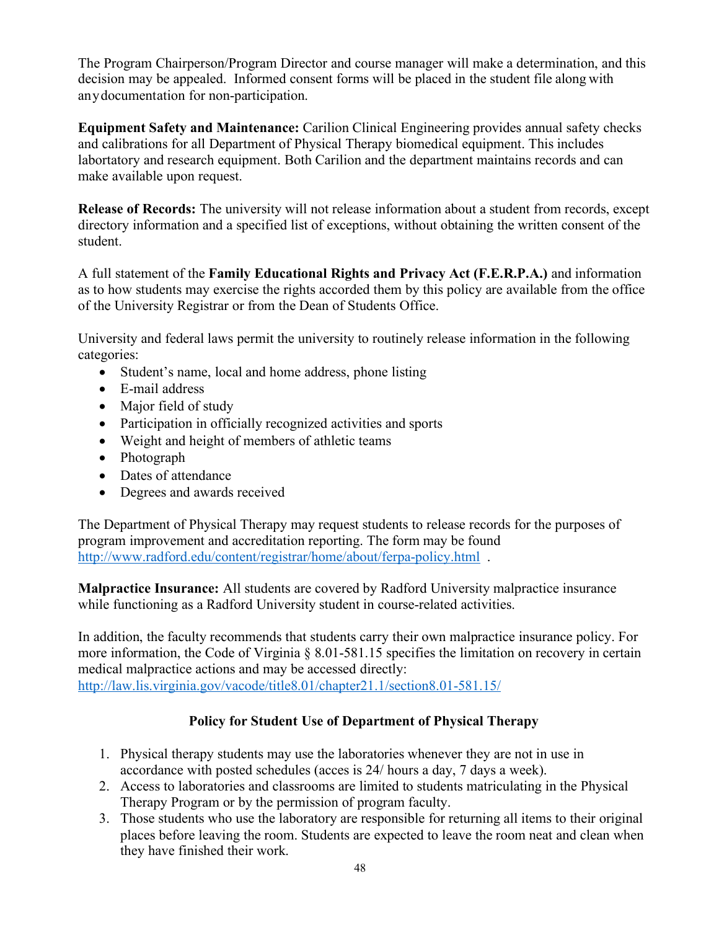The Program Chairperson/Program Director and course manager will make a determination, and this decision may be appealed. Informed consent forms will be placed in the student file along with anydocumentation for non-participation.

**Equipment Safety and Maintenance:** Carilion Clinical Engineering provides annual safety checks and calibrations for all Department of Physical Therapy biomedical equipment. This includes labortatory and research equipment. Both Carilion and the department maintains records and can make available upon request.

**Release of Records:** The university will not release information about a student from records, except directory information and a specified list of exceptions, without obtaining the written consent of the student.

A full statement of the **Family Educational Rights and Privacy Act (F.E.R.P.A.)** and information as to how students may exercise the rights accorded them by this policy are available from the office of the University Registrar or from the Dean of Students Office.

University and federal laws permit the university to routinely release information in the following categories:

- Student's name, local and home address, phone listing
- E-mail address
- Major field of study
- Participation in officially recognized activities and sports
- Weight and height of members of athletic teams
- Photograph
- Dates of attendance
- Degrees and awards received

The Department of Physical Therapy may request students to release records for the purposes of program improvement and accreditation reporting. The form may be found http://www.radford.edu/content/registrar/home/about/ferpa-policy.html .

**Malpractice Insurance:** All students are covered by Radford University malpractice insurance while functioning as a Radford University student in course-related activities.

In addition, the faculty recommends that students carry their own malpractice insurance policy. For more information, the Code of Virginia § 8.01-581.15 specifies the limitation on recovery in certain medical malpractice actions and may be accessed directly:

http://law.lis.virginia.gov/vacode/title8.01/chapter21.1/section8.01-581.15/

#### **Policy for Student Use of Department of Physical Therapy**

- 1. Physical therapy students may use the laboratories whenever they are not in use in accordance with posted schedules (acces is 24/ hours a day, 7 days a week).
- 2. Access to laboratories and classrooms are limited to students matriculating in the Physical Therapy Program or by the permission of program faculty.
- 3. Those students who use the laboratory are responsible for returning all items to their original places before leaving the room. Students are expected to leave the room neat and clean when they have finished their work.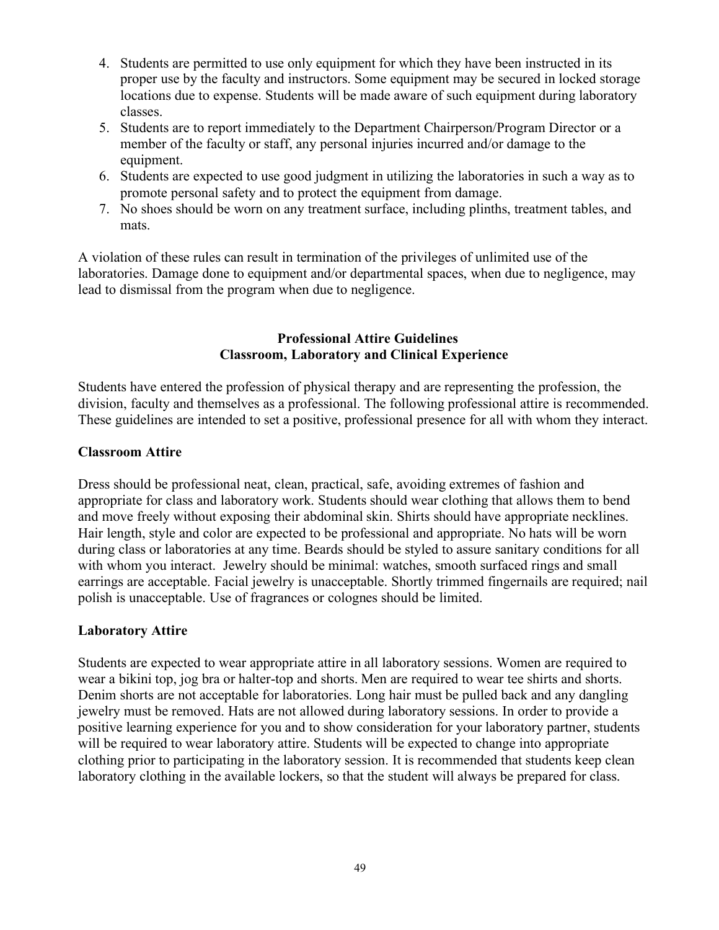- 4. Students are permitted to use only equipment for which they have been instructed in its proper use by the faculty and instructors. Some equipment may be secured in locked storage locations due to expense. Students will be made aware of such equipment during laboratory classes.
- 5. Students are to report immediately to the Department Chairperson/Program Director or a member of the faculty or staff, any personal injuries incurred and/or damage to the equipment.
- 6. Students are expected to use good judgment in utilizing the laboratories in such a way as to promote personal safety and to protect the equipment from damage.
- 7. No shoes should be worn on any treatment surface, including plinths, treatment tables, and mats.

A violation of these rules can result in termination of the privileges of unlimited use of the laboratories. Damage done to equipment and/or departmental spaces, when due to negligence, may lead to dismissal from the program when due to negligence.

#### **Professional Attire Guidelines Classroom, Laboratory and Clinical Experience**

Students have entered the profession of physical therapy and are representing the profession, the division, faculty and themselves as a professional. The following professional attire is recommended. These guidelines are intended to set a positive, professional presence for all with whom they interact.

#### **Classroom Attire**

Dress should be professional neat, clean, practical, safe, avoiding extremes of fashion and appropriate for class and laboratory work. Students should wear clothing that allows them to bend and move freely without exposing their abdominal skin. Shirts should have appropriate necklines. Hair length, style and color are expected to be professional and appropriate. No hats will be worn during class or laboratories at any time. Beards should be styled to assure sanitary conditions for all with whom you interact. Jewelry should be minimal: watches, smooth surfaced rings and small earrings are acceptable. Facial jewelry is unacceptable. Shortly trimmed fingernails are required; nail polish is unacceptable. Use of fragrances or colognes should be limited.

#### **Laboratory Attire**

Students are expected to wear appropriate attire in all laboratory sessions. Women are required to wear a bikini top, jog bra or halter-top and shorts. Men are required to wear tee shirts and shorts. Denim shorts are not acceptable for laboratories. Long hair must be pulled back and any dangling jewelry must be removed. Hats are not allowed during laboratory sessions. In order to provide a positive learning experience for you and to show consideration for your laboratory partner, students will be required to wear laboratory attire. Students will be expected to change into appropriate clothing prior to participating in the laboratory session. It is recommended that students keep clean laboratory clothing in the available lockers, so that the student will always be prepared for class.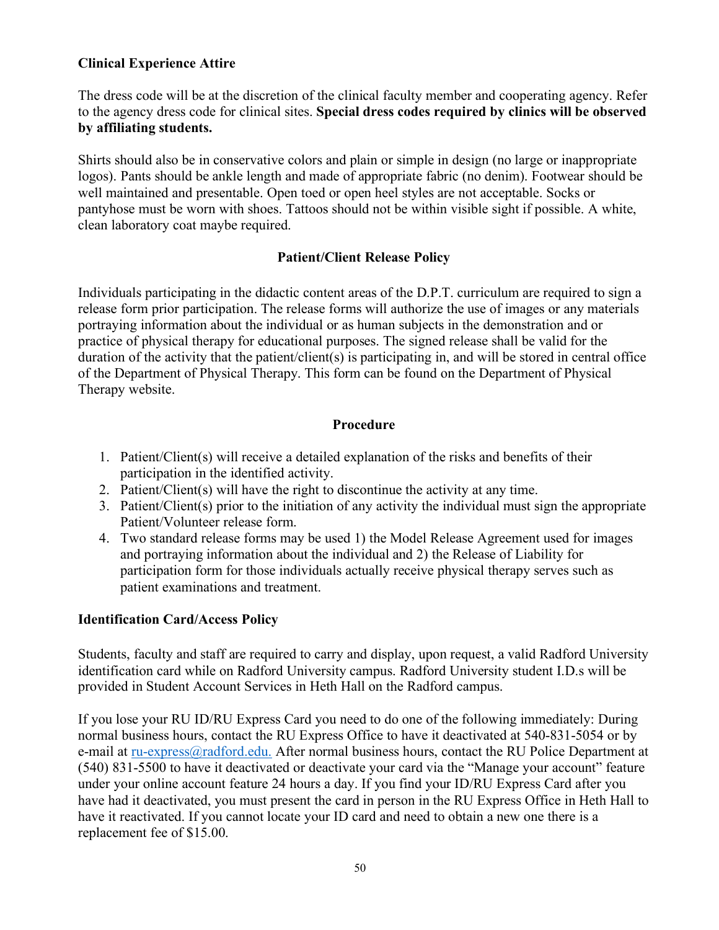#### **Clinical Experience Attire**

The dress code will be at the discretion of the clinical faculty member and cooperating agency. Refer to the agency dress code for clinical sites. **Special dress codes required by clinics will be observed by affiliating students.**

Shirts should also be in conservative colors and plain or simple in design (no large or inappropriate logos). Pants should be ankle length and made of appropriate fabric (no denim). Footwear should be well maintained and presentable. Open toed or open heel styles are not acceptable. Socks or pantyhose must be worn with shoes. Tattoos should not be within visible sight if possible. A white, clean laboratory coat maybe required.

#### **Patient/Client Release Policy**

Individuals participating in the didactic content areas of the D.P.T. curriculum are required to sign a release form prior participation. The release forms will authorize the use of images or any materials portraying information about the individual or as human subjects in the demonstration and or practice of physical therapy for educational purposes. The signed release shall be valid for the duration of the activity that the patient/client(s) is participating in, and will be stored in central office of the Department of Physical Therapy. This form can be found on the Department of Physical Therapy website.

#### **Procedure**

- 1. Patient/Client(s) will receive a detailed explanation of the risks and benefits of their participation in the identified activity.
- 2. Patient/Client(s) will have the right to discontinue the activity at any time.
- 3. Patient/Client(s) prior to the initiation of any activity the individual must sign the appropriate Patient/Volunteer release form.
- 4. Two standard release forms may be used 1) the Model Release Agreement used for images and portraying information about the individual and 2) the Release of Liability for participation form for those individuals actually receive physical therapy serves such as patient examinations and treatment.

#### **Identification Card/Access Policy**

Students, faculty and staff are required to carry and display, upon request, a valid Radford University identification card while on Radford University campus. Radford University student I.D.s will be provided in Student Account Services in Heth Hall on the Radford campus.

If you lose your RU ID/RU Express Card you need to do one of the following immediately: During normal business hours, contact the RU Express Office to have it deactivated at 540-831-5054 or by e-mail at ru-express@radford.edu. After normal business hours, contact the RU Police Department at (540) 831-5500 to have it deactivated or deactivate your card via the "Manage your account" feature under your online account feature 24 hours a day. If you find your ID/RU Express Card after you have had it deactivated, you must present the card in person in the RU Express Office in Heth Hall to have it reactivated. If you cannot locate your ID card and need to obtain a new one there is a replacement fee of \$15.00.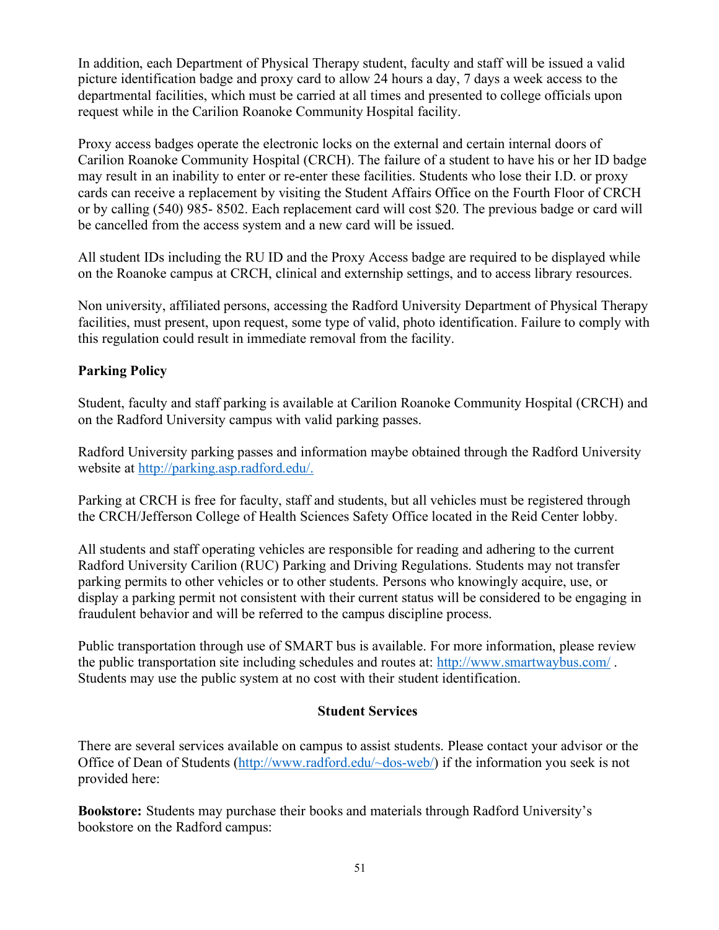In addition, each Department of Physical Therapy student, faculty and staff will be issued a valid picture identification badge and proxy card to allow 24 hours a day, 7 days a week access to the departmental facilities, which must be carried at all times and presented to college officials upon request while in the Carilion Roanoke Community Hospital facility.

Proxy access badges operate the electronic locks on the external and certain internal doors of Carilion Roanoke Community Hospital (CRCH). The failure of a student to have his or her ID badge may result in an inability to enter or re-enter these facilities. Students who lose their I.D. or proxy cards can receive a replacement by visiting the Student Affairs Office on the Fourth Floor of CRCH or by calling (540) 985- 8502. Each replacement card will cost \$20. The previous badge or card will be cancelled from the access system and a new card will be issued.

All student IDs including the RU ID and the Proxy Access badge are required to be displayed while on the Roanoke campus at CRCH, clinical and externship settings, and to access library resources.

Non university, affiliated persons, accessing the Radford University Department of Physical Therapy facilities, must present, upon request, some type of valid, photo identification. Failure to comply with this regulation could result in immediate removal from the facility.

#### **Parking Policy**

Student, faculty and staff parking is available at Carilion Roanoke Community Hospital (CRCH) and on the Radford University campus with valid parking passes.

Radford University parking passes and information maybe obtained through the Radford University website at http://parking.asp.radford.edu/.

Parking at CRCH is free for faculty, staff and students, but all vehicles must be registered through the CRCH/Jefferson College of Health Sciences Safety Office located in the Reid Center lobby.

All students and staff operating vehicles are responsible for reading and adhering to the current Radford University Carilion (RUC) Parking and Driving Regulations. Students may not transfer parking permits to other vehicles or to other students. Persons who knowingly acquire, use, or display a parking permit not consistent with their current status will be considered to be engaging in fraudulent behavior and will be referred to the campus discipline process.

Public transportation through use of SMART bus is available. For more information, please review the public transportation site including schedules and routes at: http://www.smartwaybus.com/ . Students may use the public system at no cost with their student identification.

#### **Student Services**

There are several services available on campus to assist students. Please contact your advisor or the Office of Dean of Students (http://www.radford.edu/~dos-web/) if the information you seek is not provided here:

**Bookstore:** Students may purchase their books and materials through Radford University's bookstore on the Radford campus: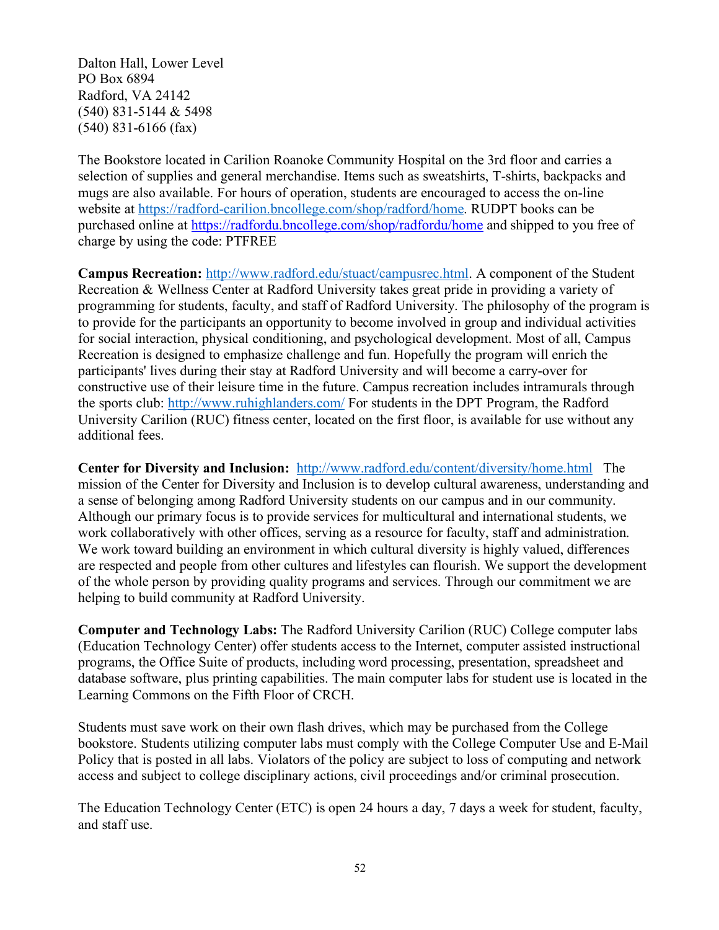Dalton Hall, Lower Level PO Box 6894 Radford, VA 24142 (540) 831-5144 & 5498 (540) 831-6166 (fax)

The Bookstore located in Carilion Roanoke Community Hospital on the 3rd floor and carries a selection of supplies and general merchandise. Items such as sweatshirts, T-shirts, backpacks and mugs are also available. For hours of operation, students are encouraged to access the on-line website at https://radford-carilion.bncollege.com/shop/radford/home. RUDPT books can be purchased online at https://radfordu.bncollege.com/shop/radfordu/home and shipped to you free of charge by using the code: PTFREE

**Campus Recreation:** http://www.radford.edu/stuact/campusrec.html. A component of the Student Recreation & Wellness Center at Radford University takes great pride in providing a variety of programming for students, faculty, and staff of Radford University. The philosophy of the program is to provide for the participants an opportunity to become involved in group and individual activities for social interaction, physical conditioning, and psychological development. Most of all, Campus Recreation is designed to emphasize challenge and fun. Hopefully the program will enrich the participants' lives during their stay at Radford University and will become a carry-over for constructive use of their leisure time in the future. Campus recreation includes intramurals through the sports club: http://www.ruhighlanders.com/ For students in the DPT Program, the Radford University Carilion (RUC) fitness center, located on the first floor, is available for use without any additional fees.

**Center for Diversity and Inclusion:** http://www.radford.edu/content/diversity/home.html The mission of the Center for Diversity and Inclusion is to develop cultural awareness, understanding and a sense of belonging among Radford University students on our campus and in our community. Although our primary focus is to provide services for multicultural and international students, we work collaboratively with other offices, serving as a resource for faculty, staff and administration. We work toward building an environment in which cultural diversity is highly valued, differences are respected and people from other cultures and lifestyles can flourish. We support the development of the whole person by providing quality programs and services. Through our commitment we are helping to build community at Radford University.

**Computer and Technology Labs:** The Radford University Carilion (RUC) College computer labs (Education Technology Center) offer students access to the Internet, computer assisted instructional programs, the Office Suite of products, including word processing, presentation, spreadsheet and database software, plus printing capabilities. The main computer labs for student use is located in the Learning Commons on the Fifth Floor of CRCH.

Students must save work on their own flash drives, which may be purchased from the College bookstore. Students utilizing computer labs must comply with the College Computer Use and E-Mail Policy that is posted in all labs. Violators of the policy are subject to loss of computing and network access and subject to college disciplinary actions, civil proceedings and/or criminal prosecution.

The Education Technology Center (ETC) is open 24 hours a day, 7 days a week for student, faculty, and staff use.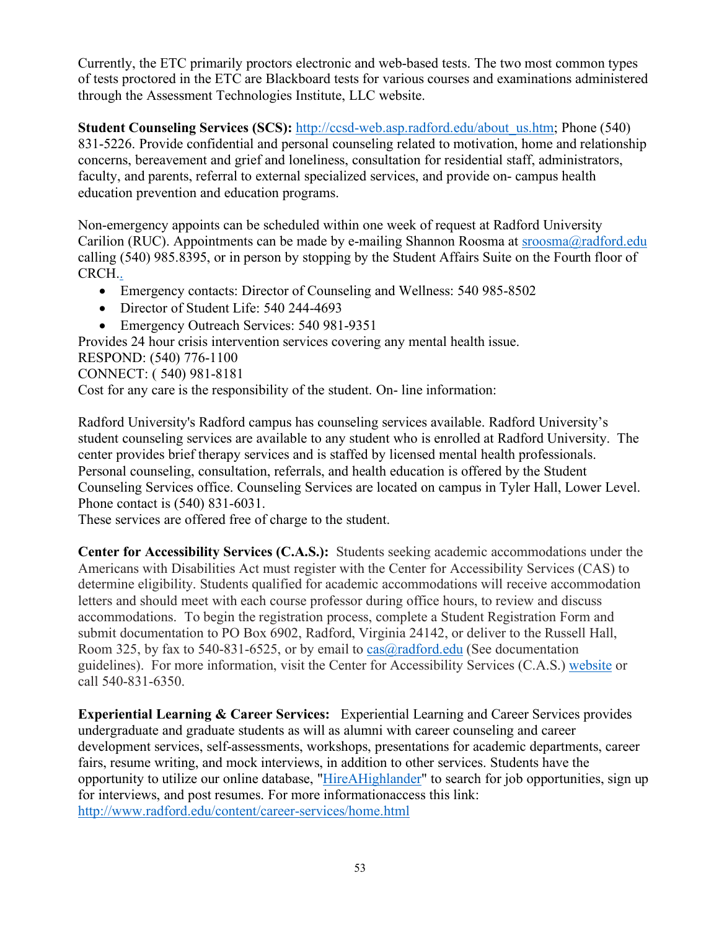Currently, the ETC primarily proctors electronic and web-based tests. The two most common types of tests proctored in the ETC are Blackboard tests for various courses and examinations administered through the Assessment Technologies Institute, LLC website.

**Student Counseling Services (SCS):** http://ccsd-web.asp.radford.edu/about\_us.htm; Phone (540) 831-5226. Provide confidential and personal counseling related to motivation, home and relationship concerns, bereavement and grief and loneliness, consultation for residential staff, administrators, faculty, and parents, referral to external specialized services, and provide on- campus health education prevention and education programs.

Non-emergency appoints can be scheduled within one week of request at Radford University Carilion (RUC). Appointments can be made by e-mailing Shannon Roosma at sroosma@radford.edu calling (540) 985.8395, or in person by stopping by the Student Affairs Suite on the Fourth floor of CRCH..

- Emergency contacts: Director of Counseling and Wellness: 540 985-8502
- Director of Student Life: 540 244-4693
- Emergency Outreach Services: 540 981-9351

Provides 24 hour crisis intervention services covering any mental health issue.

RESPOND: (540) 776-1100

CONNECT: ( 540) 981-8181

Cost for any care is the responsibility of the student. On- line information:

Radford University's Radford campus has counseling services available. Radford University's student counseling services are available to any student who is enrolled at Radford University. The center provides brief therapy services and is staffed by licensed mental health professionals. Personal counseling, consultation, referrals, and health education is offered by the Student Counseling Services office. Counseling Services are located on campus in Tyler Hall, Lower Level. Phone contact is (540) 831-6031.

These services are offered free of charge to the student.

**Center for Accessibility Services (C.A.S.):** Students seeking academic accommodations under the Americans with Disabilities Act must register with the Center for Accessibility Services (CAS) to determine eligibility. Students qualified for academic accommodations will receive accommodation letters and should meet with each course professor during office hours, to review and discuss accommodations. To begin the registration process, complete a Student Registration Form and submit documentation to PO Box 6902, Radford, Virginia 24142, or deliver to the Russell Hall, Room 325, by fax to 540-831-6525, or by email to cas@radford.edu (See documentation guidelines). For more information, visit the Center for Accessibility Services (C.A.S.) website or call 540-831-6350.

**Experiential Learning & Career Services:** Experiential Learning and Career Services provides undergraduate and graduate students as will as alumni with career counseling and career development services, self-assessments, workshops, presentations for academic departments, career fairs, resume writing, and mock interviews, in addition to other services. Students have the opportunity to utilize our online database, "HireAHighlander" to search for job opportunities, sign up for interviews, and post resumes. For more informationaccess this link: http://www.radford.edu/content/career-services/home.html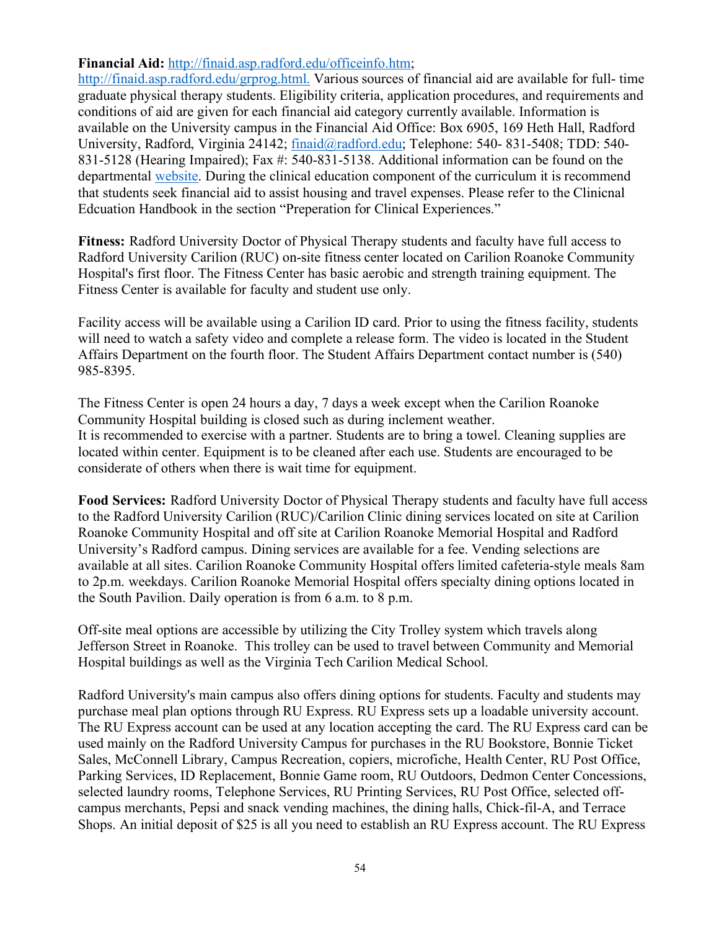#### **Financial Aid:** http://finaid.asp.radford.edu/officeinfo.htm;

http://finaid.asp.radford.edu/grprog.html. Various sources of financial aid are available for full- time graduate physical therapy students. Eligibility criteria, application procedures, and requirements and conditions of aid are given for each financial aid category currently available. Information is available on the University campus in the Financial Aid Office: Box 6905, 169 Heth Hall, Radford University, Radford, Virginia 24142; finaid@radford.edu; Telephone: 540- 831-5408; TDD: 540- 831-5128 (Hearing Impaired); Fax #: 540-831-5138. Additional information can be found on the departmental website. During the clinical education component of the curriculum it is recommend that students seek financial aid to assist housing and travel expenses. Please refer to the Clinicnal Edcuation Handbook in the section "Preperation for Clinical Experiences."

**Fitness:** Radford University Doctor of Physical Therapy students and faculty have full access to Radford University Carilion (RUC) on-site fitness center located on Carilion Roanoke Community Hospital's first floor. The Fitness Center has basic aerobic and strength training equipment. The Fitness Center is available for faculty and student use only.

Facility access will be available using a Carilion ID card. Prior to using the fitness facility, students will need to watch a safety video and complete a release form. The video is located in the Student Affairs Department on the fourth floor. The Student Affairs Department contact number is (540) 985-8395.

The Fitness Center is open 24 hours a day, 7 days a week except when the Carilion Roanoke Community Hospital building is closed such as during inclement weather. It is recommended to exercise with a partner. Students are to bring a towel. Cleaning supplies are located within center. Equipment is to be cleaned after each use. Students are encouraged to be considerate of others when there is wait time for equipment.

**Food Services:** Radford University Doctor of Physical Therapy students and faculty have full access to the Radford University Carilion (RUC)/Carilion Clinic dining services located on site at Carilion Roanoke Community Hospital and off site at Carilion Roanoke Memorial Hospital and Radford University's Radford campus. Dining services are available for a fee. Vending selections are available at all sites. Carilion Roanoke Community Hospital offers limited cafeteria-style meals 8am to 2p.m. weekdays. Carilion Roanoke Memorial Hospital offers specialty dining options located in the South Pavilion. Daily operation is from 6 a.m. to 8 p.m.

Off-site meal options are accessible by utilizing the City Trolley system which travels along Jefferson Street in Roanoke. This trolley can be used to travel between Community and Memorial Hospital buildings as well as the Virginia Tech Carilion Medical School.

Radford University's main campus also offers dining options for students. Faculty and students may purchase meal plan options through RU Express. RU Express sets up a loadable university account. The RU Express account can be used at any location accepting the card. The RU Express card can be used mainly on the Radford University Campus for purchases in the RU Bookstore, Bonnie Ticket Sales, McConnell Library, Campus Recreation, copiers, microfiche, Health Center, RU Post Office, Parking Services, ID Replacement, Bonnie Game room, RU Outdoors, Dedmon Center Concessions, selected laundry rooms, Telephone Services, RU Printing Services, RU Post Office, selected offcampus merchants, Pepsi and snack vending machines, the dining halls, Chick-fil-A, and Terrace Shops. An initial deposit of \$25 is all you need to establish an RU Express account. The RU Express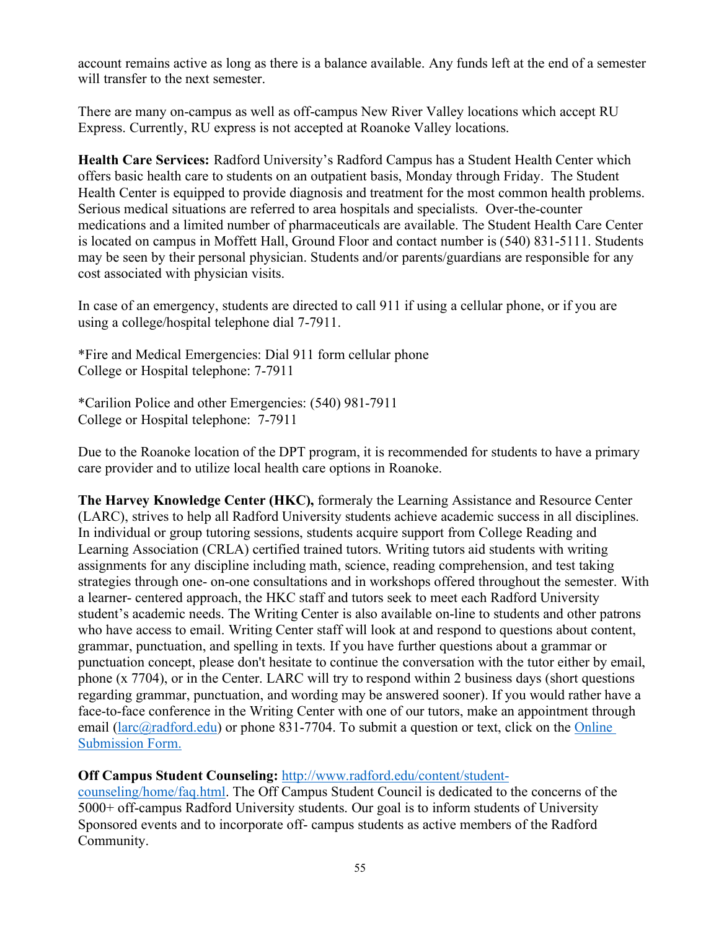account remains active as long as there is a balance available. Any funds left at the end of a semester will transfer to the next semester.

There are many on-campus as well as off-campus New River Valley locations which accept RU Express. Currently, RU express is not accepted at Roanoke Valley locations.

**Health Care Services:** Radford University's Radford Campus has a Student Health Center which offers basic health care to students on an outpatient basis, Monday through Friday. The Student Health Center is equipped to provide diagnosis and treatment for the most common health problems. Serious medical situations are referred to area hospitals and specialists. Over-the-counter medications and a limited number of pharmaceuticals are available. The Student Health Care Center is located on campus in Moffett Hall, Ground Floor and contact number is (540) 831-5111. Students may be seen by their personal physician. Students and/or parents/guardians are responsible for any cost associated with physician visits.

In case of an emergency, students are directed to call 911 if using a cellular phone, or if you are using a college/hospital telephone dial 7-7911.

\*Fire and Medical Emergencies: Dial 911 form cellular phone College or Hospital telephone: 7-7911

\*Carilion Police and other Emergencies: (540) 981-7911 College or Hospital telephone: 7-7911

Due to the Roanoke location of the DPT program, it is recommended for students to have a primary care provider and to utilize local health care options in Roanoke.

**The Harvey Knowledge Center (HKC),** formeraly the Learning Assistance and Resource Center (LARC), strives to help all Radford University students achieve academic success in all disciplines. In individual or group tutoring sessions, students acquire support from College Reading and Learning Association (CRLA) certified trained tutors. Writing tutors aid students with writing assignments for any discipline including math, science, reading comprehension, and test taking strategies through one- on-one consultations and in workshops offered throughout the semester. With a learner- centered approach, the HKC staff and tutors seek to meet each Radford University student's academic needs. The Writing Center is also available on-line to students and other patrons who have access to email. Writing Center staff will look at and respond to questions about content, grammar, punctuation, and spelling in texts. If you have further questions about a grammar or punctuation concept, please don't hesitate to continue the conversation with the tutor either by email, phone (x 7704), or in the Center. LARC will try to respond within 2 business days (short questions regarding grammar, punctuation, and wording may be answered sooner). If you would rather have a face-to-face conference in the Writing Center with one of our tutors, make an appointment through email (larc@radford.edu) or phone 831-7704. To submit a question or text, click on the Online Submission Form.

#### **Off Campus Student Counseling:** http://www.radford.edu/content/student-

counseling/home/faq.html. The Off Campus Student Council is dedicated to the concerns of the 5000+ off-campus Radford University students. Our goal is to inform students of University Sponsored events and to incorporate off- campus students as active members of the Radford Community.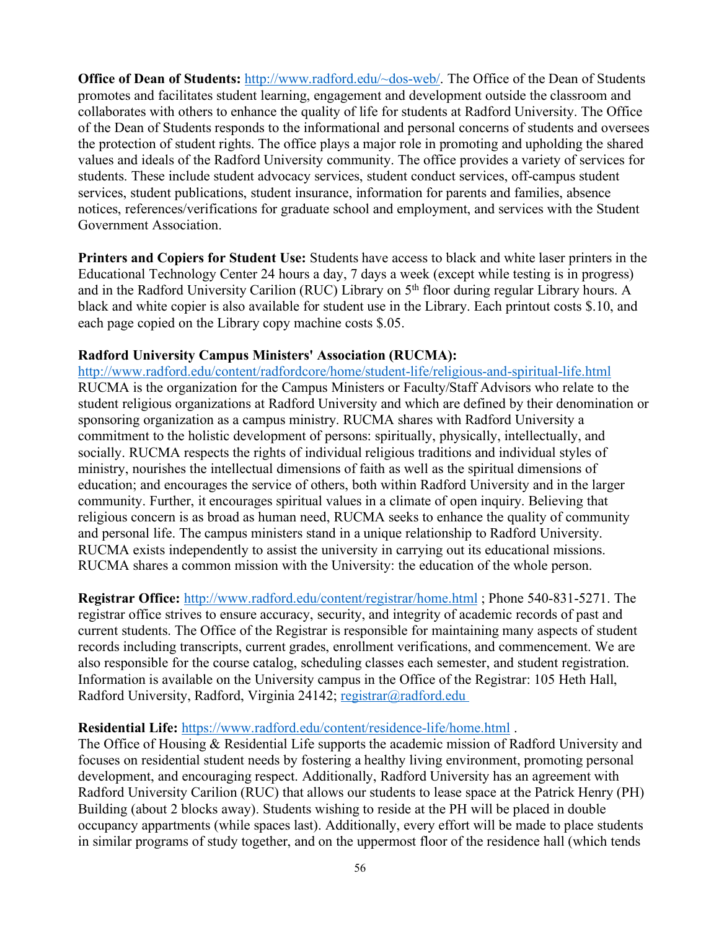**Office of Dean of Students:** http://www.radford.edu/~dos-web/. The Office of the Dean of Students promotes and facilitates student learning, engagement and development outside the classroom and collaborates with others to enhance the quality of life for students at Radford University. The Office of the Dean of Students responds to the informational and personal concerns of students and oversees the protection of student rights. The office plays a major role in promoting and upholding the shared values and ideals of the Radford University community. The office provides a variety of services for students. These include student advocacy services, student conduct services, off-campus student services, student publications, student insurance, information for parents and families, absence notices, references/verifications for graduate school and employment, and services with the Student Government Association.

**Printers and Copiers for Student Use:** Students have access to black and white laser printers in the Educational Technology Center 24 hours a day, 7 days a week (except while testing is in progress) and in the Radford University Carilion (RUC) Library on 5<sup>th</sup> floor during regular Library hours. A black and white copier is also available for student use in the Library. Each printout costs \$.10, and each page copied on the Library copy machine costs \$.05.

#### **Radford University Campus Ministers' Association (RUCMA):**

http://www.radford.edu/content/radfordcore/home/student-life/religious-and-spiritual-life.html RUCMA is the organization for the Campus Ministers or Faculty/Staff Advisors who relate to the student religious organizations at Radford University and which are defined by their denomination or sponsoring organization as a campus ministry. RUCMA shares with Radford University a commitment to the holistic development of persons: spiritually, physically, intellectually, and socially. RUCMA respects the rights of individual religious traditions and individual styles of ministry, nourishes the intellectual dimensions of faith as well as the spiritual dimensions of education; and encourages the service of others, both within Radford University and in the larger community. Further, it encourages spiritual values in a climate of open inquiry. Believing that religious concern is as broad as human need, RUCMA seeks to enhance the quality of community and personal life. The campus ministers stand in a unique relationship to Radford University. RUCMA exists independently to assist the university in carrying out its educational missions. RUCMA shares a common mission with the University: the education of the whole person.

**Registrar Office:** http://www.radford.edu/content/registrar/home.html ; Phone 540-831-5271. The registrar office strives to ensure accuracy, security, and integrity of academic records of past and current students. The Office of the Registrar is responsible for maintaining many aspects of student records including transcripts, current grades, enrollment verifications, and commencement. We are also responsible for the course catalog, scheduling classes each semester, and student registration. Information is available on the University campus in the Office of the Registrar: 105 Heth Hall, Radford University, Radford, Virginia 24142; registrar@radford.edu

#### **Residential Life:** https://www.radford.edu/content/residence-life/home.html .

The Office of Housing & Residential Life supports the academic mission of Radford University and focuses on residential student needs by fostering a healthy living environment, promoting personal development, and encouraging respect. Additionally, Radford University has an agreement with Radford University Carilion (RUC) that allows our students to lease space at the Patrick Henry (PH) Building (about 2 blocks away). Students wishing to reside at the PH will be placed in double occupancy appartments (while spaces last). Additionally, every effort will be made to place students in similar programs of study together, and on the uppermost floor of the residence hall (which tends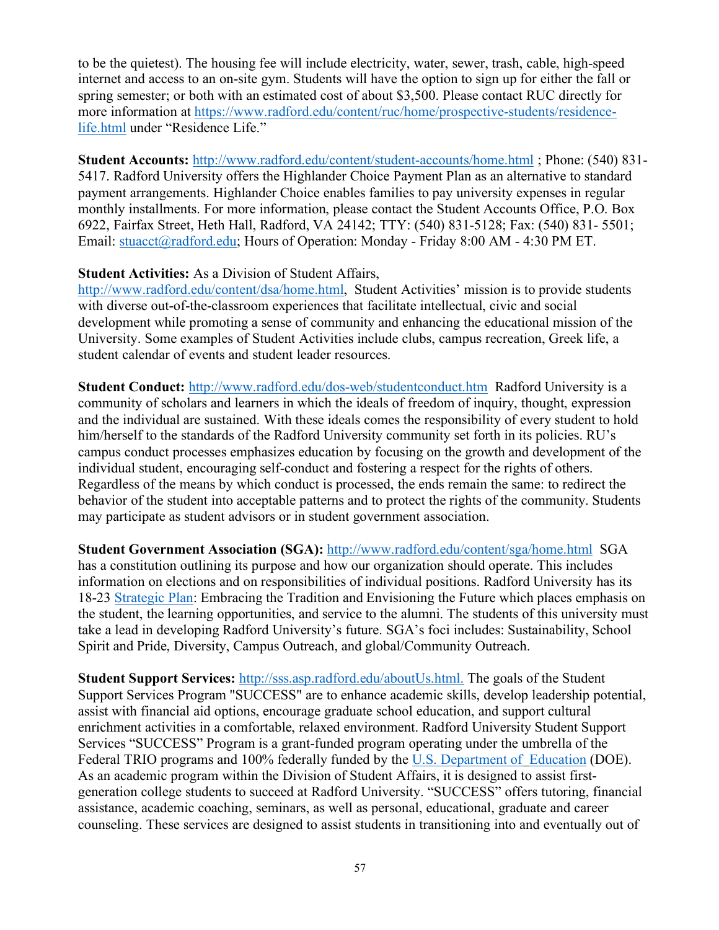to be the quietest). The housing fee will include electricity, water, sewer, trash, cable, high-speed internet and access to an on-site gym. Students will have the option to sign up for either the fall or spring semester; or both with an estimated cost of about \$3,500. Please contact RUC directly for more information at https://www.radford.edu/content/ruc/home/prospective-students/residencelife.html under "Residence Life."

**Student Accounts:** http://www.radford.edu/content/student-accounts/home.html ; Phone: (540) 831- 5417. Radford University offers the Highlander Choice Payment Plan as an alternative to standard payment arrangements. Highlander Choice enables families to pay university expenses in regular monthly installments. For more information, please contact the Student Accounts Office, P.O. Box 6922, Fairfax Street, Heth Hall, Radford, VA 24142; TTY: (540) 831-5128; Fax: (540) 831- 5501; Email: stuacct@radford.edu; Hours of Operation: Monday - Friday 8:00 AM - 4:30 PM ET.

#### **Student Activities:** As a Division of Student Affairs,

http://www.radford.edu/content/dsa/home.html, Student Activities' mission is to provide students with diverse out-of-the-classroom experiences that facilitate intellectual, civic and social development while promoting a sense of community and enhancing the educational mission of the University. Some examples of Student Activities include clubs, campus recreation, Greek life, a student calendar of events and student leader resources.

**Student Conduct:** http://www.radford.edu/dos-web/studentconduct.htm Radford University is a community of scholars and learners in which the ideals of freedom of inquiry, thought, expression and the individual are sustained. With these ideals comes the responsibility of every student to hold him/herself to the standards of the Radford University community set forth in its policies. RU's campus conduct processes emphasizes education by focusing on the growth and development of the individual student, encouraging self-conduct and fostering a respect for the rights of others. Regardless of the means by which conduct is processed, the ends remain the same: to redirect the behavior of the student into acceptable patterns and to protect the rights of the community. Students may participate as student advisors or in student government association.

**Student Government Association (SGA):** http://www.radford.edu/content/sga/home.html SGA has a constitution outlining its purpose and how our organization should operate. This includes information on elections and on responsibilities of individual positions. Radford University has its 18-23 Strategic Plan: Embracing the Tradition and Envisioning the Future which places emphasis on the student, the learning opportunities, and service to the alumni. The students of this university must take a lead in developing Radford University's future. SGA's foci includes: Sustainability, School Spirit and Pride, Diversity, Campus Outreach, and global/Community Outreach.

**Student Support Services:** http://sss.asp.radford.edu/aboutUs.html. The goals of the Student Support Services Program "SUCCESS" are to enhance academic skills, develop leadership potential, assist with financial aid options, encourage graduate school education, and support cultural enrichment activities in a comfortable, relaxed environment. Radford University Student Support Services "SUCCESS" Program is a grant-funded program operating under the umbrella of the Federal TRIO programs and 100% federally funded by the U.S. Department of Education (DOE). As an academic program within the Division of Student Affairs, it is designed to assist firstgeneration college students to succeed at Radford University. "SUCCESS" offers tutoring, financial assistance, academic coaching, seminars, as well as personal, educational, graduate and career counseling. These services are designed to assist students in transitioning into and eventually out of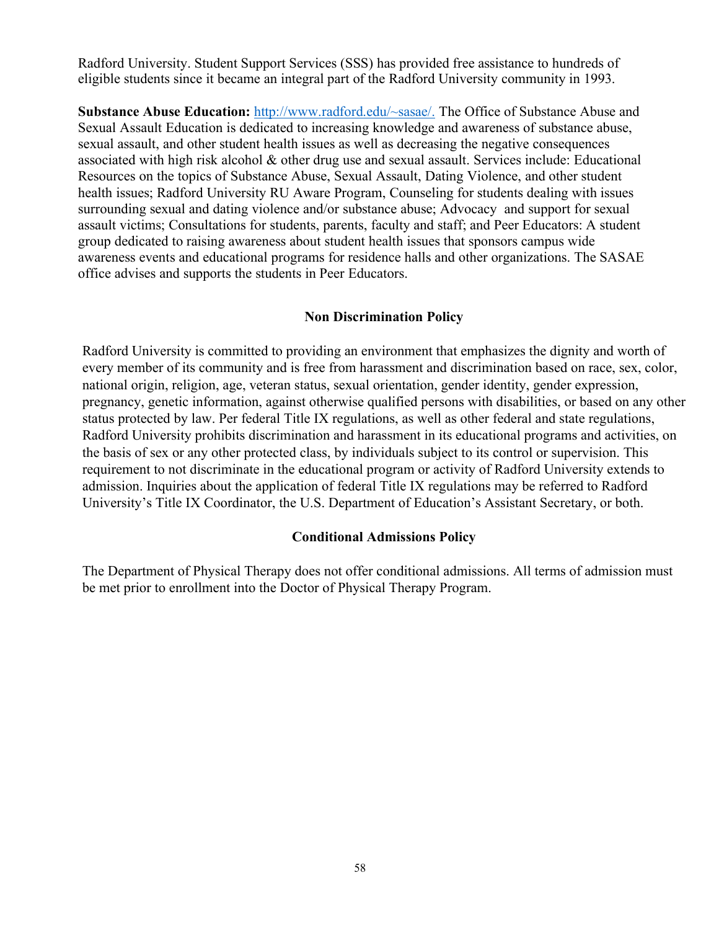Radford University. Student Support Services (SSS) has provided free assistance to hundreds of eligible students since it became an integral part of the Radford University community in 1993.

**Substance Abuse Education:** http://www.radford.edu/~sasae/. The Office of Substance Abuse and Sexual Assault Education is dedicated to increasing knowledge and awareness of substance abuse, sexual assault, and other student health issues as well as decreasing the negative consequences associated with high risk alcohol & other drug use and sexual assault. Services include: Educational Resources on the topics of Substance Abuse, Sexual Assault, Dating Violence, and other student health issues; Radford University RU Aware Program, Counseling for students dealing with issues surrounding sexual and dating violence and/or substance abuse; Advocacy and support for sexual assault victims; Consultations for students, parents, faculty and staff; and Peer Educators: A student group dedicated to raising awareness about student health issues that sponsors campus wide awareness events and educational programs for residence halls and other organizations. The SASAE office advises and supports the students in Peer Educators.

#### **Non Discrimination Policy**

Radford University is committed to providing an environment that emphasizes the dignity and worth of every member of its community and is free from harassment and discrimination based on race, sex, color, national origin, religion, age, veteran status, sexual orientation, gender identity, gender expression, pregnancy, genetic information, against otherwise qualified persons with disabilities, or based on any other status protected by law. Per federal Title IX regulations, as well as other federal and state regulations, Radford University prohibits discrimination and harassment in its educational programs and activities, on the basis of sex or any other protected class, by individuals subject to its control or supervision. This requirement to not discriminate in the educational program or activity of Radford University extends to admission. Inquiries about the application of federal Title IX regulations may be referred to Radford University's Title IX Coordinator, the U.S. Department of Education's Assistant Secretary, or both.

#### **Conditional Admissions Policy**

The Department of Physical Therapy does not offer conditional admissions. All terms of admission must be met prior to enrollment into the Doctor of Physical Therapy Program.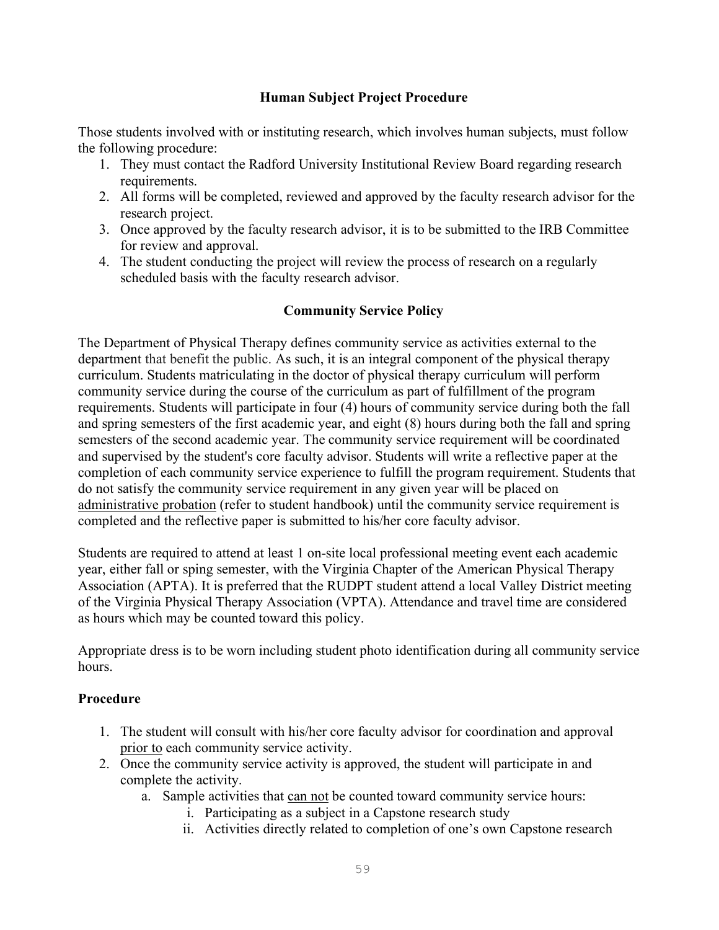#### **Human Subject Project Procedure**

Those students involved with or instituting research, which involves human subjects, must follow the following procedure:

- 1. They must contact the Radford University Institutional Review Board regarding research requirements.
- 2. All forms will be completed, reviewed and approved by the faculty research advisor for the research project.
- 3. Once approved by the faculty research advisor, it is to be submitted to the IRB Committee for review and approval.
- 4. The student conducting the project will review the process of research on a regularly scheduled basis with the faculty research advisor.

#### **Community Service Policy**

The Department of Physical Therapy defines community service as activities external to the department that benefit the public. As such, it is an integral component of the physical therapy curriculum. Students matriculating in the doctor of physical therapy curriculum will perform community service during the course of the curriculum as part of fulfillment of the program requirements. Students will participate in four (4) hours of community service during both the fall and spring semesters of the first academic year, and eight (8) hours during both the fall and spring semesters of the second academic year. The community service requirement will be coordinated and supervised by the student's core faculty advisor. Students will write a reflective paper at the completion of each community service experience to fulfill the program requirement. Students that do not satisfy the community service requirement in any given year will be placed on administrative probation (refer to student handbook) until the community service requirement is completed and the reflective paper is submitted to his/her core faculty advisor.

Students are required to attend at least 1 on-site local professional meeting event each academic year, either fall or sping semester, with the Virginia Chapter of the American Physical Therapy Association (APTA). It is preferred that the RUDPT student attend a local Valley District meeting of the Virginia Physical Therapy Association (VPTA). Attendance and travel time are considered as hours which may be counted toward this policy.

Appropriate dress is to be worn including student photo identification during all community service hours.

#### **Procedure**

- 1. The student will consult with his/her core faculty advisor for coordination and approval prior to each community service activity.
- 2. Once the community service activity is approved, the student will participate in and complete the activity.
	- a. Sample activities that can not be counted toward community service hours:
		- i. Participating as a subject in a Capstone research study
		- ii. Activities directly related to completion of one's own Capstone research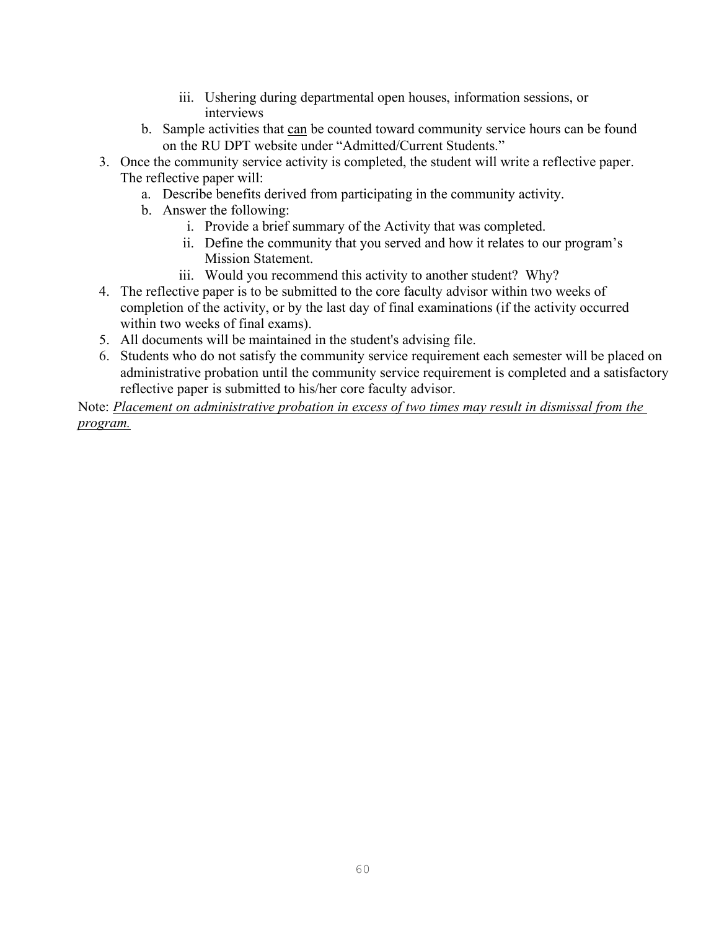- iii. Ushering during departmental open houses, information sessions, or interviews
- b. Sample activities that can be counted toward community service hours can be found on the RU DPT website under "Admitted/Current Students."
- 3. Once the community service activity is completed, the student will write a reflective paper. The reflective paper will:
	- a. Describe benefits derived from participating in the community activity.
	- b. Answer the following:
		- i. Provide a brief summary of the Activity that was completed.
		- ii. Define the community that you served and how it relates to our program's Mission Statement.
		- iii. Would you recommend this activity to another student? Why?
- 4. The reflective paper is to be submitted to the core faculty advisor within two weeks of completion of the activity, or by the last day of final examinations (if the activity occurred within two weeks of final exams).
- 5. All documents will be maintained in the student's advising file.
- 6. Students who do not satisfy the community service requirement each semester will be placed on administrative probation until the community service requirement is completed and a satisfactory reflective paper is submitted to his/her core faculty advisor.

Note: *Placement on administrative probation in excess of two times may result in dismissal from the program.*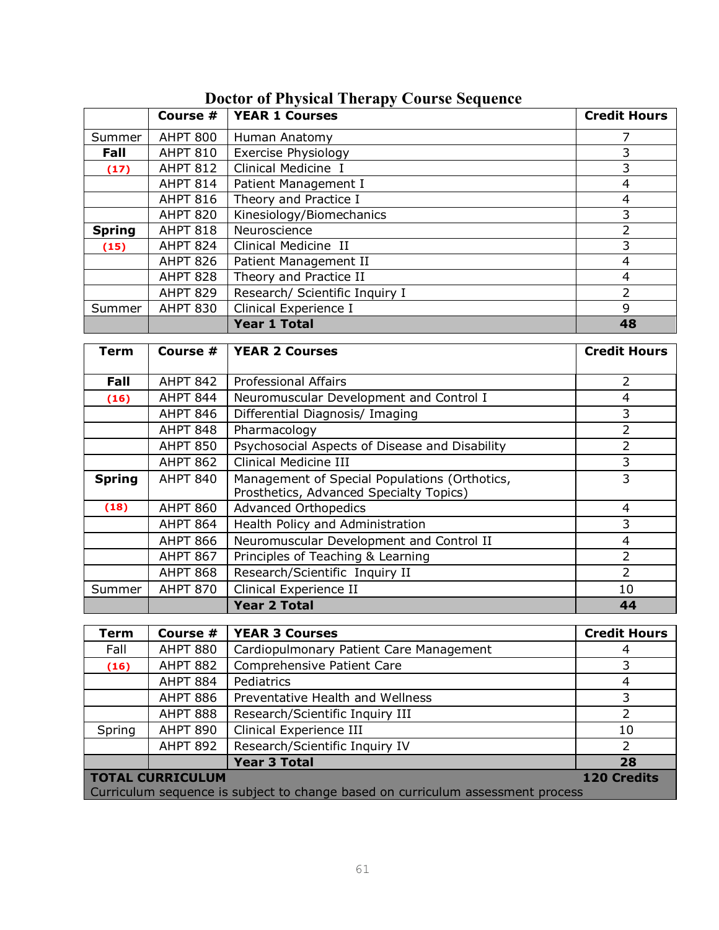|               | Course #        | <b>YEAR 1 Courses</b>          | <b>Credit Hours</b> |
|---------------|-----------------|--------------------------------|---------------------|
| Summer        | <b>AHPT 800</b> | Human Anatomy                  |                     |
| Fall          | <b>AHPT 810</b> | Exercise Physiology            | 3                   |
| (17)          | <b>AHPT 812</b> | Clinical Medicine I            | 3                   |
|               | <b>AHPT 814</b> | Patient Management I           | 4                   |
|               | <b>AHPT 816</b> | Theory and Practice I          | 4                   |
|               | <b>AHPT 820</b> | Kinesiology/Biomechanics       | 3                   |
| <b>Spring</b> | <b>AHPT 818</b> | Neuroscience                   | 2                   |
| (15)          | AHPT 824        | Clinical Medicine II           | 3                   |
|               | <b>AHPT 826</b> | Patient Management II          | 4                   |
|               | AHPT 828        | Theory and Practice II         | $\overline{4}$      |
|               | <b>AHPT 829</b> | Research/ Scientific Inquiry I | $\overline{2}$      |
| Summer        | <b>AHPT 830</b> | Clinical Experience I          | 9                   |
|               |                 | <b>Year 1 Total</b>            | 48                  |

#### **Doctor of Physical Therapy Course Sequence**

| Term                                                        | Course #                                            | <b>YEAR 2 Courses</b>                          | <b>Credit Hours</b> |  |
|-------------------------------------------------------------|-----------------------------------------------------|------------------------------------------------|---------------------|--|
|                                                             |                                                     |                                                |                     |  |
| Fall                                                        | AHPT 842                                            | <b>Professional Affairs</b>                    | $\overline{2}$      |  |
| (16)                                                        | AHPT 844                                            | Neuromuscular Development and Control I        | 4                   |  |
|                                                             | AHPT 846                                            | Differential Diagnosis/ Imaging                | 3                   |  |
|                                                             | AHPT 848                                            | Pharmacology                                   | $\overline{2}$      |  |
|                                                             | <b>AHPT 850</b>                                     | Psychosocial Aspects of Disease and Disability | $\overline{2}$      |  |
|                                                             | <b>AHPT 862</b>                                     | Clinical Medicine III                          | 3                   |  |
| <b>Spring</b>                                               | AHPT 840                                            | Management of Special Populations (Orthotics,  | 3                   |  |
|                                                             |                                                     | Prosthetics, Advanced Specialty Topics)        |                     |  |
| (18)                                                        | <b>AHPT 860</b>                                     | Advanced Orthopedics                           | $\overline{4}$      |  |
|                                                             | Health Policy and Administration<br><b>AHPT 864</b> |                                                | 3                   |  |
| Neuromuscular Development and Control II<br><b>AHPT 866</b> |                                                     |                                                | 4                   |  |
|                                                             | <b>AHPT 867</b>                                     | Principles of Teaching & Learning              | 2                   |  |
|                                                             | <b>AHPT 868</b>                                     | Research/Scientific Inquiry II                 | 2                   |  |
| Summer                                                      | <b>AHPT 870</b>                                     | Clinical Experience II                         | 10                  |  |
|                                                             |                                                     | <b>Year 2 Total</b>                            | 44                  |  |

| Term   | Course #                | <b>YEAR 3 Courses</b>                                                           | <b>Credit Hours</b> |
|--------|-------------------------|---------------------------------------------------------------------------------|---------------------|
| Fall   | AHPT 880                | Cardiopulmonary Patient Care Management                                         | 4                   |
| (16)   | AHPT 882                | Comprehensive Patient Care                                                      | 3                   |
|        | AHPT 884                | Pediatrics                                                                      | 4                   |
|        | AHPT 886                | Preventative Health and Wellness                                                | 3                   |
|        | AHPT 888                | Research/Scientific Inquiry III                                                 |                     |
| Spring | <b>AHPT 890</b>         | Clinical Experience III                                                         | 10                  |
|        | AHPT 892                | Research/Scientific Inquiry IV                                                  |                     |
|        |                         | <b>Year 3 Total</b>                                                             | 28                  |
|        | <b>TOTAL CURRICULUM</b> |                                                                                 | <b>120 Credits</b>  |
|        |                         | Curriculum sequence is subject to change based on curriculum assessment process |                     |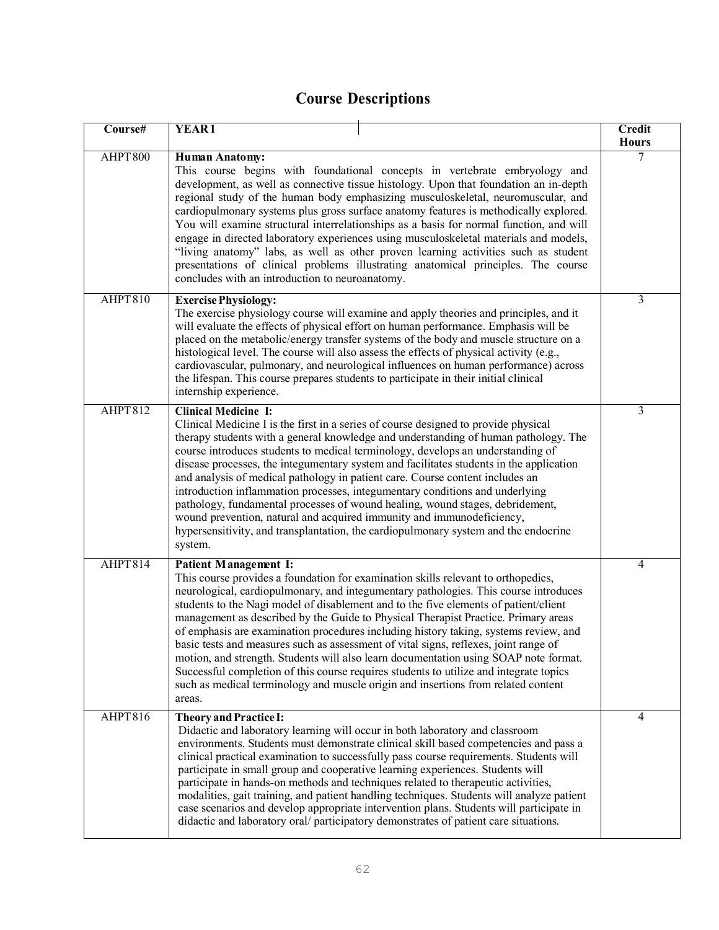#### **Course Descriptions**

| Course#        | YEAR1                                                                                                                                                                                                                                                                                                                                                                                                                                                                                                                                                                                                                                                                                                                                                                                                                                             | <b>Credit</b><br><b>Hours</b> |
|----------------|---------------------------------------------------------------------------------------------------------------------------------------------------------------------------------------------------------------------------------------------------------------------------------------------------------------------------------------------------------------------------------------------------------------------------------------------------------------------------------------------------------------------------------------------------------------------------------------------------------------------------------------------------------------------------------------------------------------------------------------------------------------------------------------------------------------------------------------------------|-------------------------------|
| AHPT800        | <b>Human Anatomy:</b><br>This course begins with foundational concepts in vertebrate embryology and<br>development, as well as connective tissue histology. Upon that foundation an in-depth<br>regional study of the human body emphasizing musculoskeletal, neuromuscular, and<br>cardiopulmonary systems plus gross surface anatomy features is methodically explored.<br>You will examine structural interrelationships as a basis for normal function, and will<br>engage in directed laboratory experiences using musculoskeletal materials and models,<br>"living anatomy" labs, as well as other proven learning activities such as student<br>presentations of clinical problems illustrating anatomical principles. The course<br>concludes with an introduction to neuroanatomy.                                                       | 7                             |
| <b>AHPT810</b> | <b>Exercise Physiology:</b><br>The exercise physiology course will examine and apply theories and principles, and it<br>will evaluate the effects of physical effort on human performance. Emphasis will be<br>placed on the metabolic/energy transfer systems of the body and muscle structure on a<br>histological level. The course will also assess the effects of physical activity (e.g.,<br>cardiovascular, pulmonary, and neurological influences on human performance) across<br>the lifespan. This course prepares students to participate in their initial clinical<br>internship experience.                                                                                                                                                                                                                                          | 3                             |
| <b>AHPT812</b> | <b>Clinical Medicine I:</b><br>Clinical Medicine I is the first in a series of course designed to provide physical<br>therapy students with a general knowledge and understanding of human pathology. The<br>course introduces students to medical terminology, develops an understanding of<br>disease processes, the integumentary system and facilitates students in the application<br>and analysis of medical pathology in patient care. Course content includes an<br>introduction inflammation processes, integumentary conditions and underlying<br>pathology, fundamental processes of wound healing, wound stages, debridement,<br>wound prevention, natural and acquired immunity and immunodeficiency,<br>hypersensitivity, and transplantation, the cardiopulmonary system and the endocrine<br>system.                              | 3                             |
| AHPT814        | Patient Management I:<br>This course provides a foundation for examination skills relevant to orthopedics,<br>neurological, cardiopulmonary, and integumentary pathologies. This course introduces<br>students to the Nagi model of disablement and to the five elements of patient/client<br>management as described by the Guide to Physical Therapist Practice. Primary areas<br>of emphasis are examination procedures including history taking, systems review, and<br>basic tests and measures such as assessment of vital signs, reflexes, joint range of<br>motion, and strength. Students will also learn documentation using SOAP note format.<br>Successful completion of this course requires students to utilize and integrate topics<br>such as medical terminology and muscle origin and insertions from related content<br>areas. | $\overline{4}$                |
| <b>AHPT816</b> | Theory and Practice I:<br>Didactic and laboratory learning will occur in both laboratory and classroom<br>environments. Students must demonstrate clinical skill based competencies and pass a<br>clinical practical examination to successfully pass course requirements. Students will<br>participate in small group and cooperative learning experiences. Students will<br>participate in hands-on methods and techniques related to therapeutic activities,<br>modalities, gait training, and patient handling techniques. Students will analyze patient<br>case scenarios and develop appropriate intervention plans. Students will participate in<br>didactic and laboratory oral/ participatory demonstrates of patient care situations.                                                                                                   | $\overline{4}$                |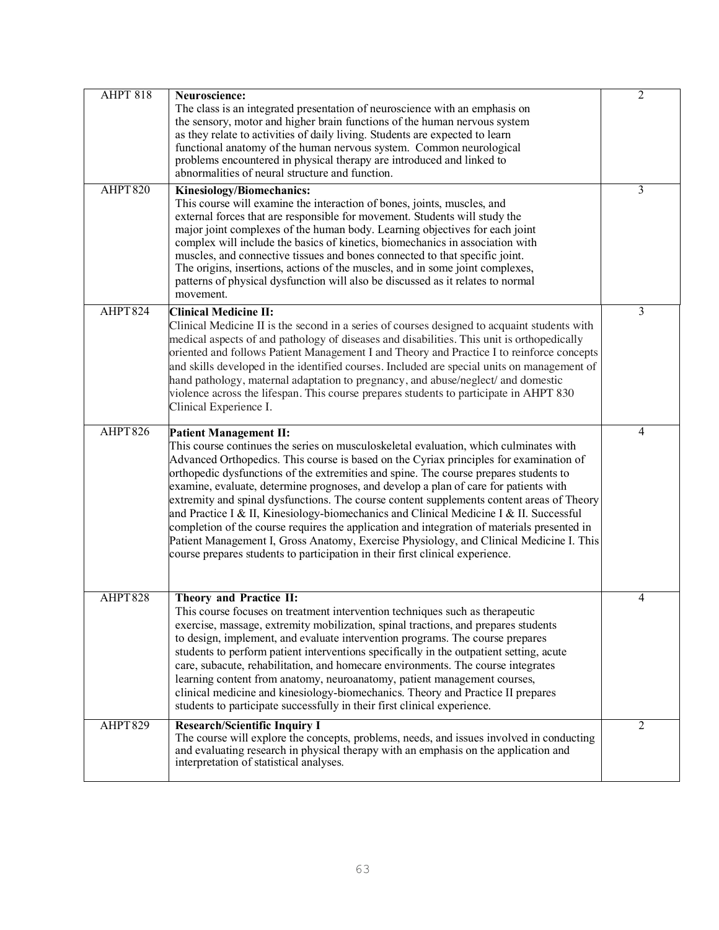| <b>AHPT 818</b> | Neuroscience:<br>The class is an integrated presentation of neuroscience with an emphasis on<br>the sensory, motor and higher brain functions of the human nervous system<br>as they relate to activities of daily living. Students are expected to learn<br>functional anatomy of the human nervous system. Common neurological<br>problems encountered in physical therapy are introduced and linked to<br>abnormalities of neural structure and function.                                                                                                                                                                                                                                                                                                                                                                                                        | 2              |
|-----------------|---------------------------------------------------------------------------------------------------------------------------------------------------------------------------------------------------------------------------------------------------------------------------------------------------------------------------------------------------------------------------------------------------------------------------------------------------------------------------------------------------------------------------------------------------------------------------------------------------------------------------------------------------------------------------------------------------------------------------------------------------------------------------------------------------------------------------------------------------------------------|----------------|
| AHPT820         | Kinesiology/Biomechanics:<br>This course will examine the interaction of bones, joints, muscles, and<br>external forces that are responsible for movement. Students will study the<br>major joint complexes of the human body. Learning objectives for each joint<br>complex will include the basics of kinetics, biomechanics in association with<br>muscles, and connective tissues and bones connected to that specific joint.<br>The origins, insertions, actions of the muscles, and in some joint complexes,<br>patterns of physical dysfunction will also be discussed as it relates to normal<br>movement.                                                                                                                                                                                                                                                  | 3              |
| AHPT824         | <b>Clinical Medicine II:</b><br>Clinical Medicine II is the second in a series of courses designed to acquaint students with<br>medical aspects of and pathology of diseases and disabilities. This unit is orthopedically<br>oriented and follows Patient Management I and Theory and Practice I to reinforce concepts<br>and skills developed in the identified courses. Included are special units on management of<br>hand pathology, maternal adaptation to pregnancy, and abuse/neglect/ and domestic<br>violence across the lifespan. This course prepares students to participate in AHPT 830<br>Clinical Experience I.                                                                                                                                                                                                                                     | 3              |
| AHPT826         | <b>Patient Management II:</b><br>This course continues the series on musculoskeletal evaluation, which culminates with<br>Advanced Orthopedics. This course is based on the Cyriax principles for examination of<br>orthopedic dysfunctions of the extremities and spine. The course prepares students to<br>examine, evaluate, determine prognoses, and develop a plan of care for patients with<br>extremity and spinal dysfunctions. The course content supplements content areas of Theory<br>and Practice I & II, Kinesiology-biomechanics and Clinical Medicine I & II. Successful<br>completion of the course requires the application and integration of materials presented in<br>Patient Management I, Gross Anatomy, Exercise Physiology, and Clinical Medicine I. This<br>course prepares students to participation in their first clinical experience. | $\overline{4}$ |
| AHPT828         | Theory and Practice II:<br>This course focuses on treatment intervention techniques such as therapeutic<br>exercise, massage, extremity mobilization, spinal tractions, and prepares students<br>to design, implement, and evaluate intervention programs. The course prepares<br>students to perform patient interventions specifically in the outpatient setting, acute<br>care, subacute, rehabilitation, and homecare environments. The course integrates<br>learning content from anatomy, neuroanatomy, patient management courses,<br>clinical medicine and kinesiology-biomechanics. Theory and Practice II prepares<br>students to participate successfully in their first clinical experience.                                                                                                                                                            | 4              |
| <b>AHPT829</b>  | <b>Research/Scientific Inquiry I</b><br>The course will explore the concepts, problems, needs, and issues involved in conducting<br>and evaluating research in physical therapy with an emphasis on the application and<br>interpretation of statistical analyses.                                                                                                                                                                                                                                                                                                                                                                                                                                                                                                                                                                                                  | 2              |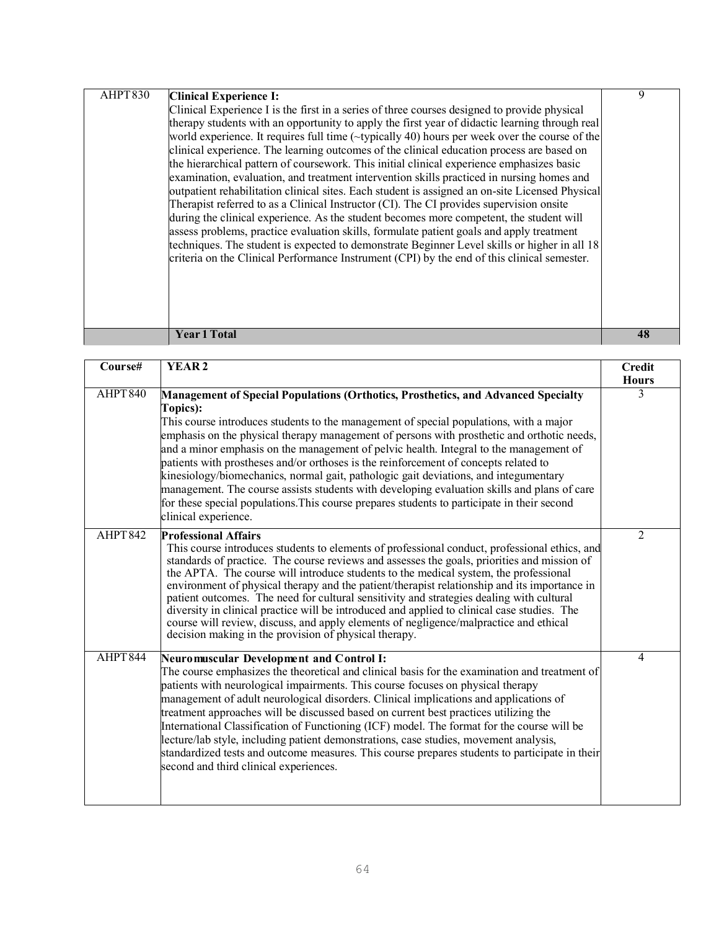| AHPT830 | <b>Clinical Experience I:</b>                                                                        | 9  |
|---------|------------------------------------------------------------------------------------------------------|----|
|         | Clinical Experience I is the first in a series of three courses designed to provide physical         |    |
|         | therapy students with an opportunity to apply the first year of didactic learning through real       |    |
|         | world experience. It requires full time ( $\sim$ typically 40) hours per week over the course of the |    |
|         | clinical experience. The learning outcomes of the clinical education process are based on            |    |
|         | the hierarchical pattern of coursework. This initial clinical experience emphasizes basic            |    |
|         | examination, evaluation, and treatment intervention skills practiced in nursing homes and            |    |
|         | outpatient rehabilitation clinical sites. Each student is assigned an on-site Licensed Physical      |    |
|         | Therapist referred to as a Clinical Instructor (CI). The CI provides supervision onsite              |    |
|         | during the clinical experience. As the student becomes more competent, the student will              |    |
|         | assess problems, practice evaluation skills, formulate patient goals and apply treatment             |    |
|         | techniques. The student is expected to demonstrate Beginner Level skills or higher in all 18         |    |
|         | criteria on the Clinical Performance Instrument (CPI) by the end of this clinical semester.          |    |
|         |                                                                                                      |    |
|         |                                                                                                      |    |
|         |                                                                                                      |    |
|         |                                                                                                      |    |
|         | <b>Year 1 Total</b>                                                                                  | 48 |
|         |                                                                                                      |    |

| Course#         | YEAR <sub>2</sub>                                                                                                                                                                                                                                                                                                                                                                                                                                                                                                                                                                                                                                                                                                                                                                     | <b>Credit</b> |
|-----------------|---------------------------------------------------------------------------------------------------------------------------------------------------------------------------------------------------------------------------------------------------------------------------------------------------------------------------------------------------------------------------------------------------------------------------------------------------------------------------------------------------------------------------------------------------------------------------------------------------------------------------------------------------------------------------------------------------------------------------------------------------------------------------------------|---------------|
|                 |                                                                                                                                                                                                                                                                                                                                                                                                                                                                                                                                                                                                                                                                                                                                                                                       | <b>Hours</b>  |
| AHPT840         | Management of Special Populations (Orthotics, Prosthetics, and Advanced Specialty<br>Topics):<br>This course introduces students to the management of special populations, with a major<br>emphasis on the physical therapy management of persons with prosthetic and orthotic needs,<br>and a minor emphasis on the management of pelvic health. Integral to the management of<br>patients with prostheses and/or orthoses is the reinforcement of concepts related to<br>kinesiology/biomechanics, normal gait, pathologic gait deviations, and integumentary<br>management. The course assists students with developing evaluation skills and plans of care<br>for these special populations. This course prepares students to participate in their second<br>clinical experience. | 3             |
| <b>AHPT 842</b> | <b>Professional Affairs</b><br>This course introduces students to elements of professional conduct, professional ethics, and<br>standards of practice. The course reviews and assesses the goals, priorities and mission of<br>the APTA. The course will introduce students to the medical system, the professional<br>environment of physical therapy and the patient/therapist relationship and its importance in<br>patient outcomes. The need for cultural sensitivity and strategies dealing with cultural<br>diversity in clinical practice will be introduced and applied to clinical case studies. The<br>course will review, discuss, and apply elements of negligence/malpractice and ethical<br>decision making in the provision of physical therapy.                      | 2             |
| AHPT844         | <b>Neuromuscular Development and Control I:</b><br>The course emphasizes the theoretical and clinical basis for the examination and treatment of<br>patients with neurological impairments. This course focuses on physical therapy<br>management of adult neurological disorders. Clinical implications and applications of<br>treatment approaches will be discussed based on current best practices utilizing the<br>International Classification of Functioning (ICF) model. The format for the course will be<br>lecture/lab style, including patient demonstrations, case studies, movement analysis,<br>standardized tests and outcome measures. This course prepares students to participate in their<br>second and third clinical experiences.                               | 4             |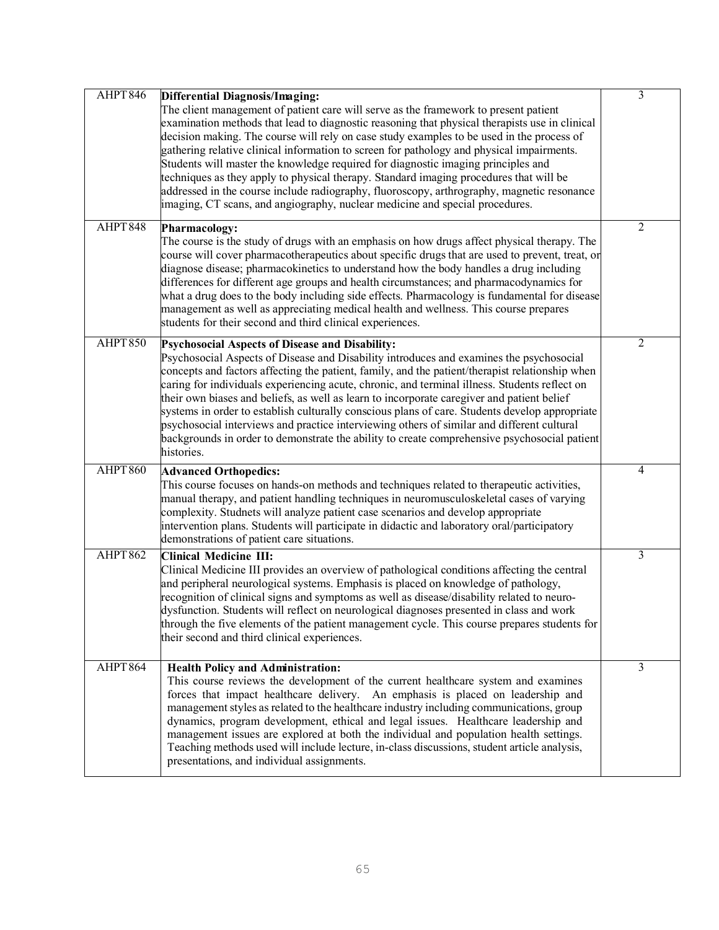| AHPT846 | <b>Differential Diagnosis/Imaging:</b><br>The client management of patient care will serve as the framework to present patient<br>examination methods that lead to diagnostic reasoning that physical therapists use in clinical<br>decision making. The course will rely on case study examples to be used in the process of<br>gathering relative clinical information to screen for pathology and physical impairments.<br>Students will master the knowledge required for diagnostic imaging principles and<br>techniques as they apply to physical therapy. Standard imaging procedures that will be<br>addressed in the course include radiography, fluoroscopy, arthrography, magnetic resonance<br>imaging, CT scans, and angiography, nuclear medicine and special procedures. | $\overline{\mathbf{3}}$ |
|---------|-----------------------------------------------------------------------------------------------------------------------------------------------------------------------------------------------------------------------------------------------------------------------------------------------------------------------------------------------------------------------------------------------------------------------------------------------------------------------------------------------------------------------------------------------------------------------------------------------------------------------------------------------------------------------------------------------------------------------------------------------------------------------------------------|-------------------------|
| AHPT848 | <b>Pharmacology:</b><br>The course is the study of drugs with an emphasis on how drugs affect physical therapy. The<br>course will cover pharmacotherapeutics about specific drugs that are used to prevent, treat, or<br>diagnose disease; pharmacokinetics to understand how the body handles a drug including<br>differences for different age groups and health circumstances; and pharmacodynamics for<br>what a drug does to the body including side effects. Pharmacology is fundamental for disease<br>management as well as appreciating medical health and wellness. This course prepares<br>students for their second and third clinical experiences.                                                                                                                        | 2                       |
| AHPT850 | Psychosocial Aspects of Disease and Disability:<br>Psychosocial Aspects of Disease and Disability introduces and examines the psychosocial<br>concepts and factors affecting the patient, family, and the patient/therapist relationship when<br>caring for individuals experiencing acute, chronic, and terminal illness. Students reflect on<br>their own biases and beliefs, as well as learn to incorporate caregiver and patient belief<br>systems in order to establish culturally conscious plans of care. Students develop appropriate<br>psychosocial interviews and practice interviewing others of similar and different cultural<br>backgrounds in order to demonstrate the ability to create comprehensive psychosocial patient<br>histories.                              | 2                       |
| AHPT860 | <b>Advanced Orthopedics:</b><br>This course focuses on hands-on methods and techniques related to therapeutic activities,<br>manual therapy, and patient handling techniques in neuromusculoskeletal cases of varying<br>complexity. Studnets will analyze patient case scenarios and develop appropriate<br>intervention plans. Students will participate in didactic and laboratory oral/participatory<br>demonstrations of patient care situations.                                                                                                                                                                                                                                                                                                                                  | 4                       |
| AHPT862 | <b>Clinical Medicine III:</b><br>Clinical Medicine III provides an overview of pathological conditions affecting the central<br>and peripheral neurological systems. Emphasis is placed on knowledge of pathology,<br>recognition of clinical signs and symptoms as well as disease/disability related to neuro-<br>dysfunction. Students will reflect on neurological diagnoses presented in class and work<br>through the five elements of the patient management cycle. This course prepares students for<br>their second and third clinical experiences.                                                                                                                                                                                                                            | 3                       |
| AHPT864 | <b>Health Policy and Administration:</b><br>This course reviews the development of the current healthcare system and examines<br>forces that impact healthcare delivery. An emphasis is placed on leadership and<br>management styles as related to the healthcare industry including communications, group<br>dynamics, program development, ethical and legal issues. Healthcare leadership and<br>management issues are explored at both the individual and population health settings.<br>Teaching methods used will include lecture, in-class discussions, student article analysis,<br>presentations, and individual assignments.                                                                                                                                                 | 3                       |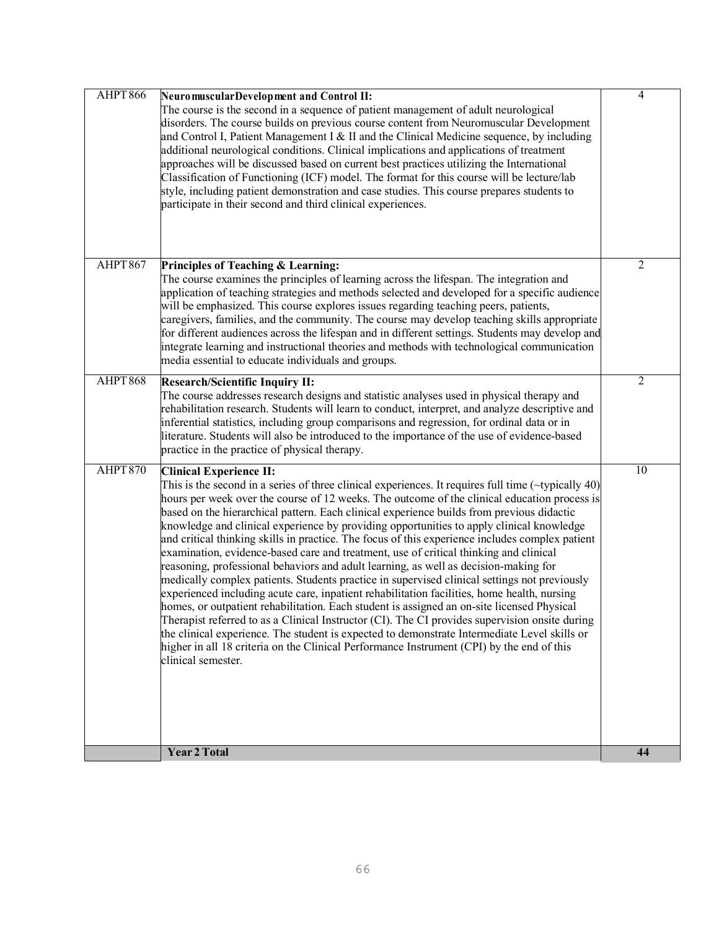| <b>AHPT 866</b> | NeuromuscularDevelopment and Control II:                                                                                                                                                      | 4  |
|-----------------|-----------------------------------------------------------------------------------------------------------------------------------------------------------------------------------------------|----|
|                 | The course is the second in a sequence of patient management of adult neurological<br>disorders. The course builds on previous course content from Neuromuscular Development                  |    |
|                 | and Control I, Patient Management I & II and the Clinical Medicine sequence, by including                                                                                                     |    |
|                 | additional neurological conditions. Clinical implications and applications of treatment                                                                                                       |    |
|                 | approaches will be discussed based on current best practices utilizing the International                                                                                                      |    |
|                 | Classification of Functioning (ICF) model. The format for this course will be lecture/lab                                                                                                     |    |
|                 | style, including patient demonstration and case studies. This course prepares students to                                                                                                     |    |
|                 | participate in their second and third clinical experiences.                                                                                                                                   |    |
|                 |                                                                                                                                                                                               |    |
|                 |                                                                                                                                                                                               |    |
| AHPT867         |                                                                                                                                                                                               | 2  |
|                 | Principles of Teaching & Learning:<br>The course examines the principles of learning across the lifespan. The integration and                                                                 |    |
|                 | application of teaching strategies and methods selected and developed for a specific audience                                                                                                 |    |
|                 | will be emphasized. This course explores issues regarding teaching peers, patients,                                                                                                           |    |
|                 | caregivers, families, and the community. The course may develop teaching skills appropriate                                                                                                   |    |
|                 | for different audiences across the lifespan and in different settings. Students may develop and                                                                                               |    |
|                 | integrate learning and instructional theories and methods with technological communication                                                                                                    |    |
|                 | media essential to educate individuals and groups.                                                                                                                                            |    |
| <b>AHPT868</b>  | Research/Scientific Inquiry II:                                                                                                                                                               | 2  |
|                 | The course addresses research designs and statistic analyses used in physical therapy and                                                                                                     |    |
|                 | rehabilitation research. Students will learn to conduct, interpret, and analyze descriptive and<br>inferential statistics, including group comparisons and regression, for ordinal data or in |    |
|                 | literature. Students will also be introduced to the importance of the use of evidence-based                                                                                                   |    |
|                 | practice in the practice of physical therapy.                                                                                                                                                 |    |
| AHPT870         | <b>Clinical Experience II:</b>                                                                                                                                                                | 10 |
|                 | This is the second in a series of three clinical experiences. It requires full time $(\sim$ typically 40)                                                                                     |    |
|                 | hours per week over the course of 12 weeks. The outcome of the clinical education process is                                                                                                  |    |
|                 | based on the hierarchical pattern. Each clinical experience builds from previous didactic                                                                                                     |    |
|                 | knowledge and clinical experience by providing opportunities to apply clinical knowledge                                                                                                      |    |
|                 | and critical thinking skills in practice. The focus of this experience includes complex patient                                                                                               |    |
|                 | examination, evidence-based care and treatment, use of critical thinking and clinical<br>reasoning, professional behaviors and adult learning, as well as decision-making for                 |    |
|                 | medically complex patients. Students practice in supervised clinical settings not previously                                                                                                  |    |
|                 | experienced including acute care, inpatient rehabilitation facilities, home health, nursing                                                                                                   |    |
|                 | homes, or outpatient rehabilitation. Each student is assigned an on-site licensed Physical                                                                                                    |    |
|                 | Therapist referred to as a Clinical Instructor (CI). The CI provides supervision onsite during                                                                                                |    |
|                 | the clinical experience. The student is expected to demonstrate Intermediate Level skills or                                                                                                  |    |
|                 | higher in all 18 criteria on the Clinical Performance Instrument (CPI) by the end of this<br>clinical semester.                                                                               |    |
|                 |                                                                                                                                                                                               |    |
|                 |                                                                                                                                                                                               |    |
|                 |                                                                                                                                                                                               |    |
|                 |                                                                                                                                                                                               |    |
|                 |                                                                                                                                                                                               |    |
|                 | <b>Year 2 Total</b>                                                                                                                                                                           | 44 |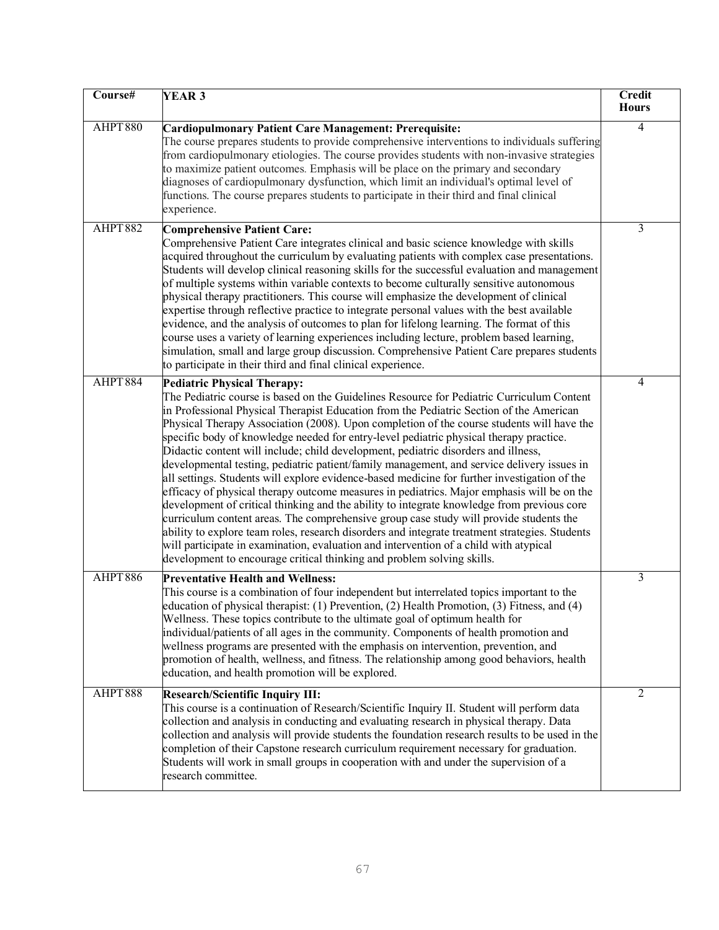| Course# | <b>YEAR 3</b>                                                                                                                                                                                                                                                                                                                                                                                                                                                                                                                                                                                                                                                                                                                                                                                                                                                                                                                                                                                                                                                                                                                                                                                                                                                    | <b>Credit</b><br><b>Hours</b> |
|---------|------------------------------------------------------------------------------------------------------------------------------------------------------------------------------------------------------------------------------------------------------------------------------------------------------------------------------------------------------------------------------------------------------------------------------------------------------------------------------------------------------------------------------------------------------------------------------------------------------------------------------------------------------------------------------------------------------------------------------------------------------------------------------------------------------------------------------------------------------------------------------------------------------------------------------------------------------------------------------------------------------------------------------------------------------------------------------------------------------------------------------------------------------------------------------------------------------------------------------------------------------------------|-------------------------------|
| AHPT880 | <b>Cardiopulmonary Patient Care Management: Prerequisite:</b><br>The course prepares students to provide comprehensive interventions to individuals suffering<br>from cardiopulmonary etiologies. The course provides students with non-invasive strategies<br>to maximize patient outcomes. Emphasis will be place on the primary and secondary<br>diagnoses of cardiopulmonary dysfunction, which limit an individual's optimal level of<br>functions. The course prepares students to participate in their third and final clinical<br>experience.                                                                                                                                                                                                                                                                                                                                                                                                                                                                                                                                                                                                                                                                                                            | $\overline{4}$                |
| AHPT882 | <b>Comprehensive Patient Care:</b><br>Comprehensive Patient Care integrates clinical and basic science knowledge with skills<br>acquired throughout the curriculum by evaluating patients with complex case presentations.<br>Students will develop clinical reasoning skills for the successful evaluation and management<br>of multiple systems within variable contexts to become culturally sensitive autonomous<br>physical therapy practitioners. This course will emphasize the development of clinical<br>expertise through reflective practice to integrate personal values with the best available<br>evidence, and the analysis of outcomes to plan for lifelong learning. The format of this<br>course uses a variety of learning experiences including lecture, problem based learning,<br>simulation, small and large group discussion. Comprehensive Patient Care prepares students<br>to participate in their third and final clinical experience.                                                                                                                                                                                                                                                                                               | 3                             |
| AHPT884 | <b>Pediatric Physical Therapy:</b><br>The Pediatric course is based on the Guidelines Resource for Pediatric Curriculum Content<br>in Professional Physical Therapist Education from the Pediatric Section of the American<br>Physical Therapy Association (2008). Upon completion of the course students will have the<br>specific body of knowledge needed for entry-level pediatric physical therapy practice.<br>Didactic content will include; child development, pediatric disorders and illness,<br>developmental testing, pediatric patient/family management, and service delivery issues in<br>all settings. Students will explore evidence-based medicine for further investigation of the<br>efficacy of physical therapy outcome measures in pediatrics. Major emphasis will be on the<br>development of critical thinking and the ability to integrate knowledge from previous core<br>curriculum content areas. The comprehensive group case study will provide students the<br>ability to explore team roles, research disorders and integrate treatment strategies. Students<br>will participate in examination, evaluation and intervention of a child with atypical<br>development to encourage critical thinking and problem solving skills. | 4                             |
| AHPT886 | <b>Preventative Health and Wellness:</b><br>This course is a combination of four independent but interrelated topics important to the<br>education of physical therapist: (1) Prevention, (2) Health Promotion, (3) Fitness, and (4)<br>Wellness. These topics contribute to the ultimate goal of optimum health for<br>individual/patients of all ages in the community. Components of health promotion and<br>wellness programs are presented with the emphasis on intervention, prevention, and<br>promotion of health, wellness, and fitness. The relationship among good behaviors, health<br>education, and health promotion will be explored.                                                                                                                                                                                                                                                                                                                                                                                                                                                                                                                                                                                                             | 3                             |
| AHPT888 | <b>Research/Scientific Inquiry III:</b><br>This course is a continuation of Research/Scientific Inquiry II. Student will perform data<br>collection and analysis in conducting and evaluating research in physical therapy. Data<br>collection and analysis will provide students the foundation research results to be used in the<br>completion of their Capstone research curriculum requirement necessary for graduation.<br>Students will work in small groups in cooperation with and under the supervision of a<br>research committee.                                                                                                                                                                                                                                                                                                                                                                                                                                                                                                                                                                                                                                                                                                                    | 2                             |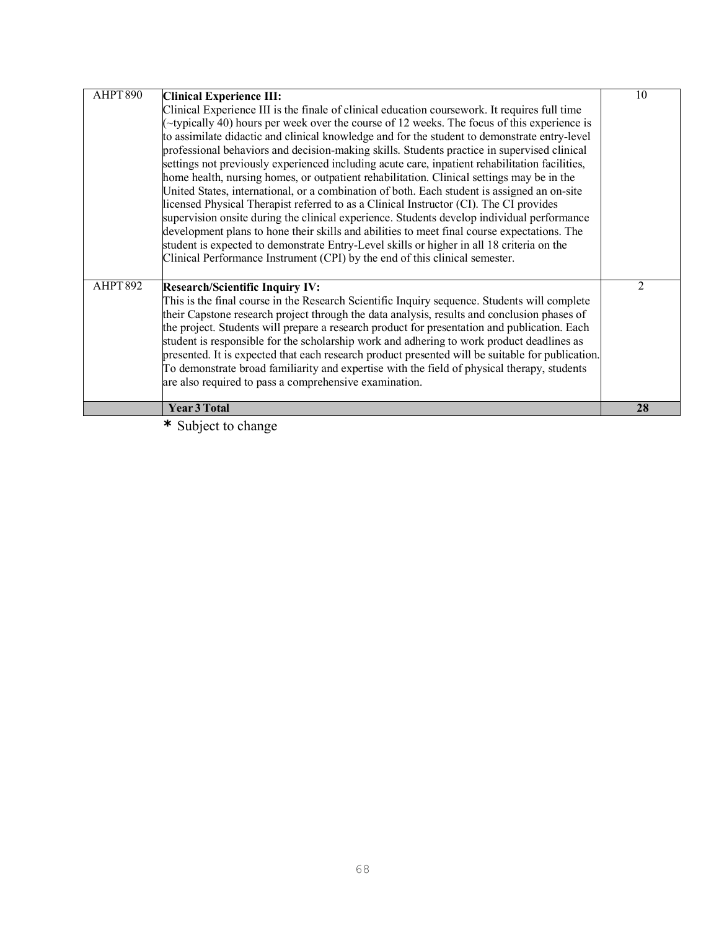| <b>AHPT890</b> | <b>Clinical Experience III:</b><br>Clinical Experience III is the finale of clinical education coursework. It requires full time<br>$(\sim$ typically 40) hours per week over the course of 12 weeks. The focus of this experience is                                                                                                                                                                                                                                                                                                                                                                                                                                                           | 10 |
|----------------|-------------------------------------------------------------------------------------------------------------------------------------------------------------------------------------------------------------------------------------------------------------------------------------------------------------------------------------------------------------------------------------------------------------------------------------------------------------------------------------------------------------------------------------------------------------------------------------------------------------------------------------------------------------------------------------------------|----|
|                | to assimilate didactic and clinical knowledge and for the student to demonstrate entry-level<br>professional behaviors and decision-making skills. Students practice in supervised clinical                                                                                                                                                                                                                                                                                                                                                                                                                                                                                                     |    |
|                | settings not previously experienced including acute care, inpatient rehabilitation facilities,<br>home health, nursing homes, or outpatient rehabilitation. Clinical settings may be in the<br>United States, international, or a combination of both. Each student is assigned an on-site                                                                                                                                                                                                                                                                                                                                                                                                      |    |
|                | licensed Physical Therapist referred to as a Clinical Instructor (CI). The CI provides<br>supervision onsite during the clinical experience. Students develop individual performance<br>development plans to hone their skills and abilities to meet final course expectations. The<br>student is expected to demonstrate Entry-Level skills or higher in all 18 criteria on the                                                                                                                                                                                                                                                                                                                |    |
|                | Clinical Performance Instrument (CPI) by the end of this clinical semester.                                                                                                                                                                                                                                                                                                                                                                                                                                                                                                                                                                                                                     |    |
| AHPT892        | <b>Research/Scientific Inquiry IV:</b><br>This is the final course in the Research Scientific Inquiry sequence. Students will complete<br>their Capstone research project through the data analysis, results and conclusion phases of<br>the project. Students will prepare a research product for presentation and publication. Each<br>student is responsible for the scholarship work and adhering to work product deadlines as<br>presented. It is expected that each research product presented will be suitable for publication.<br>To demonstrate broad familiarity and expertise with the field of physical therapy, students<br>are also required to pass a comprehensive examination. | 2  |
|                | <b>Year 3 Total</b>                                                                                                                                                                                                                                                                                                                                                                                                                                                                                                                                                                                                                                                                             | 28 |

**\*** Subject to change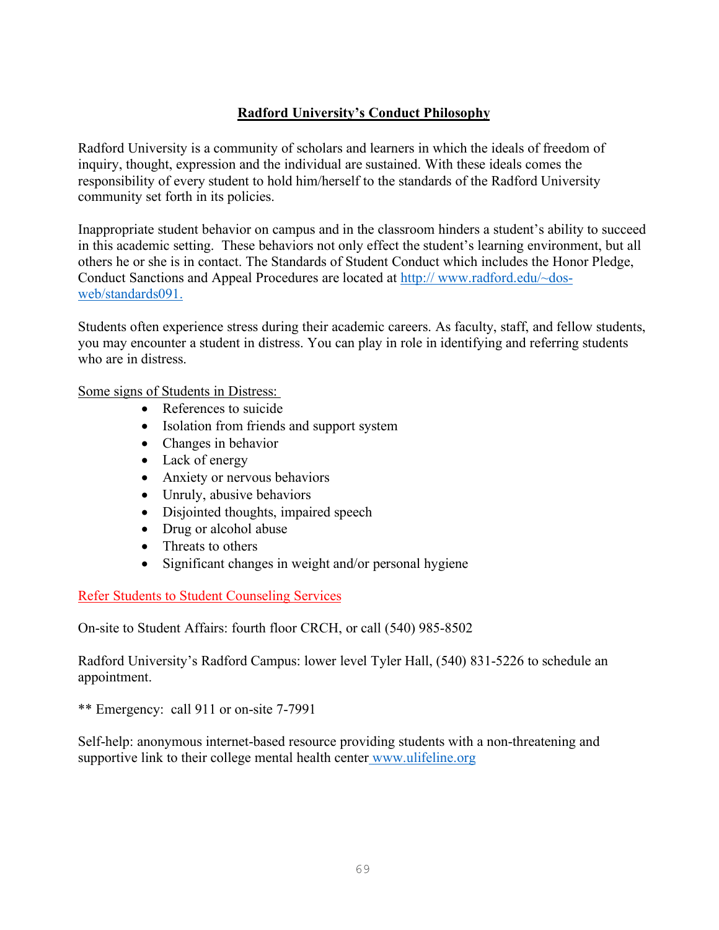#### **Radford University's Conduct Philosophy**

Radford University is a community of scholars and learners in which the ideals of freedom of inquiry, thought, expression and the individual are sustained. With these ideals comes the responsibility of every student to hold him/herself to the standards of the Radford University community set forth in its policies.

Inappropriate student behavior on campus and in the classroom hinders a student's ability to succeed in this academic setting. These behaviors not only effect the student's learning environment, but all others he or she is in contact. The Standards of Student Conduct which includes the Honor Pledge, Conduct Sanctions and Appeal Procedures are located at http:// www.radford.edu/~dosweb/standards091.

Students often experience stress during their academic careers. As faculty, staff, and fellow students, you may encounter a student in distress. You can play in role in identifying and referring students who are in distress.

Some signs of Students in Distress:

- References to suicide
- Isolation from friends and support system
- Changes in behavior
- Lack of energy
- Anxiety or nervous behaviors
- Unruly, abusive behaviors
- Disjointed thoughts, impaired speech
- Drug or alcohol abuse
- Threats to others
- Significant changes in weight and/or personal hygiene

Refer Students to Student Counseling Services

On-site to Student Affairs: fourth floor CRCH, or call (540) 985-8502

Radford University's Radford Campus: lower level Tyler Hall, (540) 831-5226 to schedule an appointment.

\*\* Emergency: call 911 or on-site 7-7991

Self-help: anonymous internet-based resource providing students with a non-threatening and supportive link to their college mental health center www.ulifeline.org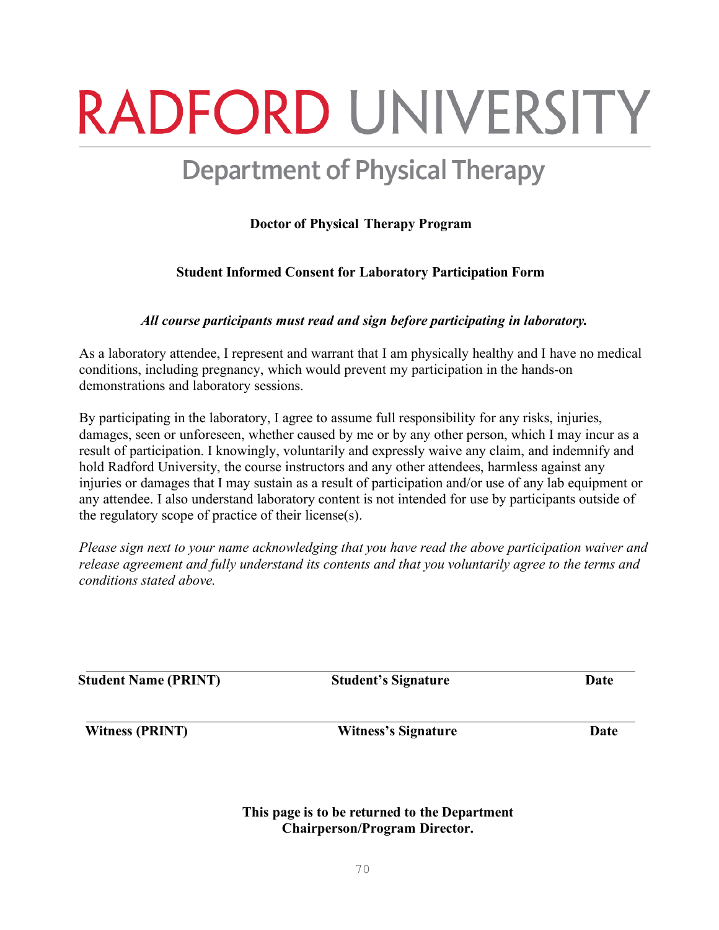# RADFORD UNIVERSITY

### **Department of Physical Therapy**

#### **Doctor of Physical Therapy Program**

#### **Student Informed Consent for Laboratory Participation Form**

#### *All course participants must read and sign before participating in laboratory.*

As a laboratory attendee, I represent and warrant that I am physically healthy and I have no medical conditions, including pregnancy, which would prevent my participation in the hands-on demonstrations and laboratory sessions.

By participating in the laboratory, I agree to assume full responsibility for any risks, injuries, damages, seen or unforeseen, whether caused by me or by any other person, which I may incur as a result of participation. I knowingly, voluntarily and expressly waive any claim, and indemnify and hold Radford University, the course instructors and any other attendees, harmless against any injuries or damages that I may sustain as a result of participation and/or use of any lab equipment or any attendee. I also understand laboratory content is not intended for use by participants outside of the regulatory scope of practice of their license(s).

*Please sign next to your name acknowledging that you have read the above participation waiver and release agreement and fully understand its contents and that you voluntarily agree to the terms and conditions stated above.*

| <b>Student Name (PRINT)</b> | <b>Student's Signature</b> | Date |
|-----------------------------|----------------------------|------|
| <b>Witness (PRINT)</b>      | <b>Witness's Signature</b> | Date |
|                             |                            |      |

**This page is to be returned to the Department Chairperson/Program Director.**